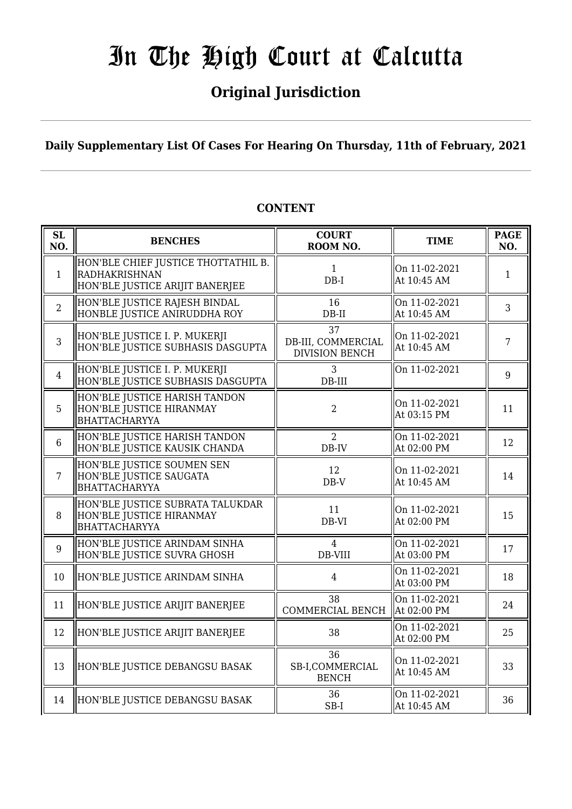## **Original Jurisdiction**

**Daily Supplementary List Of Cases For Hearing On Thursday, 11th of February, 2021**

| SL<br>NO.      | <b>BENCHES</b>                                                                                 | <b>COURT</b><br>ROOM NO.                          | <b>TIME</b>                  | <b>PAGE</b><br>NO. |
|----------------|------------------------------------------------------------------------------------------------|---------------------------------------------------|------------------------------|--------------------|
| $\mathbf{1}$   | HON'BLE CHIEF JUSTICE THOTTATHIL B.<br><b>RADHAKRISHNAN</b><br>HON'BLE JUSTICE ARIJIT BANERJEE | $\mathbf{1}$<br>$DB-I$                            | On 11-02-2021<br>At 10:45 AM | $\mathbf{1}$       |
| $\overline{2}$ | HON'BLE JUSTICE RAJESH BINDAL<br>HONBLE JUSTICE ANIRUDDHA ROY                                  | 16<br>$DB-II$                                     | On 11-02-2021<br>At 10:45 AM | 3                  |
| 3              | HON'BLE JUSTICE I. P. MUKERJI<br>HON'BLE JUSTICE SUBHASIS DASGUPTA                             | 37<br>DB-III, COMMERCIAL<br><b>DIVISION BENCH</b> | On 11-02-2021<br>At 10:45 AM | $\overline{7}$     |
| $\overline{4}$ | HON'BLE JUSTICE I. P. MUKERJI<br>HON'BLE JUSTICE SUBHASIS DASGUPTA                             | 3<br>DB-III                                       | On 11-02-2021                | 9                  |
| 5              | HON'BLE JUSTICE HARISH TANDON<br>HON'BLE JUSTICE HIRANMAY<br><b>BHATTACHARYYA</b>              | $\overline{2}$                                    | On 11-02-2021<br>At 03:15 PM | 11                 |
| $6\phantom{1}$ | HON'BLE JUSTICE HARISH TANDON<br>HON'BLE JUSTICE KAUSIK CHANDA                                 | $\overline{2}$<br>$DB$ -IV                        | On 11-02-2021<br>At 02:00 PM | 12                 |
| 7              | HON'BLE JUSTICE SOUMEN SEN<br>HON'BLE JUSTICE SAUGATA<br><b>BHATTACHARYYA</b>                  | 12<br>$DB-V$                                      | On 11-02-2021<br>At 10:45 AM | 14                 |
| 8              | HON'BLE JUSTICE SUBRATA TALUKDAR<br>HON'BLE JUSTICE HIRANMAY<br><b>BHATTACHARYYA</b>           | 11<br>DB-VI                                       | On 11-02-2021<br>At 02:00 PM | 15                 |
| 9              | HON'BLE JUSTICE ARINDAM SINHA<br>HON'BLE JUSTICE SUVRA GHOSH                                   | $\overline{4}$<br>DB-VIII                         | On 11-02-2021<br>At 03:00 PM | 17                 |
| 10             | HON'BLE JUSTICE ARINDAM SINHA                                                                  | $\overline{4}$                                    | On 11-02-2021<br>At 03:00 PM | 18                 |
| 11             | HON'BLE JUSTICE ARIJIT BANERJEE                                                                | 38<br>COMMERCIAL BENCH                            | On 11-02-2021<br>At 02:00 PM | 24                 |
| 12             | HON'BLE JUSTICE ARIJIT BANERJEE                                                                | 38                                                | On 11-02-2021<br>At 02:00 PM | 25                 |
| 13             | HON'BLE JUSTICE DEBANGSU BASAK                                                                 | 36<br>SB-I,COMMERCIAL<br><b>BENCH</b>             | On 11-02-2021<br>At 10:45 AM | 33                 |
| 14             | HON'BLE JUSTICE DEBANGSU BASAK                                                                 | 36<br>SB-I                                        | On 11-02-2021<br>At 10:45 AM | 36                 |

### **CONTENT**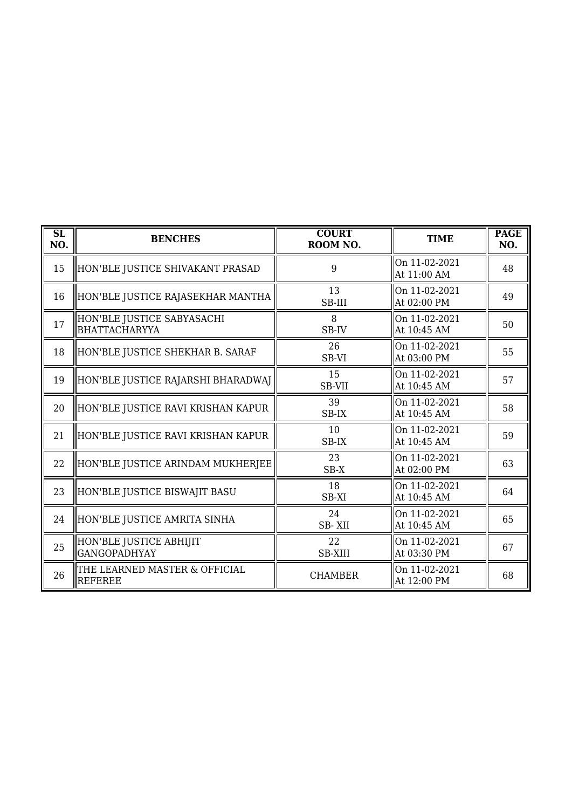| $\overline{\text{SL}}$<br>NO. | <b>BENCHES</b>                                  | <b>COURT</b><br>ROOM NO. | <b>TIME</b>                  | <b>PAGE</b><br>NO. |
|-------------------------------|-------------------------------------------------|--------------------------|------------------------------|--------------------|
| 15                            | HON'BLE JUSTICE SHIVAKANT PRASAD                | 9                        | On 11-02-2021<br>At 11:00 AM | 48                 |
| 16                            | HON'BLE JUSTICE RAJASEKHAR MANTHA               | 13<br>SB-III             | On 11-02-2021<br>At 02:00 PM | 49                 |
| 17                            | HON'BLE JUSTICE SABYASACHI<br>BHATTACHARYYA     | 8<br>SB-IV               | On 11-02-2021<br>At 10:45 AM | 50                 |
| 18                            | HON'BLE JUSTICE SHEKHAR B. SARAF                | 26<br>SB-VI              | On 11-02-2021<br>At 03:00 PM | 55                 |
| 19                            | HON'BLE JUSTICE RAJARSHI BHARADWAJ              | 15<br>SB-VII             | On 11-02-2021<br>At 10:45 AM | 57                 |
| 20                            | HON'BLE JUSTICE RAVI KRISHAN KAPUR              | 39<br>SB-IX              | On 11-02-2021<br>At 10:45 AM | 58                 |
| 21                            | HON'BLE JUSTICE RAVI KRISHAN KAPUR              | 10<br>SB-IX              | On 11-02-2021<br>At 10:45 AM | 59                 |
| 22                            | HON'BLE JUSTICE ARINDAM MUKHERJEE               | 23<br>$SB-X$             | On 11-02-2021<br>At 02:00 PM | 63                 |
| 23                            | HON'BLE JUSTICE BISWAJIT BASU                   | 18<br>SB-XI              | On 11-02-2021<br>At 10:45 AM | 64                 |
| 24                            | HON'BLE JUSTICE AMRITA SINHA                    | 24<br>SB-XII             | On 11-02-2021<br>At 10:45 AM | 65                 |
| 25                            | HON'BLE JUSTICE ABHIJIT<br><b>GANGOPADHYAY</b>  | 22<br><b>SB-XIII</b>     | On 11-02-2021<br>At 03:30 PM | 67                 |
| 26                            | THE LEARNED MASTER & OFFICIAL<br><b>REFEREE</b> | <b>CHAMBER</b>           | On 11-02-2021<br>At 12:00 PM | 68                 |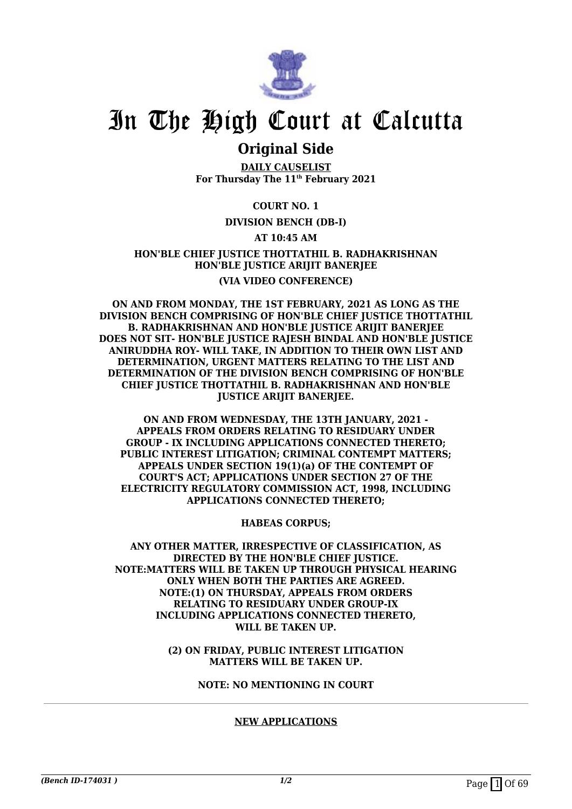

### **Original Side**

**DAILY CAUSELIST For Thursday The 11th February 2021**

#### **COURT NO. 1**

#### **DIVISION BENCH (DB-I)**

#### **AT 10:45 AM**

#### **HON'BLE CHIEF JUSTICE THOTTATHIL B. RADHAKRISHNAN HON'BLE JUSTICE ARIJIT BANERJEE (VIA VIDEO CONFERENCE)**

**ON AND FROM MONDAY, THE 1ST FEBRUARY, 2021 AS LONG AS THE DIVISION BENCH COMPRISING OF HON'BLE CHIEF JUSTICE THOTTATHIL B. RADHAKRISHNAN AND HON'BLE JUSTICE ARIJIT BANERJEE DOES NOT SIT- HON'BLE JUSTICE RAJESH BINDAL AND HON'BLE JUSTICE ANIRUDDHA ROY- WILL TAKE, IN ADDITION TO THEIR OWN LIST AND DETERMINATION, URGENT MATTERS RELATING TO THE LIST AND DETERMINATION OF THE DIVISION BENCH COMPRISING OF HON'BLE CHIEF JUSTICE THOTTATHIL B. RADHAKRISHNAN AND HON'BLE JUSTICE ARIJIT BANERJEE.**

**ON AND FROM WEDNESDAY, THE 13TH JANUARY, 2021 - APPEALS FROM ORDERS RELATING TO RESIDUARY UNDER GROUP - IX INCLUDING APPLICATIONS CONNECTED THERETO; PUBLIC INTEREST LITIGATION; CRIMINAL CONTEMPT MATTERS; APPEALS UNDER SECTION 19(1)(a) OF THE CONTEMPT OF COURT'S ACT; APPLICATIONS UNDER SECTION 27 OF THE ELECTRICITY REGULATORY COMMISSION ACT, 1998, INCLUDING APPLICATIONS CONNECTED THERETO;**

**HABEAS CORPUS;**

**ANY OTHER MATTER, IRRESPECTIVE OF CLASSIFICATION, AS DIRECTED BY THE HON'BLE CHIEF JUSTICE. NOTE:MATTERS WILL BE TAKEN UP THROUGH PHYSICAL HEARING ONLY WHEN BOTH THE PARTIES ARE AGREED. NOTE:(1) ON THURSDAY, APPEALS FROM ORDERS RELATING TO RESIDUARY UNDER GROUP-IX INCLUDING APPLICATIONS CONNECTED THERETO, WILL BE TAKEN UP.**

> **(2) ON FRIDAY, PUBLIC INTEREST LITIGATION MATTERS WILL BE TAKEN UP.**

> > **NOTE: NO MENTIONING IN COURT**

#### **NEW APPLICATIONS**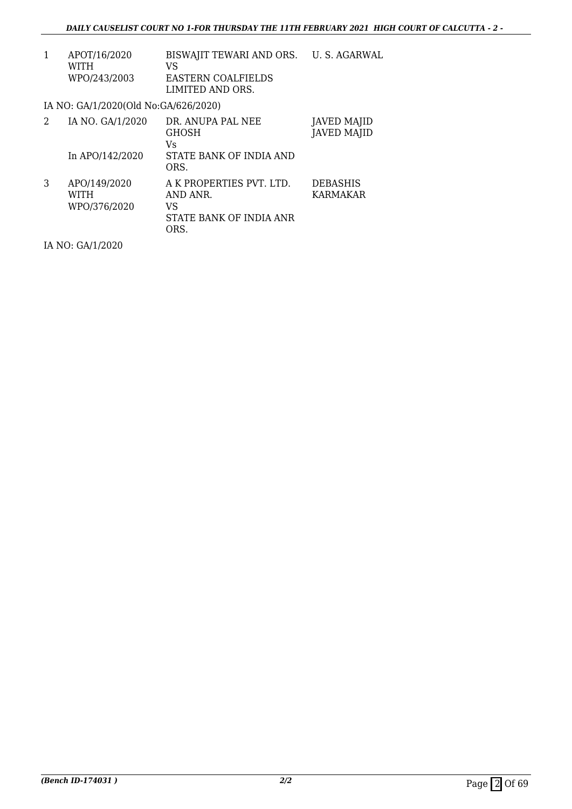| 1 | APOT/16/2020<br>WITH<br>WPO/243/2003 | BISWAJIT TEWARI AND ORS. U. S. AGARWAL<br>VS<br><b>EASTERN COALFIELDS</b><br>LIMITED AND ORS. |                                    |
|---|--------------------------------------|-----------------------------------------------------------------------------------------------|------------------------------------|
|   | IA NO: GA/1/2020(Old No:GA/626/2020) |                                                                                               |                                    |
| 2 | IA NO. GA/1/2020<br>In APO/142/2020  | DR. ANUPA PAL NEE<br><b>GHOSH</b><br>Vs<br>STATE BANK OF INDIA AND                            | JAVED MAJID<br><b>JAVED MAJID</b>  |
|   |                                      | ORS.                                                                                          |                                    |
| 3 | APO/149/2020<br>WITH<br>WPO/376/2020 | A K PROPERTIES PVT. LTD.<br>AND ANR.<br>VS<br>STATE BANK OF INDIA ANR<br>ORS.                 | <b>DEBASHIS</b><br><b>KARMAKAR</b> |

IA NO: GA/1/2020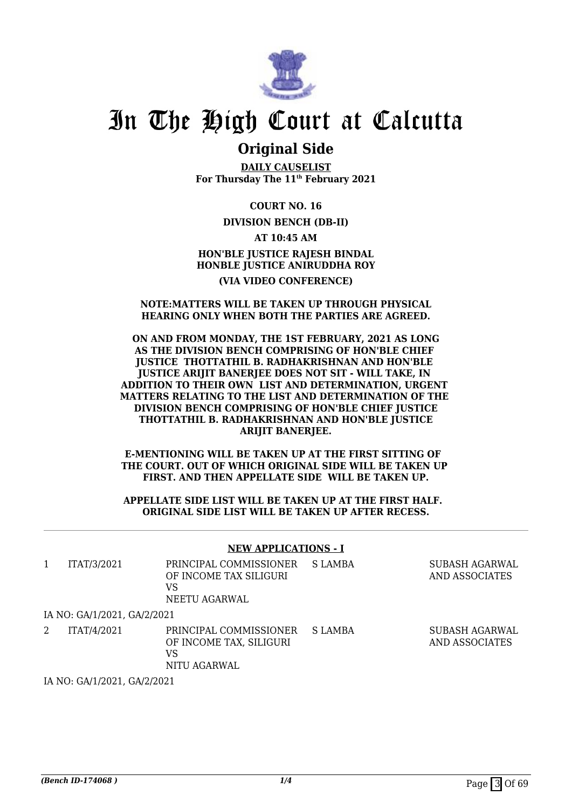

### **Original Side**

**DAILY CAUSELIST For Thursday The 11th February 2021**

**COURT NO. 16**

**DIVISION BENCH (DB-II)**

**AT 10:45 AM HON'BLE JUSTICE RAJESH BINDAL HONBLE JUSTICE ANIRUDDHA ROY (VIA VIDEO CONFERENCE)**

#### **NOTE:MATTERS WILL BE TAKEN UP THROUGH PHYSICAL HEARING ONLY WHEN BOTH THE PARTIES ARE AGREED.**

#### **ON AND FROM MONDAY, THE 1ST FEBRUARY, 2021 AS LONG AS THE DIVISION BENCH COMPRISING OF HON'BLE CHIEF JUSTICE THOTTATHIL B. RADHAKRISHNAN AND HON'BLE JUSTICE ARIJIT BANERJEE DOES NOT SIT - WILL TAKE, IN ADDITION TO THEIR OWN LIST AND DETERMINATION, URGENT MATTERS RELATING TO THE LIST AND DETERMINATION OF THE DIVISION BENCH COMPRISING OF HON'BLE CHIEF JUSTICE THOTTATHIL B. RADHAKRISHNAN AND HON'BLE JUSTICE ARIJIT BANERJEE.**

**E-MENTIONING WILL BE TAKEN UP AT THE FIRST SITTING OF THE COURT. OUT OF WHICH ORIGINAL SIDE WILL BE TAKEN UP FIRST. AND THEN APPELLATE SIDE WILL BE TAKEN UP.**

#### **APPELLATE SIDE LIST WILL BE TAKEN UP AT THE FIRST HALF. ORIGINAL SIDE LIST WILL BE TAKEN UP AFTER RECESS.**

#### **NEW APPLICATIONS - I**

| ITAT/3/2021                 | PRINCIPAL COMMISSIONER<br>OF INCOME TAX SILIGURI<br>VS<br>NEETU AGARWAL | S LAMBA | SUBASH AGARWAL<br>AND ASSOCIATES |
|-----------------------------|-------------------------------------------------------------------------|---------|----------------------------------|
| IA NO: GA/1/2021, GA/2/2021 |                                                                         |         |                                  |
| ITAT/4/2021                 | PRINCIPAL COMMISSIONER<br>OF INCOME TAX, SILIGURI<br>VS<br>NITU AGARWAL | S LAMBA | SUBASH AGARWAL<br>AND ASSOCIATES |

IA NO: GA/1/2021, GA/2/2021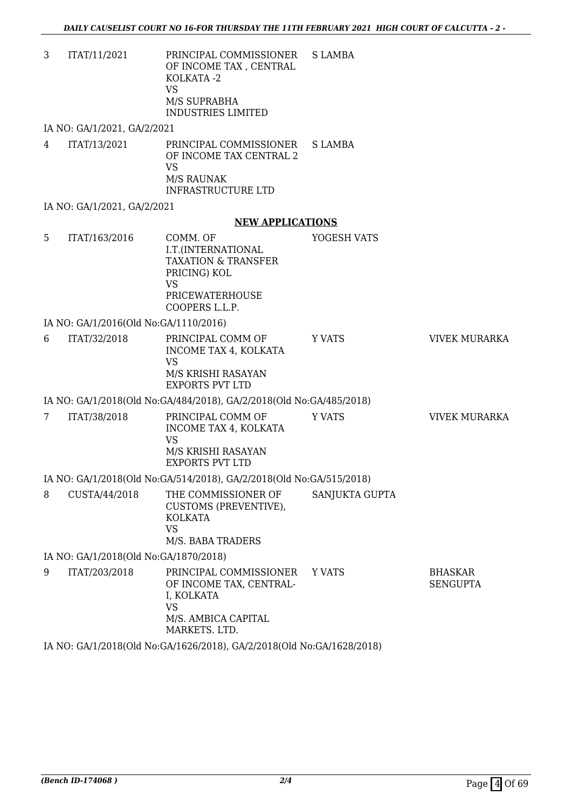3 ITAT/11/2021 PRINCIPAL COMMISSIONER OF INCOME TAX , CENTRAL KOLKATA -2 VS M/S SUPRABHA INDUSTRIES LIMITED S LAMBA

IA NO: GA/1/2021, GA/2/2021

4 ITAT/13/2021 PRINCIPAL COMMISSIONER OF INCOME TAX CENTRAL 2 VS M/S RAUNAK INFRASTRUCTURE LTD S LAMBA

IA NO: GA/1/2021, GA/2/2021

#### **NEW APPLICATIONS**

5 ITAT/163/2016 COMM. OF I.T.(INTERNATIONAL TAXATION & TRANSFER PRICING) KOL VS PRICEWATERHOUSE COOPERS L.L.P. YOGESH VATS IA NO: GA/1/2016(Old No:GA/1110/2016) 6 ITAT/32/2018 PRINCIPAL COMM OF INCOME TAX 4, KOLKATA VS M/S KRISHI RASAYAN EXPORTS PVT LTD Y VATS **VIVEK MURARKA** IA NO: GA/1/2018(Old No:GA/484/2018), GA/2/2018(Old No:GA/485/2018) 7 ITAT/38/2018 PRINCIPAL COMM OF INCOME TAX 4, KOLKATA VS M/S KRISHI RASAYAN Y VATS **VIVEK MURARKA** 

EXPORTS PVT LTD IA NO: GA/1/2018(Old No:GA/514/2018), GA/2/2018(Old No:GA/515/2018)

8 CUSTA/44/2018 THE COMMISSIONER OF CUSTOMS (PREVENTIVE), KOLKATA VS M/S. BABA TRADERS SANJUKTA GUPTA

IA NO: GA/1/2018(Old No:GA/1870/2018)

9 ITAT/203/2018 PRINCIPAL COMMISSIONER OF INCOME TAX, CENTRAL-I, KOLKATA VS M/S. AMBICA CAPITAL MARKETS. LTD. Y VATS BHASKAR SENGUPTA

IA NO: GA/1/2018(Old No:GA/1626/2018), GA/2/2018(Old No:GA/1628/2018)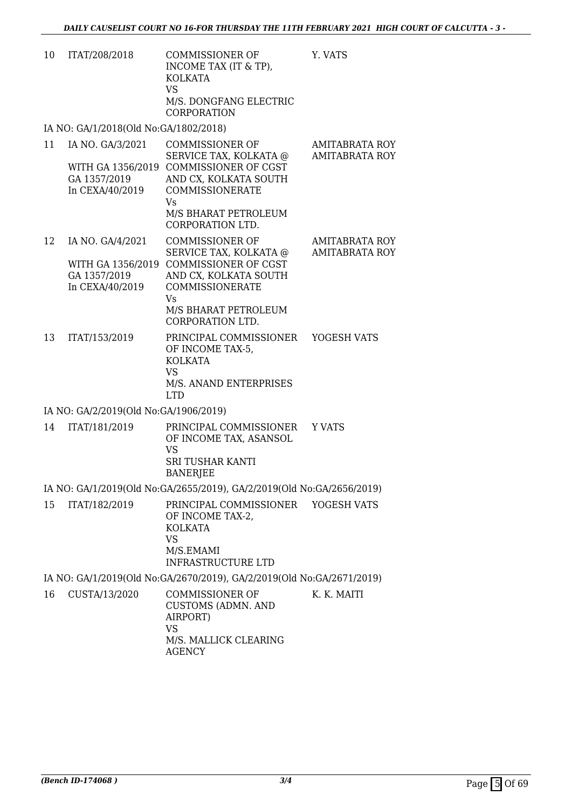| 10 | ITAT/208/2018                                       | COMMISSIONER OF<br>INCOME TAX (IT & TP),<br>KOLKATA<br>VS.<br>M/S. DONGFANG ELECTRIC<br><b>CORPORATION</b>                                                                                       | Y. VATS                                        |
|----|-----------------------------------------------------|--------------------------------------------------------------------------------------------------------------------------------------------------------------------------------------------------|------------------------------------------------|
|    | IA NO: GA/1/2018(Old No:GA/1802/2018)               |                                                                                                                                                                                                  |                                                |
| 11 | IA NO. GA/3/2021<br>GA 1357/2019<br>In CEXA/40/2019 | <b>COMMISSIONER OF</b><br>SERVICE TAX, KOLKATA @<br>WITH GA 1356/2019 COMMISSIONER OF CGST<br>AND CX, KOLKATA SOUTH<br>COMMISSIONERATE<br>Vs.<br>M/S BHARAT PETROLEUM<br>CORPORATION LTD.        | <b>AMITABRATA ROY</b><br><b>AMITABRATA ROY</b> |
| 12 | IA NO. GA/4/2021<br>GA 1357/2019<br>In CEXA/40/2019 | <b>COMMISSIONER OF</b><br>SERVICE TAX, KOLKATA @<br>WITH GA 1356/2019 COMMISSIONER OF CGST<br>AND CX, KOLKATA SOUTH<br><b>COMMISSIONERATE</b><br>Vs.<br>M/S BHARAT PETROLEUM<br>CORPORATION LTD. | <b>AMITABRATA ROY</b><br><b>AMITABRATA ROY</b> |
| 13 | ITAT/153/2019                                       | PRINCIPAL COMMISSIONER<br>OF INCOME TAX-5,<br><b>KOLKATA</b><br>VS.<br>M/S. ANAND ENTERPRISES                                                                                                    | YOGESH VATS                                    |

LTD

IA NO: GA/2/2019(Old No:GA/1906/2019)

| 14 ITAT/181/2019 | PRINCIPAL COMMISSIONER YVATS<br>OF INCOME TAX, ASANSOL<br>VS<br>SRI TUSHAR KANTI<br>BANERJEE |  |
|------------------|----------------------------------------------------------------------------------------------|--|
|                  |                                                                                              |  |

IA NO: GA/1/2019(Old No:GA/2655/2019), GA/2/2019(Old No:GA/2656/2019)

15 ITAT/182/2019 PRINCIPAL COMMISSIONER OF INCOME TAX-2, KOLKATA VS M/S.EMAMI INFRASTRUCTURE LTD YOGESH VATS

IA NO: GA/1/2019(Old No:GA/2670/2019), GA/2/2019(Old No:GA/2671/2019) 16 CUSTA/13/2020 COMMISSIONER OF K. K. MAITI

CUSTOMS (ADMN. AND AIRPORT) VS M/S. MALLICK CLEARING AGENCY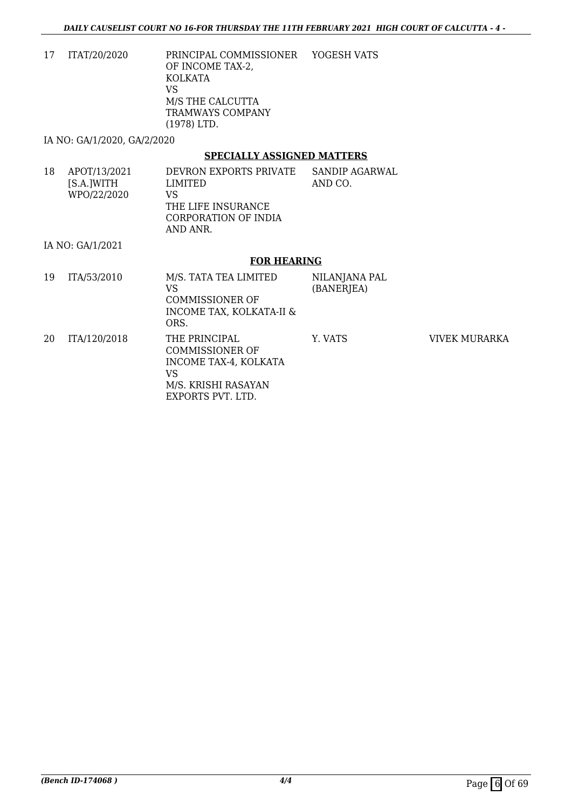17 ITAT/20/2020 PRINCIPAL COMMISSIONER OF INCOME TAX-2, KOLKATA VS M/S THE CALCUTTA TRAMWAYS COMPANY (1978) LTD. YOGESH VATS

IA NO: GA/1/2020, GA/2/2020

#### **SPECIALLY ASSIGNED MATTERS**

18 APOT/13/2021 [S.A.]WITH WPO/22/2020 DEVRON EXPORTS PRIVATE LIMITED VS THE LIFE INSURANCE CORPORATION OF INDIA AND ANR. SANDIP AGARWAL AND CO.

IA NO: GA/1/2021

#### **FOR HEARING**

| 19 | ITA/53/2010  | M/S. TATA TEA LIMITED<br>VS<br>COMMISSIONER OF<br>INCOME TAX, KOLKATA-II &<br>ORS.                          | NILANJANA PAL<br>(BANERJEA) |               |
|----|--------------|-------------------------------------------------------------------------------------------------------------|-----------------------------|---------------|
| 20 | ITA/120/2018 | THE PRINCIPAL<br>COMMISSIONER OF<br>INCOME TAX-4, KOLKATA<br>VS<br>M/S. KRISHI RASAYAN<br>EXPORTS PVT. LTD. | Y. VATS                     | VIVEK MURARKA |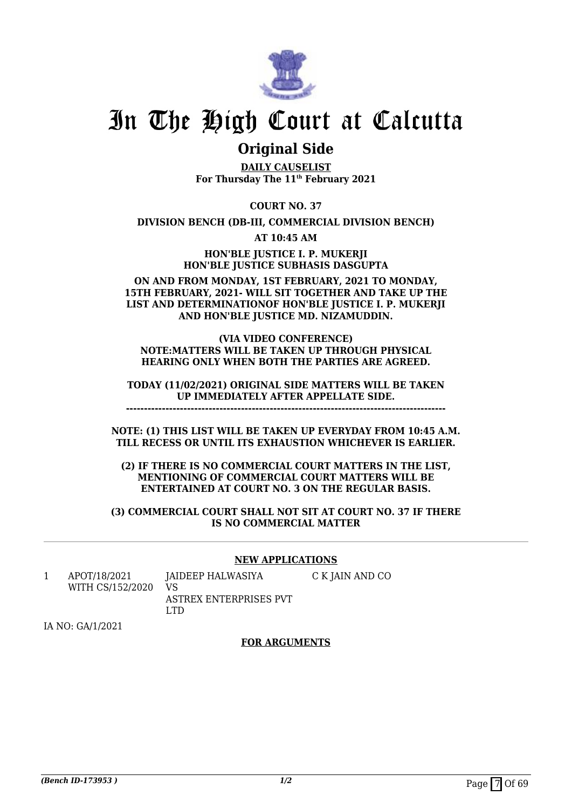

### **Original Side**

**DAILY CAUSELIST For Thursday The 11th February 2021**

**COURT NO. 37**

**DIVISION BENCH (DB-III, COMMERCIAL DIVISION BENCH)**

**AT 10:45 AM**

**HON'BLE JUSTICE I. P. MUKERJI HON'BLE JUSTICE SUBHASIS DASGUPTA**

**ON AND FROM MONDAY, 1ST FEBRUARY, 2021 TO MONDAY, 15TH FEBRUARY, 2021- WILL SIT TOGETHER AND TAKE UP THE LIST AND DETERMINATIONOF HON'BLE JUSTICE I. P. MUKERJI AND HON'BLE JUSTICE MD. NIZAMUDDIN.**

#### **(VIA VIDEO CONFERENCE) NOTE:MATTERS WILL BE TAKEN UP THROUGH PHYSICAL HEARING ONLY WHEN BOTH THE PARTIES ARE AGREED.**

**TODAY (11/02/2021) ORIGINAL SIDE MATTERS WILL BE TAKEN UP IMMEDIATELY AFTER APPELLATE SIDE.**

**-----------------------------------------------------------------------------------------**

**NOTE: (1) THIS LIST WILL BE TAKEN UP EVERYDAY FROM 10:45 A.M. TILL RECESS OR UNTIL ITS EXHAUSTION WHICHEVER IS EARLIER.**

**(2) IF THERE IS NO COMMERCIAL COURT MATTERS IN THE LIST, MENTIONING OF COMMERCIAL COURT MATTERS WILL BE ENTERTAINED AT COURT NO. 3 ON THE REGULAR BASIS.**

**(3) COMMERCIAL COURT SHALL NOT SIT AT COURT NO. 37 IF THERE IS NO COMMERCIAL MATTER**

#### **NEW APPLICATIONS**

C K JAIN AND CO

1 APOT/18/2021 WITH CS/152/2020 JAIDEEP HALWASIYA VS

ASTREX ENTERPRISES PVT LTD

IA NO: GA/1/2021

#### **FOR ARGUMENTS**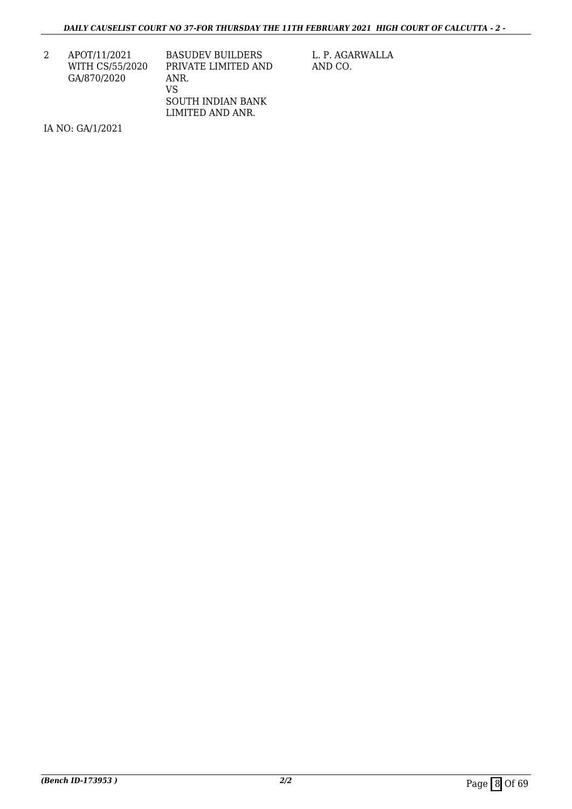2 APOT/11/2021 WITH CS/55/2020 GA/870/2020

BASUDEV BUILDERS PRIVATE LIMITED AND ANR. VS SOUTH INDIAN BANK LIMITED AND ANR.

L. P. AGARWALLA AND CO.

IA NO: GA/1/2021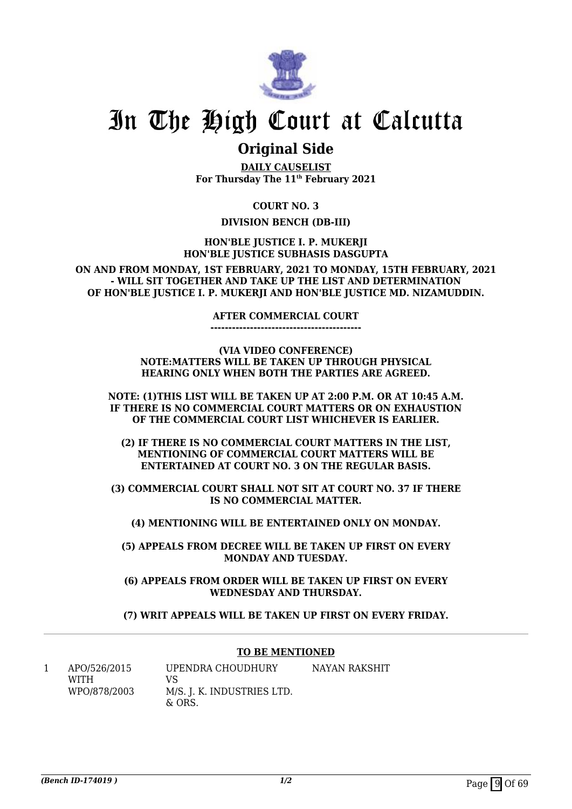

### **Original Side**

**DAILY CAUSELIST For Thursday The 11th February 2021**

**COURT NO. 3**

#### **DIVISION BENCH (DB-III)**

**HON'BLE JUSTICE I. P. MUKERJI HON'BLE JUSTICE SUBHASIS DASGUPTA**

**ON AND FROM MONDAY, 1ST FEBRUARY, 2021 TO MONDAY, 15TH FEBRUARY, 2021 - WILL SIT TOGETHER AND TAKE UP THE LIST AND DETERMINATION OF HON'BLE JUSTICE I. P. MUKERJI AND HON'BLE JUSTICE MD. NIZAMUDDIN.**

#### **AFTER COMMERCIAL COURT**

**------------------------------------------**

**(VIA VIDEO CONFERENCE) NOTE:MATTERS WILL BE TAKEN UP THROUGH PHYSICAL HEARING ONLY WHEN BOTH THE PARTIES ARE AGREED.**

**NOTE: (1)THIS LIST WILL BE TAKEN UP AT 2:00 P.M. OR AT 10:45 A.M. IF THERE IS NO COMMERCIAL COURT MATTERS OR ON EXHAUSTION OF THE COMMERCIAL COURT LIST WHICHEVER IS EARLIER.**

**(2) IF THERE IS NO COMMERCIAL COURT MATTERS IN THE LIST, MENTIONING OF COMMERCIAL COURT MATTERS WILL BE ENTERTAINED AT COURT NO. 3 ON THE REGULAR BASIS.**

**(3) COMMERCIAL COURT SHALL NOT SIT AT COURT NO. 37 IF THERE IS NO COMMERCIAL MATTER.**

**(4) MENTIONING WILL BE ENTERTAINED ONLY ON MONDAY.**

**(5) APPEALS FROM DECREE WILL BE TAKEN UP FIRST ON EVERY MONDAY AND TUESDAY.**

**(6) APPEALS FROM ORDER WILL BE TAKEN UP FIRST ON EVERY WEDNESDAY AND THURSDAY.**

**(7) WRIT APPEALS WILL BE TAKEN UP FIRST ON EVERY FRIDAY.**

#### **TO BE MENTIONED**

1 APO/526/2015 WITH WPO/878/2003 UPENDRA CHOUDHURY VS M/S. J. K. INDUSTRIES LTD.  $&$  ORS. NAYAN RAKSHIT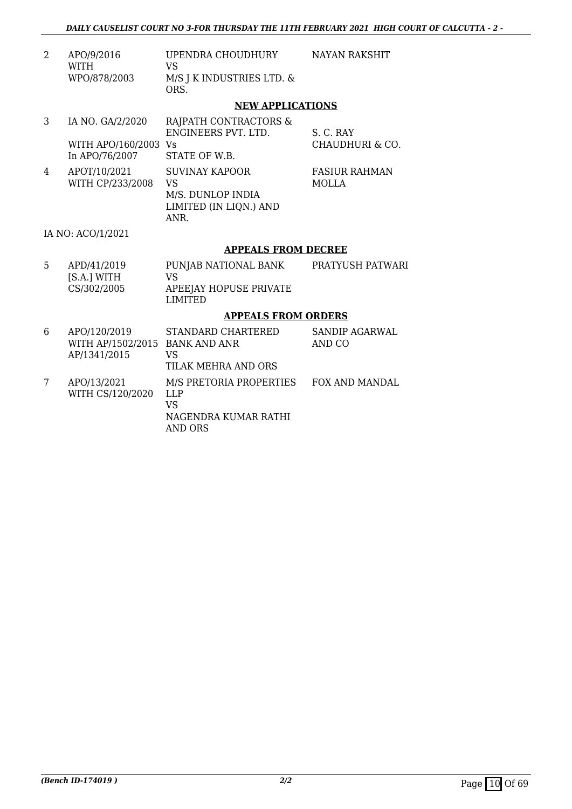| APO/9/2016   | UPENDRA CHOUDHURY              | NAYAN RAKSHIT |
|--------------|--------------------------------|---------------|
| <b>WITH</b>  | VS.                            |               |
| WPO/878/2003 | $M/S$ J K INDUSTRIES LTD. $\&$ |               |
|              | ORS.                           |               |

#### **NEW APPLICATIONS**

|   | IA NO. GA/2/2020     | RAJPATH CONTRACTORS &  |                      |
|---|----------------------|------------------------|----------------------|
|   |                      | ENGINEERS PVT. LTD.    | S. C. RAY            |
|   | WITH APO/160/2003 Vs |                        | CHAUDHURI & CO.      |
|   | In APO/76/2007       | STATE OF W.B.          |                      |
| 4 | APOT/10/2021         | <b>SUVINAY KAPOOR</b>  | <b>FASIUR RAHMAN</b> |
|   | WITH CP/233/2008     | VS                     | MOLLA                |
|   |                      | M/S. DUNLOP INDIA      |                      |
|   |                      | LIMITED (IN LIQN.) AND |                      |
|   |                      | ANR.                   |                      |

#### IA NO: ACO/1/2021

#### **APPEALS FROM DECREE**

| 5 | APD/41/2019<br>IS.A.1 WITH<br>CS/302/2005 | PUNJAB NATIONAL BANK<br>VS.<br>APEEJAY HOPUSE PRIVATE<br>LIMITED | PRATYUSH PATWARI |
|---|-------------------------------------------|------------------------------------------------------------------|------------------|
|   |                                           |                                                                  |                  |

#### **APPEALS FROM ORDERS**

| 6 | APO/120/2019<br>WITH AP/1502/2015 BANK AND ANR<br>AP/1341/2015 | STANDARD CHARTERED<br>VS<br>TILAK MEHRA AND ORS                         | SANDIP AGARWAL<br>AND CO |
|---|----------------------------------------------------------------|-------------------------------------------------------------------------|--------------------------|
|   | APO/13/2021<br>WITH CS/120/2020                                | M/S PRETORIA PROPERTIES<br>LLP<br>VS<br>NAGENDRA KUMAR RATHI<br>AND ORS | FOX AND MANDAL           |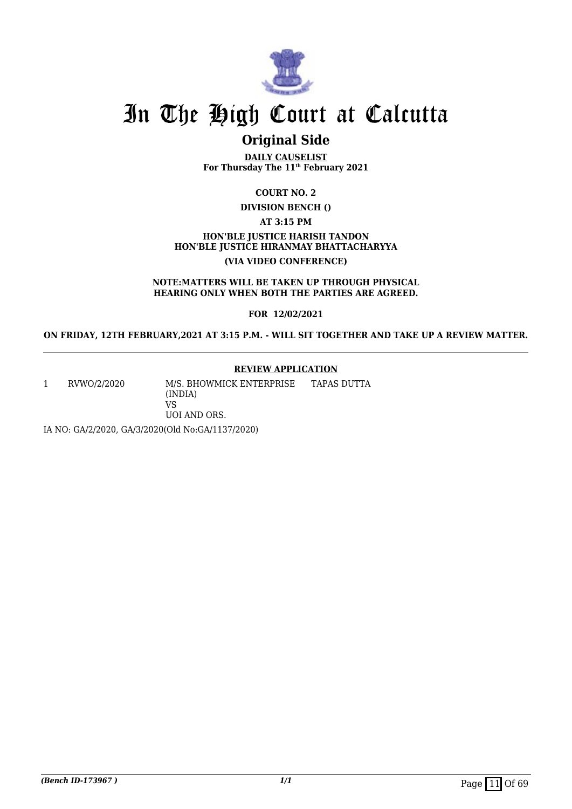

### **Original Side**

**DAILY CAUSELIST For Thursday The 11th February 2021**

**COURT NO. 2**

**DIVISION BENCH ()**

**AT 3:15 PM**

**HON'BLE JUSTICE HARISH TANDON HON'BLE JUSTICE HIRANMAY BHATTACHARYYA (VIA VIDEO CONFERENCE)**

**NOTE:MATTERS WILL BE TAKEN UP THROUGH PHYSICAL HEARING ONLY WHEN BOTH THE PARTIES ARE AGREED.**

**FOR 12/02/2021**

**ON FRIDAY, 12TH FEBRUARY,2021 AT 3:15 P.M. - WILL SIT TOGETHER AND TAKE UP A REVIEW MATTER.**

#### **REVIEW APPLICATION**

1 RVWO/2/2020 M/S. BHOWMICK ENTERPRISE (INDIA) VS UOI AND ORS. TAPAS DUTTA

IA NO: GA/2/2020, GA/3/2020(Old No:GA/1137/2020)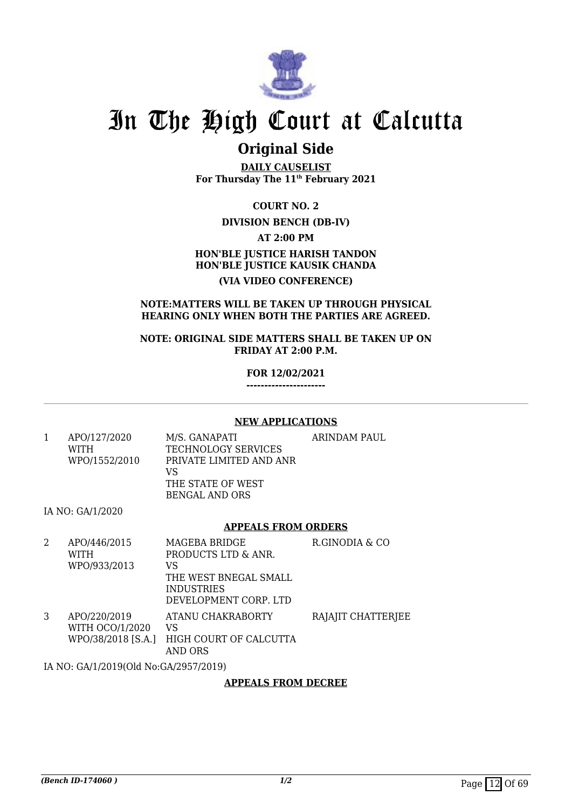

### **Original Side**

**DAILY CAUSELIST For Thursday The 11th February 2021**

**COURT NO. 2**

#### **DIVISION BENCH (DB-IV)**

**AT 2:00 PM**

#### **HON'BLE JUSTICE HARISH TANDON HON'BLE JUSTICE KAUSIK CHANDA (VIA VIDEO CONFERENCE)**

#### **NOTE:MATTERS WILL BE TAKEN UP THROUGH PHYSICAL HEARING ONLY WHEN BOTH THE PARTIES ARE AGREED.**

**NOTE: ORIGINAL SIDE MATTERS SHALL BE TAKEN UP ON FRIDAY AT 2:00 P.M.**

**FOR 12/02/2021**

**----------------------**

#### **NEW APPLICATIONS**

| APO/127/2020  | M/S. GANAPATI           | ARINDAM PAUL |
|---------------|-------------------------|--------------|
| <b>WITH</b>   | TECHNOLOGY SERVICES     |              |
| WPO/1552/2010 | PRIVATE LIMITED AND ANR |              |
|               | VS                      |              |
|               | THE STATE OF WEST       |              |
|               | BENGAL AND ORS          |              |

IA NO: GA/1/2020

#### **APPEALS FROM ORDERS**

| 2 | APO/446/2015           | MAGEBA BRIDGE          | R.GINODIA & CO     |
|---|------------------------|------------------------|--------------------|
|   | <b>WITH</b>            | PRODUCTS LTD & ANR.    |                    |
|   | WPO/933/2013           | VS                     |                    |
|   |                        | THE WEST BNEGAL SMALL  |                    |
|   |                        | <b>INDUSTRIES</b>      |                    |
|   |                        | DEVELOPMENT CORP. LTD  |                    |
| 3 | APO/220/2019           | ATANU CHAKRABORTY      | RAJAJIT CHATTERJEE |
|   | <b>WITH OCO/1/2020</b> | VS                     |                    |
|   | WPO/38/2018 [S.A.]     | HIGH COURT OF CALCUTTA |                    |
|   |                        | AND ORS                |                    |

IA NO: GA/1/2019(Old No:GA/2957/2019)

#### **APPEALS FROM DECREE**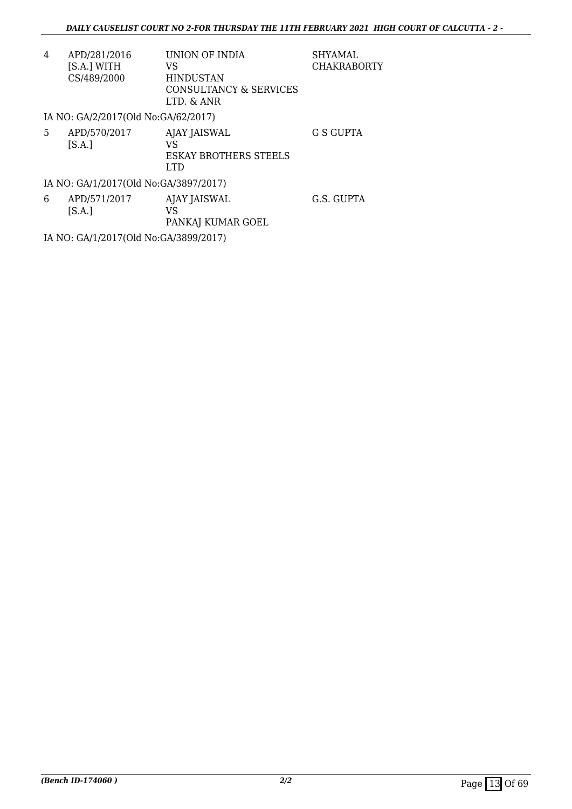| 4 | APD/281/2016                        | UNION OF INDIA               | <b>SHYAMAL</b>     |
|---|-------------------------------------|------------------------------|--------------------|
|   | [S.A.] WITH                         | VS                           | <b>CHAKRABORTY</b> |
|   | CS/489/2000                         | <b>HINDUSTAN</b>             |                    |
|   |                                     | CONSULTANCY & SERVICES       |                    |
|   |                                     | LTD. & ANR                   |                    |
|   | IA NO: GA/2/2017(Old No:GA/62/2017) |                              |                    |
| 5 | APD/570/2017                        | AJAY JAISWAL                 | G S GUPTA          |
|   | [S.A.]                              | VS                           |                    |
|   |                                     | <b>ESKAY BROTHERS STEELS</b> |                    |

IA NO: GA/1/2017(Old No:GA/3897/2017)

| 6 | APD/571/2017    | AJAY JAISWAL      | G.S. GUPTA |
|---|-----------------|-------------------|------------|
|   | [ <b>S.A.</b> ] | VS                |            |
|   |                 | PANKAJ KUMAR GOEL |            |

LTD

IA NO: GA/1/2017(Old No:GA/3899/2017)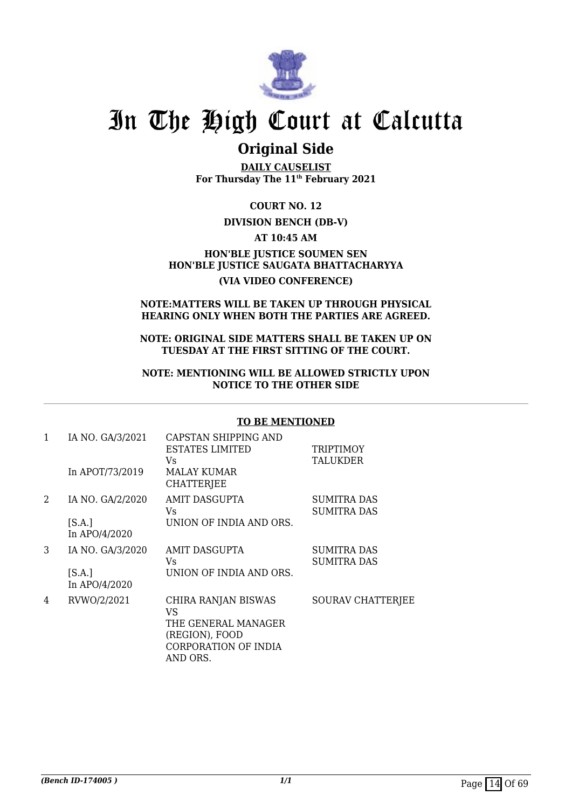

### **Original Side**

**DAILY CAUSELIST For Thursday The 11th February 2021**

**COURT NO. 12**

#### **DIVISION BENCH (DB-V)**

**AT 10:45 AM**

**HON'BLE JUSTICE SOUMEN SEN HON'BLE JUSTICE SAUGATA BHATTACHARYYA (VIA VIDEO CONFERENCE)**

#### **NOTE:MATTERS WILL BE TAKEN UP THROUGH PHYSICAL HEARING ONLY WHEN BOTH THE PARTIES ARE AGREED.**

**NOTE: ORIGINAL SIDE MATTERS SHALL BE TAKEN UP ON TUESDAY AT THE FIRST SITTING OF THE COURT.**

#### **NOTE: MENTIONING WILL BE ALLOWED STRICTLY UPON NOTICE TO THE OTHER SIDE**

#### **TO BE MENTIONED**

| 1 | IA NO. GA/3/2021        | CAPSTAN SHIPPING AND<br><b>ESTATES LIMITED</b><br>Vs.                                                         | <b>TRIPTIMOY</b><br><b>TALUKDER</b>      |
|---|-------------------------|---------------------------------------------------------------------------------------------------------------|------------------------------------------|
|   | In APOT/73/2019         | <b>MALAY KUMAR</b><br><b>CHATTERJEE</b>                                                                       |                                          |
| 2 | IA NO. GA/2/2020        | AMIT DASGUPTA<br>Vs.                                                                                          | <b>SUMITRA DAS</b><br><b>SUMITRA DAS</b> |
|   | [S.A.]<br>In APO/4/2020 | UNION OF INDIA AND ORS.                                                                                       |                                          |
| 3 | IA NO. GA/3/2020        | AMIT DASGUPTA<br>Vs.                                                                                          | <b>SUMITRA DAS</b><br><b>SUMITRA DAS</b> |
|   | [S.A.]<br>In APO/4/2020 | UNION OF INDIA AND ORS.                                                                                       |                                          |
| 4 | RVWO/2/2021             | CHIRA RANJAN BISWAS<br><b>VS</b><br>THE GENERAL MANAGER<br>(REGION), FOOD<br>CORPORATION OF INDIA<br>AND ORS. | <b>SOURAV CHATTERJEE</b>                 |
|   |                         |                                                                                                               |                                          |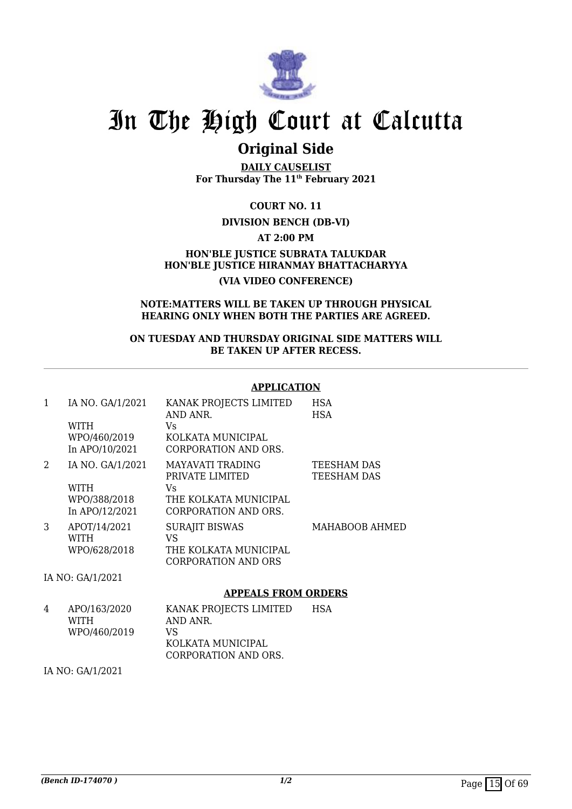

### **Original Side**

**DAILY CAUSELIST For Thursday The 11th February 2021**

**COURT NO. 11**

#### **DIVISION BENCH (DB-VI)**

**AT 2:00 PM**

**HON'BLE JUSTICE SUBRATA TALUKDAR HON'BLE JUSTICE HIRANMAY BHATTACHARYYA (VIA VIDEO CONFERENCE)**

#### **NOTE:MATTERS WILL BE TAKEN UP THROUGH PHYSICAL HEARING ONLY WHEN BOTH THE PARTIES ARE AGREED.**

**ON TUESDAY AND THURSDAY ORIGINAL SIDE MATTERS WILL BE TAKEN UP AFTER RECESS.**

#### **APPLICATION**

| 1 | IA NO. GA/1/2021<br>WITH<br>WPO/460/2019<br>In APO/10/2021        | KANAK PROJECTS LIMITED<br>AND ANR.<br>Vs<br>KOLKATA MUNICIPAL<br>CORPORATION AND ORS.      | <b>HSA</b><br><b>HSA</b>          |
|---|-------------------------------------------------------------------|--------------------------------------------------------------------------------------------|-----------------------------------|
| 2 | IA NO. GA/1/2021<br><b>WITH</b><br>WPO/388/2018<br>In APO/12/2021 | MAYAVATI TRADING<br>PRIVATE LIMITED<br>Vs<br>THE KOLKATA MUNICIPAL<br>CORPORATION AND ORS. | <b>TEESHAM DAS</b><br>TEESHAM DAS |
| 3 | APOT/14/2021<br><b>WITH</b><br>WPO/628/2018                       | <b>SURAJIT BISWAS</b><br>VS<br>THE KOLKATA MUNICIPAL<br>CORPORATION AND ORS                | MAHABOOB AHMED                    |
|   | IA NO: GA/1/2021                                                  |                                                                                            |                                   |

#### **APPEALS FROM ORDERS**

| 4 | APO/163/2020 | KANAK PROJECTS LIMITED | <b>HSA</b> |
|---|--------------|------------------------|------------|
|   | <b>WITH</b>  | AND ANR.               |            |
|   | WPO/460/2019 | VS.                    |            |
|   |              | KOLKATA MUNICIPAL      |            |
|   |              | CORPORATION AND ORS.   |            |

IA NO: GA/1/2021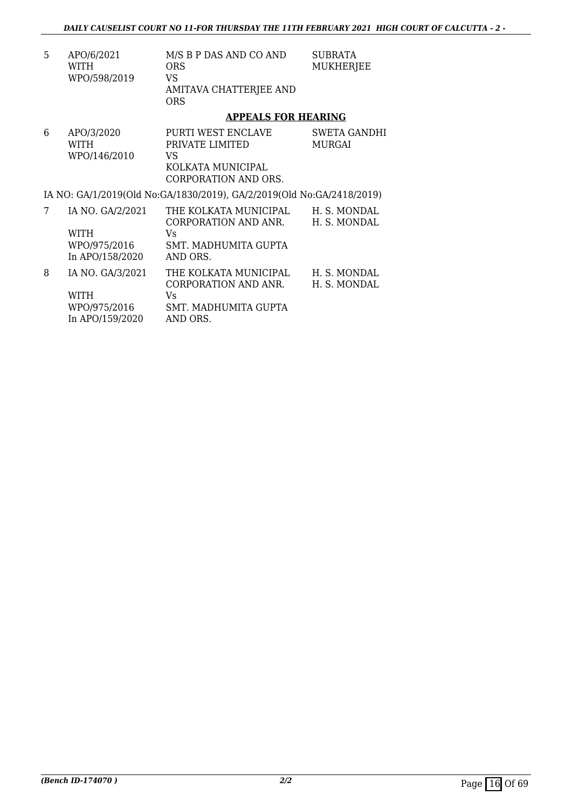| 5 | APO/6/2021   | M/S B P DAS AND CO AND | SUBRATA   |
|---|--------------|------------------------|-----------|
|   | WITH         | ORS                    | MUKHERJEE |
|   | WPO/598/2019 | VS.                    |           |
|   |              | AMITAVA CHATTERJEE AND |           |
|   |              | ORS                    |           |

#### **APPEALS FOR HEARING**

| 6 | APO/3/2020<br><b>WITH</b><br>WPO/146/2010                   | PURTI WEST ENCLAVE<br>PRIVATE LIMITED<br>VS<br>KOLKATA MUNICIPAL<br>CORPORATION AND ORS.        | SWETA GANDHI<br><b>MURGAI</b> |
|---|-------------------------------------------------------------|-------------------------------------------------------------------------------------------------|-------------------------------|
|   |                                                             | IA NO: GA/1/2019(Old No:GA/1830/2019), GA/2/2019(Old No:GA/2418/2019)                           |                               |
| 7 | IA NO. GA/2/2021<br>WITH<br>WPO/975/2016<br>In APO/158/2020 | THE KOLKATA MUNICIPAL<br>CORPORATION AND ANR.<br>Vs.<br>SMT. MADHUMITA GUPTA<br>AND ORS.        | H. S. MONDAL<br>H. S. MONDAL  |
| 8 | IA NO. GA/3/2021<br>WITH<br>WPO/975/2016<br>In APO/159/2020 | THE KOLKATA MUNICIPAL<br><b>CORPORATION AND ANR.</b><br>Vs.<br>SMT. MADHUMITA GUPTA<br>AND ORS. | H. S. MONDAL<br>H. S. MONDAL  |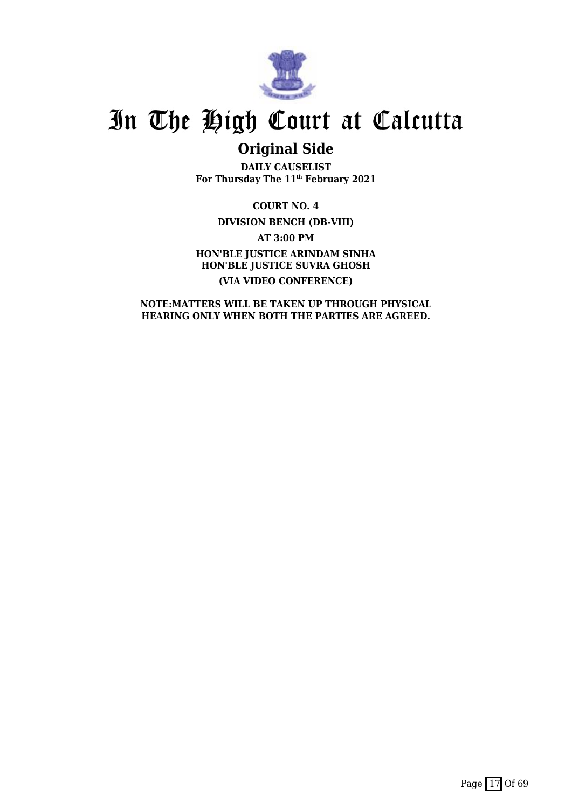

## **Original Side**

**DAILY CAUSELIST For Thursday The 11th February 2021**

**COURT NO. 4 DIVISION BENCH (DB-VIII) AT 3:00 PM HON'BLE JUSTICE ARINDAM SINHA HON'BLE JUSTICE SUVRA GHOSH (VIA VIDEO CONFERENCE)**

**NOTE:MATTERS WILL BE TAKEN UP THROUGH PHYSICAL HEARING ONLY WHEN BOTH THE PARTIES ARE AGREED.**

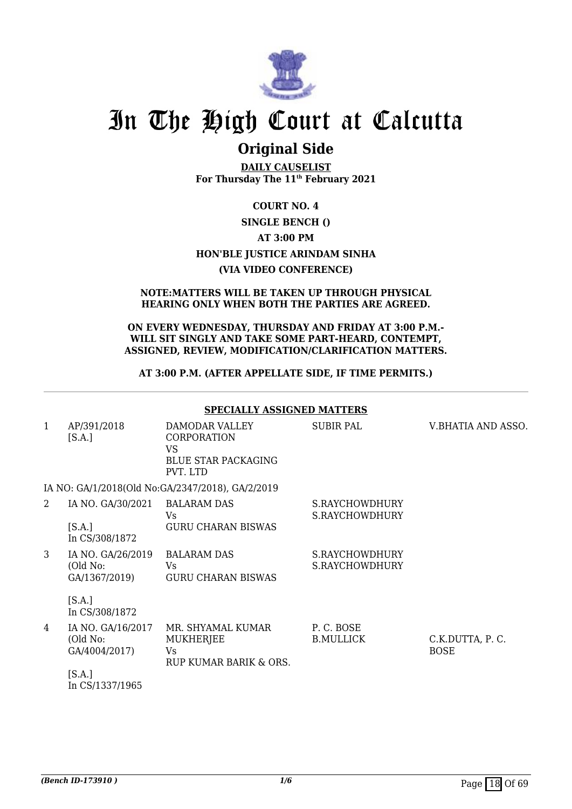

### **Original Side**

**DAILY CAUSELIST For Thursday The 11th February 2021**

### **COURT NO. 4 SINGLE BENCH () AT 3:00 PM HON'BLE JUSTICE ARINDAM SINHA (VIA VIDEO CONFERENCE)**

#### **NOTE:MATTERS WILL BE TAKEN UP THROUGH PHYSICAL HEARING ONLY WHEN BOTH THE PARTIES ARE AGREED.**

#### **ON EVERY WEDNESDAY, THURSDAY AND FRIDAY AT 3:00 P.M.- WILL SIT SINGLY AND TAKE SOME PART-HEARD, CONTEMPT, ASSIGNED, REVIEW, MODIFICATION/CLARIFICATION MATTERS.**

#### **AT 3:00 P.M. (AFTER APPELLATE SIDE, IF TIME PERMITS.)**

|   |                                                | <b>SPECIALLY ASSIGNED MATTERS</b>                                                           |                                  |                                |
|---|------------------------------------------------|---------------------------------------------------------------------------------------------|----------------------------------|--------------------------------|
| 1 | AP/391/2018<br>[S.A.]                          | DAMODAR VALLEY<br><b>CORPORATION</b><br><b>VS</b><br><b>BLUE STAR PACKAGING</b><br>PVT. LTD | SUBIR PAL                        | V.BHATIA AND ASSO.             |
|   |                                                | IA NO: GA/1/2018(Old No:GA/2347/2018), GA/2/2019                                            |                                  |                                |
| 2 | IA NO. GA/30/2021 BALARAM DAS                  | Vs                                                                                          | S.RAYCHOWDHURY<br>S.RAYCHOWDHURY |                                |
|   | [S.A.]<br>In CS/308/1872                       | <b>GURU CHARAN BISWAS</b>                                                                   |                                  |                                |
| 3 | IA NO. GA/26/2019<br>(Old No:<br>GA/1367/2019) | <b>BALARAM DAS</b><br>Vs.<br><b>GURU CHARAN BISWAS</b>                                      | S.RAYCHOWDHURY<br>S.RAYCHOWDHURY |                                |
|   | [S.A.]<br>In CS/308/1872                       |                                                                                             |                                  |                                |
| 4 | IA NO. GA/16/2017<br>(Old No:<br>GA/4004/2017) | MR. SHYAMAL KUMAR<br><b>MUKHERJEE</b><br>Vs.<br>RUP KUMAR BARIK & ORS.                      | P.C. BOSE<br><b>B.MULLICK</b>    | C.K.DUTTA, P.C.<br><b>BOSE</b> |
|   | [S.A.]<br>In CS/1337/1965                      |                                                                                             |                                  |                                |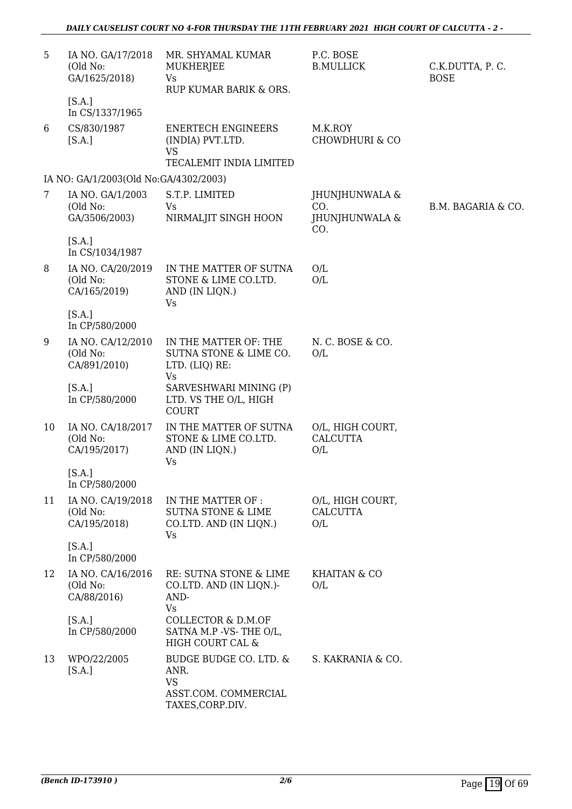| 5  | IA NO. GA/17/2018<br>(Old No:<br>GA/1625/2018)<br>[S.A.] | MR. SHYAMAL KUMAR<br>MUKHERJEE<br>Vs<br>RUP KUMAR BARIK & ORS.                          | P.C. BOSE<br><b>B.MULLICK</b>                  | C.K.DUTTA, P.C.<br><b>BOSE</b> |
|----|----------------------------------------------------------|-----------------------------------------------------------------------------------------|------------------------------------------------|--------------------------------|
| 6  | In CS/1337/1965<br>CS/830/1987<br>[S.A.]                 | <b>ENERTECH ENGINEERS</b><br>(INDIA) PVT.LTD.<br><b>VS</b><br>TECALEMIT INDIA LIMITED   | M.K.ROY<br><b>CHOWDHURI &amp; CO</b>           |                                |
|    | IA NO: GA/1/2003(Old No:GA/4302/2003)                    |                                                                                         |                                                |                                |
| 7  | IA NO. GA/1/2003<br>(Old No:<br>GA/3506/2003)            | S.T.P. LIMITED<br>Vs<br>NIRMALJIT SINGH HOON                                            | JHUNJHUNWALA &<br>CO.<br>JHUNJHUNWALA &<br>CO. | B.M. BAGARIA & CO.             |
|    | [S.A.]<br>In CS/1034/1987                                |                                                                                         |                                                |                                |
| 8  | IA NO. CA/20/2019<br>(Old No:<br>CA/165/2019)            | IN THE MATTER OF SUTNA<br>STONE & LIME CO.LTD.<br>AND (IN LIQN.)<br><b>Vs</b>           | O/L<br>O/L                                     |                                |
|    | [S.A.]<br>In CP/580/2000                                 |                                                                                         |                                                |                                |
| 9  | IA NO. CA/12/2010<br>(Old No:<br>CA/891/2010)            | IN THE MATTER OF: THE<br>SUTNA STONE & LIME CO.<br>LTD. (LIQ) RE:<br><b>Vs</b>          | N.C. BOSE & CO.<br>O/L                         |                                |
|    | [S.A.]<br>In CP/580/2000                                 | SARVESHWARI MINING (P)<br>LTD. VS THE O/L, HIGH<br>COURT                                |                                                |                                |
| 10 | IA NO. CA/18/2017<br>(Old No:<br>CA/195/2017)            | IN THE MATTER OF SUTNA<br>STONE & LIME CO.LTD.<br>AND (IN LIQN.)<br>Vs                  | O/L, HIGH COURT,<br><b>CALCUTTA</b><br>O/L     |                                |
|    | [S.A.]<br>In CP/580/2000                                 |                                                                                         |                                                |                                |
| 11 | IA NO. CA/19/2018<br>(Old No:<br>CA/195/2018)            | IN THE MATTER OF :<br><b>SUTNA STONE &amp; LIME</b><br>CO.LTD. AND (IN LIQN.)<br>Vs     | O/L, HIGH COURT,<br><b>CALCUTTA</b><br>O/L     |                                |
|    | [S.A.]<br>In CP/580/2000                                 |                                                                                         |                                                |                                |
| 12 | IA NO. CA/16/2016<br>(Old No:<br>CA/88/2016)             | RE: SUTNA STONE & LIME<br>CO.LTD. AND (IN LIQN.)-<br>AND-<br><b>Vs</b>                  | <b>KHAITAN &amp; CO</b><br>O/L                 |                                |
|    | [S.A.]<br>In CP/580/2000                                 | <b>COLLECTOR &amp; D.M.OF</b><br>SATNA M.P -VS-THE O/L,<br>HIGH COURT CAL &             |                                                |                                |
| 13 | WPO/22/2005<br>[S.A.]                                    | BUDGE BUDGE CO. LTD. &<br>ANR.<br><b>VS</b><br>ASST.COM. COMMERCIAL<br>TAXES, CORP.DIV. | S. KAKRANIA & CO.                              |                                |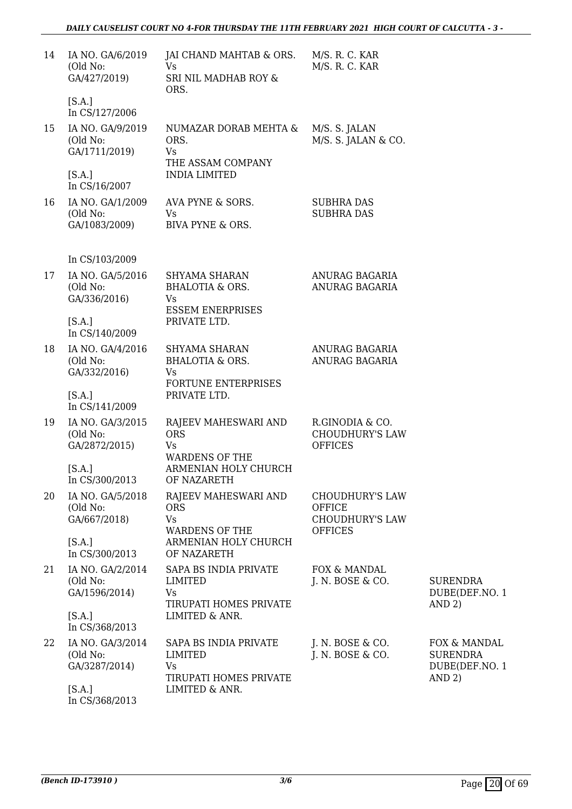| 14 | IA NO. GA/6/2019<br>(Old No:<br>GA/427/2019)  | JAI CHAND MAHTAB & ORS.<br>Vs<br>SRI NIL MADHAB ROY &<br>ORS.                  | M/S. R. C. KAR<br>M/S. R. C. KAR                            |                                                             |
|----|-----------------------------------------------|--------------------------------------------------------------------------------|-------------------------------------------------------------|-------------------------------------------------------------|
|    | [S.A.]<br>In CS/127/2006                      |                                                                                |                                                             |                                                             |
| 15 | IA NO. GA/9/2019<br>(Old No:<br>GA/1711/2019) | NUMAZAR DORAB MEHTA &<br>ORS.<br>Vs<br>THE ASSAM COMPANY                       | M/S. S. JALAN<br>M/S. S. JALAN & CO.                        |                                                             |
|    | [S.A.]<br>In CS/16/2007                       | <b>INDIA LIMITED</b>                                                           |                                                             |                                                             |
| 16 | IA NO. GA/1/2009<br>(Old No:<br>GA/1083/2009) | AVA PYNE & SORS.<br>Vs<br>BIVA PYNE & ORS.                                     | <b>SUBHRA DAS</b><br><b>SUBHRA DAS</b>                      |                                                             |
|    | In CS/103/2009                                |                                                                                |                                                             |                                                             |
| 17 | IA NO. GA/5/2016<br>(Old No:<br>GA/336/2016)  | SHYAMA SHARAN<br><b>BHALOTIA &amp; ORS.</b><br>Vs<br><b>ESSEM ENERPRISES</b>   | ANURAG BAGARIA<br>ANURAG BAGARIA                            |                                                             |
|    | [S.A.]<br>In CS/140/2009                      | PRIVATE LTD.                                                                   |                                                             |                                                             |
| 18 | IA NO. GA/4/2016<br>(Old No:<br>GA/332/2016)  | SHYAMA SHARAN<br>BHALOTIA & ORS.<br>Vs<br>FORTUNE ENTERPRISES                  | ANURAG BAGARIA<br>ANURAG BAGARIA                            |                                                             |
|    | [S.A.]<br>In CS/141/2009                      | PRIVATE LTD.                                                                   |                                                             |                                                             |
| 19 | IA NO. GA/3/2015<br>(Old No:<br>GA/2872/2015) | RAJEEV MAHESWARI AND<br><b>ORS</b><br>Vs<br><b>WARDENS OF THE</b>              | R.GINODIA & CO.<br><b>CHOUDHURY'S LAW</b><br><b>OFFICES</b> |                                                             |
|    | [S.A.]<br>In CS/300/2013                      | ARMENIAN HOLY CHURCH<br>OF NAZARETH                                            |                                                             |                                                             |
| 20 | IA NO. GA/5/2018<br>(Old No:                  | RAJEEV MAHESWARI AND<br><b>ORS</b>                                             | <b>CHOUDHURY'S LAW</b><br><b>OFFICE</b>                     |                                                             |
|    | GA/667/2018)<br>[S.A.]<br>In CS/300/2013      | Vs<br><b>WARDENS OF THE</b><br>ARMENIAN HOLY CHURCH<br>OF NAZARETH             | <b>CHOUDHURY'S LAW</b><br><b>OFFICES</b>                    |                                                             |
| 21 | IA NO. GA/2/2014<br>(Old No:<br>GA/1596/2014) | SAPA BS INDIA PRIVATE<br><b>LIMITED</b><br>Vs                                  | FOX & MANDAL<br>J. N. BOSE & CO.                            | <b>SURENDRA</b><br>DUBE(DEF.NO. 1                           |
|    | [S.A.]<br>In CS/368/2013                      | TIRUPATI HOMES PRIVATE<br>LIMITED & ANR.                                       |                                                             | AND 2)                                                      |
| 22 | IA NO. GA/3/2014<br>(Old No:<br>GA/3287/2014) | SAPA BS INDIA PRIVATE<br><b>LIMITED</b><br>Vs<br><b>TIRUPATI HOMES PRIVATE</b> | J. N. BOSE & CO.<br>J. N. BOSE & CO.                        | FOX & MANDAL<br><b>SURENDRA</b><br>DUBE(DEF.NO. 1<br>AND 2) |
|    | [S.A.]<br>In CS/368/2013                      | LIMITED & ANR.                                                                 |                                                             |                                                             |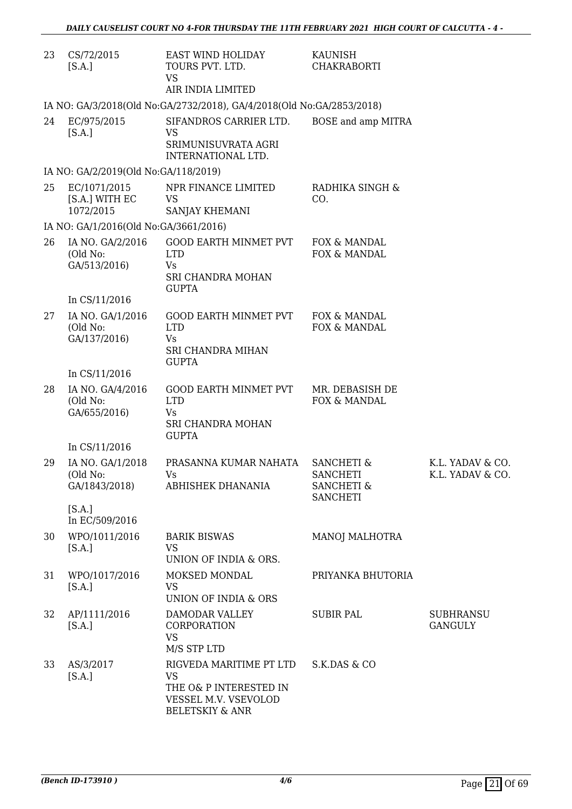| 23 | CS/72/2015<br>[S.A.]                          | EAST WIND HOLIDAY<br>TOURS PVT. LTD.<br>VS<br>AIR INDIA LIMITED                                                      | KAUNISH<br><b>CHAKRABORTI</b>                                                        |                                      |
|----|-----------------------------------------------|----------------------------------------------------------------------------------------------------------------------|--------------------------------------------------------------------------------------|--------------------------------------|
|    |                                               | IA NO: GA/3/2018(Old No:GA/2732/2018), GA/4/2018(Old No:GA/2853/2018)                                                |                                                                                      |                                      |
| 24 | EC/975/2015<br>[S.A.]                         | SIFANDROS CARRIER LTD.<br>VS<br>SRIMUNISUVRATA AGRI<br>INTERNATIONAL LTD.                                            | BOSE and amp MITRA                                                                   |                                      |
|    | IA NO: GA/2/2019(Old No:GA/118/2019)          |                                                                                                                      |                                                                                      |                                      |
| 25 | EC/1071/2015<br>[S.A.] WITH EC<br>1072/2015   | NPR FINANCE LIMITED<br><b>VS</b><br>SANJAY KHEMANI                                                                   | RADHIKA SINGH &<br>CO.                                                               |                                      |
|    | IA NO: GA/1/2016(Old No:GA/3661/2016)         |                                                                                                                      |                                                                                      |                                      |
| 26 | IA NO. GA/2/2016<br>(Old No:<br>GA/513/2016)  | <b>GOOD EARTH MINMET PVT</b><br><b>LTD</b><br>Vs<br>SRI CHANDRA MOHAN<br><b>GUPTA</b>                                | FOX & MANDAL<br>FOX & MANDAL                                                         |                                      |
|    | In CS/11/2016                                 |                                                                                                                      |                                                                                      |                                      |
| 27 | IA NO. GA/1/2016<br>(Old No:<br>GA/137/2016)  | GOOD EARTH MINMET PVT<br><b>LTD</b><br><b>Vs</b><br>SRI CHANDRA MIHAN                                                | FOX & MANDAL<br>FOX & MANDAL                                                         |                                      |
|    | In CS/11/2016                                 | <b>GUPTA</b>                                                                                                         |                                                                                      |                                      |
| 28 | IA NO. GA/4/2016<br>(Old No:<br>GA/655/2016)  | GOOD EARTH MINMET PVT<br><b>LTD</b><br>Vs<br>SRI CHANDRA MOHAN<br><b>GUPTA</b>                                       | MR. DEBASISH DE<br>FOX & MANDAL                                                      |                                      |
|    | In CS/11/2016                                 |                                                                                                                      |                                                                                      |                                      |
| 29 | IA NO. GA/1/2018<br>(Old No:<br>GA/1843/2018) | PRASANNA KUMAR NAHATA<br>Vs.<br>ABHISHEK DHANANIA                                                                    | <b>SANCHETI &amp;</b><br><b>SANCHETI</b><br><b>SANCHETI &amp;</b><br><b>SANCHETI</b> | K.L. YADAV & CO.<br>K.L. YADAV & CO. |
|    | [S.A.]<br>In EC/509/2016                      |                                                                                                                      |                                                                                      |                                      |
| 30 | WPO/1011/2016<br>[S.A.]                       | <b>BARIK BISWAS</b><br><b>VS</b><br>UNION OF INDIA & ORS.                                                            | <b>MANOJ MALHOTRA</b>                                                                |                                      |
| 31 | WPO/1017/2016<br>[S.A.]                       | MOKSED MONDAL<br><b>VS</b><br>UNION OF INDIA & ORS                                                                   | PRIYANKA BHUTORIA                                                                    |                                      |
| 32 | AP/1111/2016<br>[S.A.]                        | DAMODAR VALLEY<br>CORPORATION<br><b>VS</b><br>M/S STP LTD                                                            | <b>SUBIR PAL</b>                                                                     | <b>SUBHRANSU</b><br><b>GANGULY</b>   |
| 33 | AS/3/2017<br>[S.A.]                           | RIGVEDA MARITIME PT LTD<br><b>VS</b><br>THE O& P INTERESTED IN<br>VESSEL M.V. VSEVOLOD<br><b>BELETSKIY &amp; ANR</b> | S.K.DAS & CO                                                                         |                                      |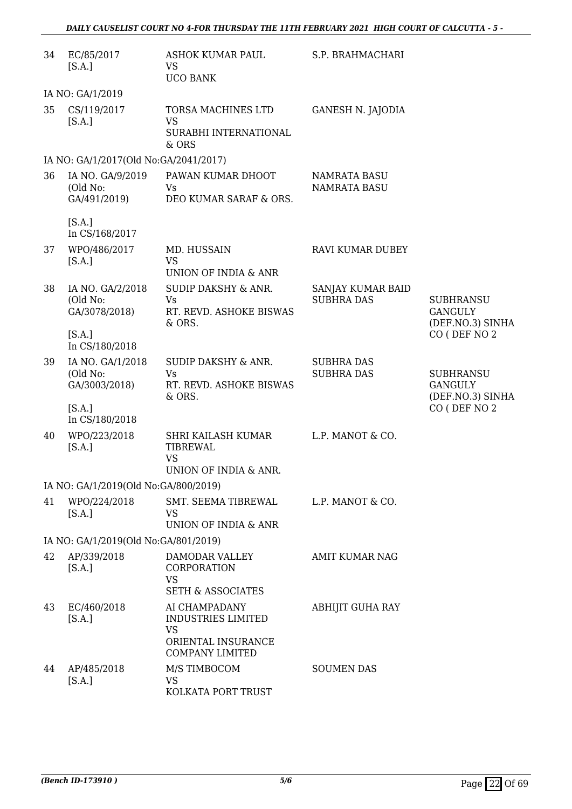| 34 | EC/85/2017<br>[S.A.]                          | <b>ASHOK KUMAR PAUL</b><br><b>VS</b><br><b>UCO BANK</b>                                                 | S.P. BRAHMACHARI                           |                                                        |
|----|-----------------------------------------------|---------------------------------------------------------------------------------------------------------|--------------------------------------------|--------------------------------------------------------|
|    | IA NO: GA/1/2019                              |                                                                                                         |                                            |                                                        |
| 35 | CS/119/2017<br>[S.A.]                         | TORSA MACHINES LTD<br><b>VS</b><br>SURABHI INTERNATIONAL<br>& ORS                                       | GANESH N. JAJODIA                          |                                                        |
|    | IA NO: GA/1/2017(Old No:GA/2041/2017)         |                                                                                                         |                                            |                                                        |
| 36 | IA NO. GA/9/2019<br>(Old No:<br>GA/491/2019)  | PAWAN KUMAR DHOOT<br><b>Vs</b><br>DEO KUMAR SARAF & ORS.                                                | <b>NAMRATA BASU</b><br><b>NAMRATA BASU</b> |                                                        |
|    | [S.A.]<br>In CS/168/2017                      |                                                                                                         |                                            |                                                        |
| 37 | WPO/486/2017<br>[S.A.]                        | MD. HUSSAIN<br><b>VS</b>                                                                                | RAVI KUMAR DUBEY                           |                                                        |
|    |                                               | UNION OF INDIA & ANR                                                                                    |                                            |                                                        |
| 38 | IA NO. GA/2/2018<br>(Old No:<br>GA/3078/2018) | SUDIP DAKSHY & ANR.<br>Vs<br>RT. REVD. ASHOKE BISWAS<br>& ORS.                                          | SANJAY KUMAR BAID<br><b>SUBHRA DAS</b>     | <b>SUBHRANSU</b><br><b>GANGULY</b><br>(DEF.NO.3) SINHA |
|    | [S.A.]<br>In CS/180/2018                      |                                                                                                         |                                            | CO (DEF NO 2                                           |
| 39 | IA NO. GA/1/2018<br>(Old No:<br>GA/3003/2018) | SUDIP DAKSHY & ANR.<br>Vs<br>RT. REVD. ASHOKE BISWAS<br>& ORS.                                          | <b>SUBHRA DAS</b><br><b>SUBHRA DAS</b>     | <b>SUBHRANSU</b><br><b>GANGULY</b><br>(DEF.NO.3) SINHA |
|    | [S.A.]<br>In CS/180/2018                      |                                                                                                         |                                            | CO (DEF NO 2                                           |
| 40 | WPO/223/2018<br>[S.A.]                        | SHRI KAILASH KUMAR<br>TIBREWAL<br><b>VS</b><br>UNION OF INDIA & ANR.                                    | L.P. MANOT & CO.                           |                                                        |
|    | IA NO: GA/1/2019(Old No:GA/800/2019)          |                                                                                                         |                                            |                                                        |
| 41 | WPO/224/2018<br>[S.A.]                        | SMT. SEEMA TIBREWAL<br>VS<br>UNION OF INDIA & ANR                                                       | L.P. MANOT & CO.                           |                                                        |
|    | IA NO: GA/1/2019(Old No:GA/801/2019)          |                                                                                                         |                                            |                                                        |
| 42 | AP/339/2018<br>[S.A.]                         | <b>DAMODAR VALLEY</b><br>CORPORATION<br><b>VS</b><br><b>SETH &amp; ASSOCIATES</b>                       | <b>AMIT KUMAR NAG</b>                      |                                                        |
| 43 | EC/460/2018<br>[S.A.]                         | AI CHAMPADANY<br><b>INDUSTRIES LIMITED</b><br><b>VS</b><br>ORIENTAL INSURANCE<br><b>COMPANY LIMITED</b> | <b>ABHIJIT GUHA RAY</b>                    |                                                        |
| 44 | AP/485/2018<br>[S.A.]                         | M/S TIMBOCOM<br>VS<br>KOLKATA PORT TRUST                                                                | <b>SOUMEN DAS</b>                          |                                                        |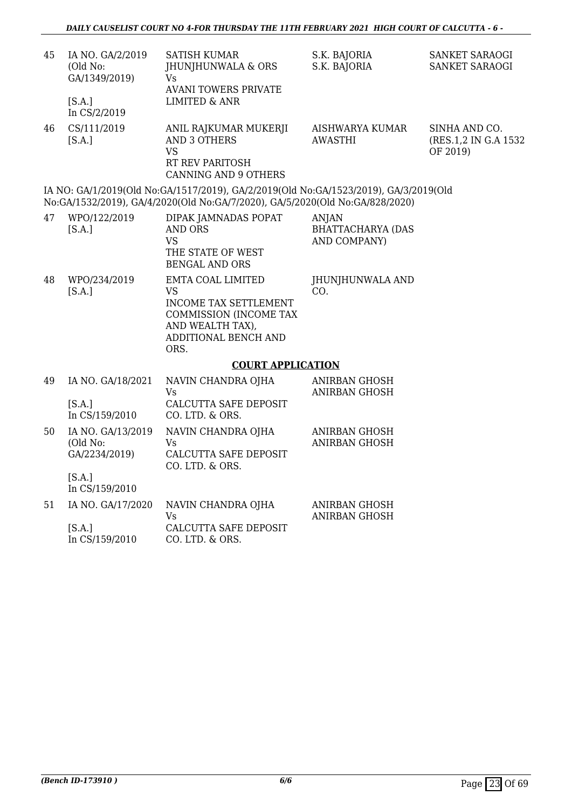| 45 | IA NO. GA/2/2019<br>(Old No:<br>GA/1349/2019)<br>[S.A.]<br>In CS/2/2019 | SATISH KUMAR<br>JHUNJHUNWALA & ORS<br>Vs.<br><b>AVANI TOWERS PRIVATE</b><br><b>LIMITED &amp; ANR</b>                                                                 | S.K. BAJORIA<br>S.K. BAJORIA                             | SANKET SARAOGI<br>SANKET SARAOGI                   |
|----|-------------------------------------------------------------------------|----------------------------------------------------------------------------------------------------------------------------------------------------------------------|----------------------------------------------------------|----------------------------------------------------|
| 46 | CS/111/2019<br>[S.A.]                                                   | ANIL RAJKUMAR MUKERJI<br><b>AND 3 OTHERS</b><br><b>VS</b><br>RT REV PARITOSH<br>CANNING AND 9 OTHERS                                                                 | AISHWARYA KUMAR<br><b>AWASTHI</b>                        | SINHA AND CO.<br>(RES.1,2 IN G.A 1532)<br>OF 2019) |
|    |                                                                         | IA NO: GA/1/2019(Old No:GA/1517/2019), GA/2/2019(Old No:GA/1523/2019), GA/3/2019(Old<br>No:GA/1532/2019), GA/4/2020(Old No:GA/7/2020), GA/5/2020(Old No:GA/828/2020) |                                                          |                                                    |
| 47 | WPO/122/2019<br>[S.A.]                                                  | DIPAK JAMNADAS POPAT<br><b>AND ORS</b><br><b>VS</b><br>THE STATE OF WEST<br><b>BENGAL AND ORS</b>                                                                    | <b>ANJAN</b><br><b>BHATTACHARYA (DAS</b><br>AND COMPANY) |                                                    |
| 48 | WPO/234/2019<br>[S.A.]                                                  | EMTA COAL LIMITED<br><b>VS</b><br><b>INCOME TAX SETTLEMENT</b><br>COMMISSION (INCOME TAX<br>AND WEALTH TAX),<br>ADDITIONAL BENCH AND<br>ORS.                         | JHUNJHUNWALA AND<br>CO.                                  |                                                    |
|    |                                                                         | <b>COURT APPLICATION</b>                                                                                                                                             |                                                          |                                                    |
| 49 | IA NO. GA/18/2021<br>[S.A.]<br>In CS/159/2010                           | NAVIN CHANDRA OJHA<br>Vs.<br>CALCUTTA SAFE DEPOSIT<br>CO. LTD. & ORS.                                                                                                | <b>ANIRBAN GHOSH</b><br><b>ANIRBAN GHOSH</b>             |                                                    |
| 50 | IA NO. GA/13/2019<br>(Old No:<br>GA/2234/2019)<br>[S.A.]                | NAVIN CHANDRA OJHA<br>Vs<br><b>CALCUTTA SAFE DEPOSIT</b><br>CO. LTD. & ORS.                                                                                          | <b>ANIRBAN GHOSH</b><br><b>ANIRBAN GHOSH</b>             |                                                    |
|    | In CS/159/2010                                                          |                                                                                                                                                                      |                                                          |                                                    |
| 51 | IA NO. GA/17/2020                                                       | NAVIN CHANDRA OJHA<br><b>Vs</b>                                                                                                                                      | <b>ANIRBAN GHOSH</b><br>ANIRBAN GHOSH                    |                                                    |
|    | [S.A.]                                                                  | CALCUTTA SAFE DEPOSIT                                                                                                                                                |                                                          |                                                    |

In CS/159/2010 CO. LTD. & ORS.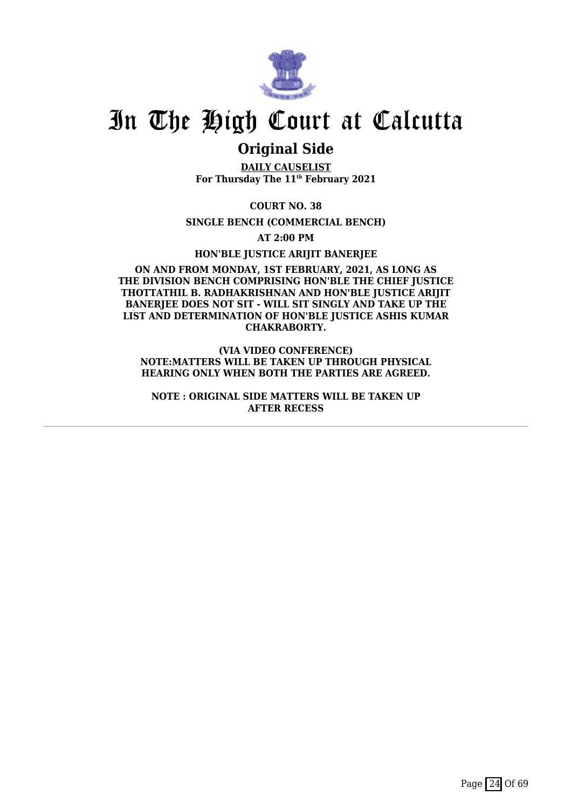

### **Original Side**

**DAILY CAUSELIST For Thursday The 11th February 2021**

**COURT NO. 38**

**SINGLE BENCH (COMMERCIAL BENCH)**

**AT 2:00 PM**

**HON'BLE JUSTICE ARIJIT BANERJEE**

#### **ON AND FROM MONDAY, 1ST FEBRUARY, 2021, AS LONG AS THE DIVISION BENCH COMPRISING HON'BLE THE CHIEF JUSTICE THOTTATHIL B. RADHAKRISHNAN AND HON'BLE JUSTICE ARIJIT** BANERIEE DOES NOT SIT - WILL SIT SINGLY AND TAKE UP THE **LIST AND DETERMINATION OF HON'BLE JUSTICE ASHIS KUMAR CHAKRABORTY.**

**(VIA VIDEO CONFERENCE) NOTE:MATTERS WILL BE TAKEN UP THROUGH PHYSICAL HEARING ONLY WHEN BOTH THE PARTIES ARE AGREED.**

**NOTE : ORIGINAL SIDE MATTERS WILL BE TAKEN UP AFTER RECESS**

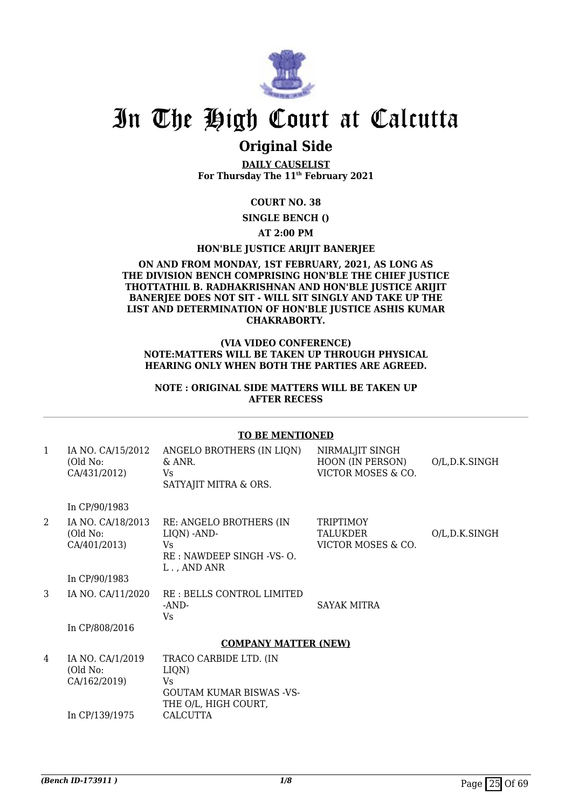

### **Original Side**

**DAILY CAUSELIST For Thursday The 11th February 2021**

#### **COURT NO. 38**

**SINGLE BENCH ()**

#### **AT 2:00 PM**

#### **HON'BLE JUSTICE ARIJIT BANERJEE**

#### **ON AND FROM MONDAY, 1ST FEBRUARY, 2021, AS LONG AS THE DIVISION BENCH COMPRISING HON'BLE THE CHIEF JUSTICE THOTTATHIL B. RADHAKRISHNAN AND HON'BLE JUSTICE ARIJIT BANERJEE DOES NOT SIT - WILL SIT SINGLY AND TAKE UP THE LIST AND DETERMINATION OF HON'BLE JUSTICE ASHIS KUMAR CHAKRABORTY.**

#### **(VIA VIDEO CONFERENCE) NOTE:MATTERS WILL BE TAKEN UP THROUGH PHYSICAL HEARING ONLY WHEN BOTH THE PARTIES ARE AGREED.**

#### **NOTE : ORIGINAL SIDE MATTERS WILL BE TAKEN UP AFTER RECESS**

#### **TO BE MENTIONED**

| $\mathbf{1}$  | IA NO. CA/15/2012<br>(Old No:<br>CA/431/2012)                  | ANGELO BROTHERS (IN LIQN)<br>& ANR.<br>Vs<br>SATYAJIT MITRA & ORS.                                                  | NIRMALJIT SINGH<br>HOON (IN PERSON)<br>VICTOR MOSES & CO. | O/L,D.K.SINGH |
|---------------|----------------------------------------------------------------|---------------------------------------------------------------------------------------------------------------------|-----------------------------------------------------------|---------------|
|               | In CP/90/1983                                                  |                                                                                                                     |                                                           |               |
| 2             | IA NO. CA/18/2013<br>(Old No:<br>CA/401/2013)                  | RE: ANGELO BROTHERS (IN<br>LIQN) -AND-<br>Vs<br>RE: NAWDEEP SINGH -VS- O.<br>L., AND ANR                            | TRIPTIMOY<br>TALUKDER<br>VICTOR MOSES & CO.               | O/L,D.K.SINGH |
|               | In CP/90/1983                                                  |                                                                                                                     |                                                           |               |
| $\mathcal{S}$ | IA NO. CA/11/2020                                              | RE : BELLS CONTROL LIMITED<br>-AND-<br>Vs                                                                           | <b>SAYAK MITRA</b>                                        |               |
|               | In CP/808/2016                                                 |                                                                                                                     |                                                           |               |
|               |                                                                | <b>COMPANY MATTER (NEW)</b>                                                                                         |                                                           |               |
| 4             | IA NO. CA/1/2019<br>(Old No:<br>CA/162/2019)<br>In CP/139/1975 | TRACO CARBIDE LTD. (IN<br>LIQN)<br>Vs<br><b>GOUTAM KUMAR BISWAS -VS-</b><br>THE O/L, HIGH COURT,<br><b>CALCUTTA</b> |                                                           |               |
|               |                                                                |                                                                                                                     |                                                           |               |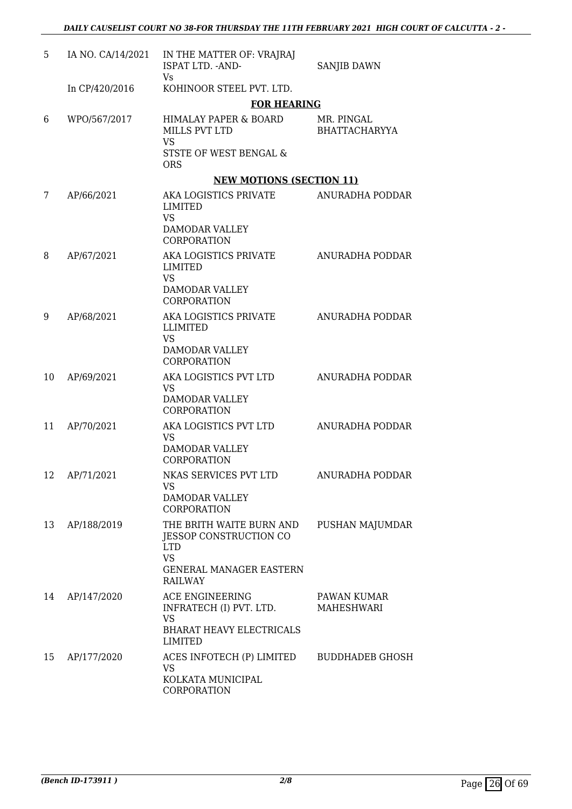| 5  | IA NO. CA/14/2021 | IN THE MATTER OF: VRAJRAJ<br>ISPAT LTD. - AND-<br>Vs                                                                              | <b>SANJIB DAWN</b>                 |
|----|-------------------|-----------------------------------------------------------------------------------------------------------------------------------|------------------------------------|
|    | In CP/420/2016    | KOHINOOR STEEL PVT. LTD.                                                                                                          |                                    |
|    |                   | <b>FOR HEARING</b>                                                                                                                |                                    |
| 6  | WPO/567/2017      | HIMALAY PAPER & BOARD<br>MILLS PVT LTD<br><b>VS</b>                                                                               | MR. PINGAL<br><b>BHATTACHARYYA</b> |
|    |                   | STSTE OF WEST BENGAL &<br><b>ORS</b>                                                                                              |                                    |
|    |                   | <b>NEW MOTIONS (SECTION 11)</b>                                                                                                   |                                    |
| 7  | AP/66/2021        | AKA LOGISTICS PRIVATE<br>LIMITED<br><b>VS</b>                                                                                     | ANURADHA PODDAR                    |
|    |                   | DAMODAR VALLEY<br>CORPORATION                                                                                                     |                                    |
| 8  | AP/67/2021        | AKA LOGISTICS PRIVATE<br>LIMITED<br><b>VS</b>                                                                                     | ANURADHA PODDAR                    |
|    |                   | DAMODAR VALLEY<br>CORPORATION                                                                                                     |                                    |
| 9  | AP/68/2021        | AKA LOGISTICS PRIVATE<br>LLIMITED<br><b>VS</b>                                                                                    | ANURADHA PODDAR                    |
|    |                   | DAMODAR VALLEY<br>CORPORATION                                                                                                     |                                    |
| 10 | AP/69/2021        | AKA LOGISTICS PVT LTD<br>VS<br>DAMODAR VALLEY                                                                                     | ANURADHA PODDAR                    |
|    |                   | CORPORATION                                                                                                                       |                                    |
| 11 | AP/70/2021        | AKA LOGISTICS PVT LTD<br><b>VS</b>                                                                                                | ANURADHA PODDAR                    |
|    |                   | DAMODAR VALLEY<br>CORPORATION                                                                                                     |                                    |
|    | 12 AP/71/2021     | NKAS SERVICES PVT LTD<br><b>VS</b><br>DAMODAR VALLEY<br><b>CORPORATION</b>                                                        | ANURADHA PODDAR                    |
| 13 | AP/188/2019       | THE BRITH WAITE BURN AND<br>JESSOP CONSTRUCTION CO<br><b>LTD</b><br><b>VS</b><br><b>GENERAL MANAGER EASTERN</b><br><b>RAILWAY</b> | PUSHAN MAJUMDAR                    |
| 14 | AP/147/2020       | ACE ENGINEERING                                                                                                                   | PAWAN KUMAR<br>MAHESHWARI          |
|    |                   | INFRATECH (I) PVT. LTD.<br><b>VS</b><br><b>BHARAT HEAVY ELECTRICALS</b><br>LIMITED                                                |                                    |
| 15 | AP/177/2020       | ACES INFOTECH (P) LIMITED<br><b>VS</b>                                                                                            | <b>BUDDHADEB GHOSH</b>             |
|    |                   | KOLKATA MUNICIPAL<br>CORPORATION                                                                                                  |                                    |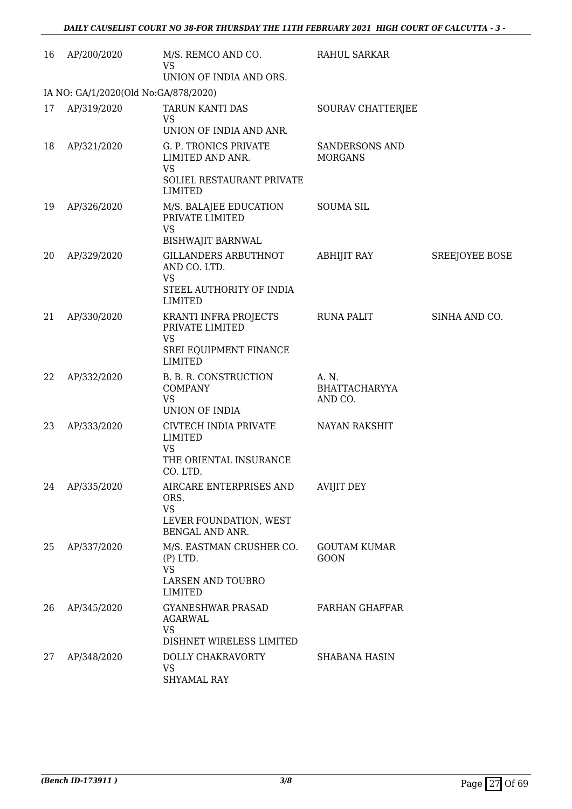| 16 | AP/200/2020                          | M/S. REMCO AND CO.<br><b>VS</b><br>UNION OF INDIA AND ORS.                                                           | RAHUL SARKAR                       |                       |
|----|--------------------------------------|----------------------------------------------------------------------------------------------------------------------|------------------------------------|-----------------------|
|    | IA NO: GA/1/2020(Old No:GA/878/2020) |                                                                                                                      |                                    |                       |
| 17 | AP/319/2020                          | TARUN KANTI DAS<br><b>VS</b><br>UNION OF INDIA AND ANR.                                                              | SOURAV CHATTERJEE                  |                       |
| 18 | AP/321/2020                          | G. P. TRONICS PRIVATE<br>LIMITED AND ANR.<br><b>VS</b><br>SOLIEL RESTAURANT PRIVATE<br><b>LIMITED</b>                | SANDERSONS AND<br><b>MORGANS</b>   |                       |
| 19 | AP/326/2020                          | M/S. BALAJEE EDUCATION<br>PRIVATE LIMITED<br><b>VS</b>                                                               | <b>SOUMA SIL</b>                   |                       |
| 20 | AP/329/2020                          | <b>BISHWAJIT BARNWAL</b><br>GILLANDERS ARBUTHNOT<br>AND CO. LTD.<br>VS<br>STEEL AUTHORITY OF INDIA<br><b>LIMITED</b> | ABHIJIT RAY                        | <b>SREEJOYEE BOSE</b> |
| 21 | AP/330/2020                          | KRANTI INFRA PROJECTS<br>PRIVATE LIMITED<br><b>VS</b><br>SREI EQUIPMENT FINANCE<br>LIMITED                           | RUNA PALIT                         | SINHA AND CO.         |
| 22 | AP/332/2020                          | B. B. R. CONSTRUCTION<br><b>COMPANY</b><br><b>VS</b><br>UNION OF INDIA                                               | A. N.<br>BHATTACHARYYA<br>AND CO.  |                       |
| 23 | AP/333/2020                          | CIVTECH INDIA PRIVATE<br><b>LIMITED</b><br><b>VS</b><br>THE ORIENTAL INSURANCE<br>CO. LTD.                           | <b>NAYAN RAKSHIT</b>               |                       |
| 24 | AP/335/2020                          | AIRCARE ENTERPRISES AND<br>ORS.<br><b>VS</b><br>LEVER FOUNDATION, WEST<br>BENGAL AND ANR.                            | <b>AVIJIT DEY</b>                  |                       |
| 25 | AP/337/2020                          | M/S. EASTMAN CRUSHER CO.<br>$(P)$ LTD.<br><b>VS</b><br>LARSEN AND TOUBRO<br><b>LIMITED</b>                           | <b>GOUTAM KUMAR</b><br><b>GOON</b> |                       |
| 26 | AP/345/2020                          | <b>GYANESHWAR PRASAD</b><br><b>AGARWAL</b><br><b>VS</b><br>DISHNET WIRELESS LIMITED                                  | <b>FARHAN GHAFFAR</b>              |                       |
| 27 | AP/348/2020                          | DOLLY CHAKRAVORTY<br><b>VS</b><br><b>SHYAMAL RAY</b>                                                                 | <b>SHABANA HASIN</b>               |                       |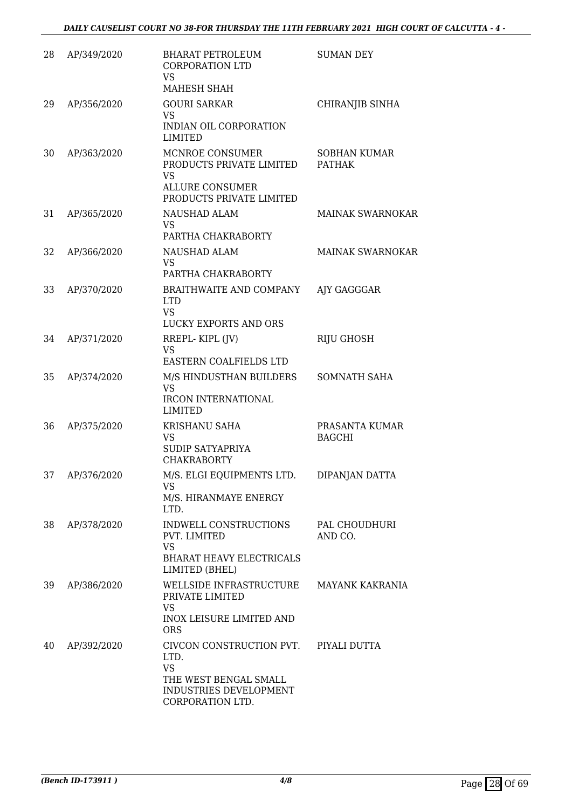| 28 | AP/349/2020 | <b>BHARAT PETROLEUM</b><br><b>CORPORATION LTD</b><br>VS<br>MAHESH SHAH                                               | <b>SUMAN DEY</b>                     |
|----|-------------|----------------------------------------------------------------------------------------------------------------------|--------------------------------------|
| 29 | AP/356/2020 | <b>GOURI SARKAR</b><br><b>VS</b><br>INDIAN OIL CORPORATION<br><b>LIMITED</b>                                         | <b>CHIRANJIB SINHA</b>               |
| 30 | AP/363/2020 | MCNROE CONSUMER<br>PRODUCTS PRIVATE LIMITED<br><b>VS</b><br><b>ALLURE CONSUMER</b><br>PRODUCTS PRIVATE LIMITED       | <b>SOBHAN KUMAR</b><br><b>PATHAK</b> |
| 31 | AP/365/2020 | NAUSHAD ALAM<br><b>VS</b><br>PARTHA CHAKRABORTY                                                                      | <b>MAINAK SWARNOKAR</b>              |
| 32 | AP/366/2020 | NAUSHAD ALAM<br>VS<br>PARTHA CHAKRABORTY                                                                             | <b>MAINAK SWARNOKAR</b>              |
| 33 | AP/370/2020 | BRAITHWAITE AND COMPANY<br>LTD <sub>1</sub><br><b>VS</b><br>LUCKY EXPORTS AND ORS                                    | AJY GAGGGAR                          |
| 34 | AP/371/2020 | RREPL-KIPL (JV)<br><b>VS</b><br>EASTERN COALFIELDS LTD                                                               | <b>RIJU GHOSH</b>                    |
| 35 | AP/374/2020 | M/S HINDUSTHAN BUILDERS<br><b>VS</b><br><b>IRCON INTERNATIONAL</b><br><b>LIMITED</b>                                 | SOMNATH SAHA                         |
| 36 | AP/375/2020 | KRISHANU SAHA<br>VS<br><b>SUDIP SATYAPRIYA</b><br><b>CHAKRABORTY</b>                                                 | PRASANTA KUMAR<br><b>BAGCHI</b>      |
| 37 | AP/376/2020 | M/S. ELGI EQUIPMENTS LTD.<br>VS<br>M/S. HIRANMAYE ENERGY<br>LTD.                                                     | DIPANJAN DATTA                       |
| 38 | AP/378/2020 | INDWELL CONSTRUCTIONS<br>PVT. LIMITED<br><b>VS</b><br><b>BHARAT HEAVY ELECTRICALS</b><br>LIMITED (BHEL)              | PAL CHOUDHURI<br>AND CO.             |
| 39 | AP/386/2020 | WELLSIDE INFRASTRUCTURE<br>PRIVATE LIMITED<br><b>VS</b><br>INOX LEISURE LIMITED AND<br><b>ORS</b>                    | <b>MAYANK KAKRANIA</b>               |
| 40 | AP/392/2020 | CIVCON CONSTRUCTION PVT.<br>LTD.<br><b>VS</b><br>THE WEST BENGAL SMALL<br>INDUSTRIES DEVELOPMENT<br>CORPORATION LTD. | PIYALI DUTTA                         |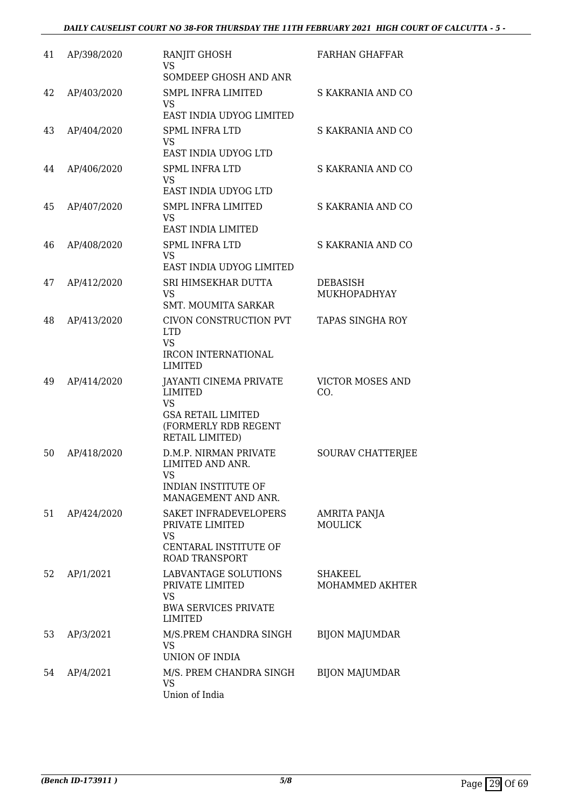| 41 | AP/398/2020 | RANJIT GHOSH<br>VS<br>SOMDEEP GHOSH AND ANR                                                                                          | <b>FARHAN GHAFFAR</b>           |
|----|-------------|--------------------------------------------------------------------------------------------------------------------------------------|---------------------------------|
| 42 | AP/403/2020 | <b>SMPL INFRA LIMITED</b><br>VS<br>EAST INDIA UDYOG LIMITED                                                                          | S KAKRANIA AND CO               |
| 43 | AP/404/2020 | <b>SPML INFRA LTD</b><br><b>VS</b><br>EAST INDIA UDYOG LTD                                                                           | S KAKRANIA AND CO               |
| 44 | AP/406/2020 | <b>SPML INFRA LTD</b><br><b>VS</b><br>EAST INDIA UDYOG LTD                                                                           | S KAKRANIA AND CO               |
| 45 | AP/407/2020 | <b>SMPL INFRA LIMITED</b><br><b>VS</b><br>EAST INDIA LIMITED                                                                         | S KAKRANIA AND CO               |
| 46 | AP/408/2020 | <b>SPML INFRA LTD</b><br><b>VS</b><br>EAST INDIA UDYOG LIMITED                                                                       | S KAKRANIA AND CO               |
| 47 | AP/412/2020 | SRI HIMSEKHAR DUTTA<br>VS<br><b>SMT. MOUMITA SARKAR</b>                                                                              | <b>DEBASISH</b><br>MUKHOPADHYAY |
| 48 | AP/413/2020 | CIVON CONSTRUCTION PVT<br><b>LTD</b><br><b>VS</b>                                                                                    | <b>TAPAS SINGHA ROY</b>         |
|    |             | <b>IRCON INTERNATIONAL</b><br>LIMITED                                                                                                |                                 |
| 49 | AP/414/2020 | <b>JAYANTI CINEMA PRIVATE</b><br><b>LIMITED</b><br><b>VS</b><br><b>GSA RETAIL LIMITED</b><br>(FORMERLY RDB REGENT<br>RETAIL LIMITED) | <b>VICTOR MOSES AND</b><br>CO.  |
| 50 | AP/418/2020 | D.M.P. NIRMAN PRIVATE<br>LIMITED AND ANR.<br>VS 7<br>INDIAN INSTITUTE OF<br>MANAGEMENT AND ANR.                                      | SOURAV CHATTERJEE               |
| 51 | AP/424/2020 | SAKET INFRADEVELOPERS<br>PRIVATE LIMITED<br>VS<br>CENTARAL INSTITUTE OF<br><b>ROAD TRANSPORT</b>                                     | AMRITA PANJA<br><b>MOULICK</b>  |
| 52 | AP/1/2021   | LABVANTAGE SOLUTIONS<br>PRIVATE LIMITED<br>VS<br><b>BWA SERVICES PRIVATE</b><br>LIMITED                                              | SHAKEEL<br>MOHAMMED AKHTER      |
| 53 | AP/3/2021   | M/S.PREM CHANDRA SINGH<br>VS<br>UNION OF INDIA                                                                                       | <b>BIJON MAJUMDAR</b>           |
| 54 | AP/4/2021   | M/S. PREM CHANDRA SINGH<br>VS<br>Union of India                                                                                      | <b>BIJON MAJUMDAR</b>           |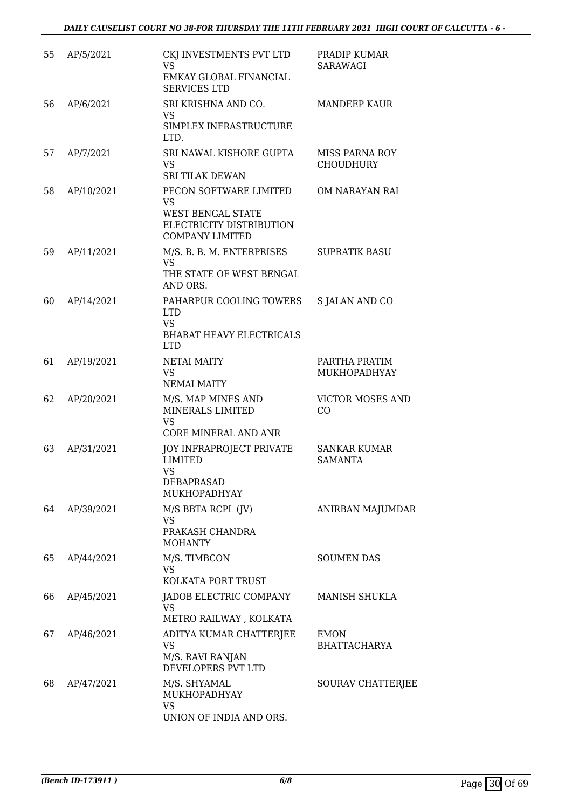| 55 | AP/5/2021  | CKJ INVESTMENTS PVT LTD<br><b>VS</b><br>EMKAY GLOBAL FINANCIAL<br><b>SERVICES LTD</b>                          | PRADIP KUMAR<br>SARAWAGI                  |
|----|------------|----------------------------------------------------------------------------------------------------------------|-------------------------------------------|
| 56 | AP/6/2021  | SRI KRISHNA AND CO.<br>VS<br>SIMPLEX INFRASTRUCTURE<br>LTD.                                                    | <b>MANDEEP KAUR</b>                       |
| 57 | AP/7/2021  | SRI NAWAL KISHORE GUPTA<br><b>VS</b><br><b>SRI TILAK DEWAN</b>                                                 | <b>MISS PARNA ROY</b><br><b>CHOUDHURY</b> |
| 58 | AP/10/2021 | PECON SOFTWARE LIMITED<br><b>VS</b><br>WEST BENGAL STATE<br>ELECTRICITY DISTRIBUTION<br><b>COMPANY LIMITED</b> | OM NARAYAN RAI                            |
| 59 | AP/11/2021 | M/S. B. B. M. ENTERPRISES<br><b>VS</b><br>THE STATE OF WEST BENGAL<br>AND ORS.                                 | <b>SUPRATIK BASU</b>                      |
| 60 | AP/14/2021 | PAHARPUR COOLING TOWERS<br><b>LTD</b><br><b>VS</b><br><b>BHARAT HEAVY ELECTRICALS</b><br><b>LTD</b>            | S JALAN AND CO                            |
| 61 | AP/19/2021 | <b>NETAI MAITY</b><br><b>VS</b><br><b>NEMAI MAITY</b>                                                          | PARTHA PRATIM<br>MUKHOPADHYAY             |
| 62 | AP/20/2021 | M/S. MAP MINES AND<br>MINERALS LIMITED<br><b>VS</b><br>CORE MINERAL AND ANR                                    | <b>VICTOR MOSES AND</b><br>CO             |
| 63 | AP/31/2021 | JOY INFRAPROJECT PRIVATE<br><b>LIMITED</b><br><b>VS</b><br>DEBAPRASAD<br>MUKHOPADHYAY                          | <b>SANKAR KUMAR</b><br><b>SAMANTA</b>     |
| 64 | AP/39/2021 | M/S BBTA RCPL (JV)<br>VS<br>PRAKASH CHANDRA<br><b>MOHANTY</b>                                                  | ANIRBAN MAJUMDAR                          |
| 65 | AP/44/2021 | M/S. TIMBCON<br>VS<br>KOLKATA PORT TRUST                                                                       | <b>SOUMEN DAS</b>                         |
| 66 | AP/45/2021 | JADOB ELECTRIC COMPANY<br>VS<br>METRO RAILWAY, KOLKATA                                                         | MANISH SHUKLA                             |
| 67 | AP/46/2021 | ADITYA KUMAR CHATTERJEE<br>VS<br>M/S. RAVI RANJAN<br>DEVELOPERS PVT LTD                                        | <b>EMON</b><br><b>BHATTACHARYA</b>        |
| 68 | AP/47/2021 | M/S. SHYAMAL<br>MUKHOPADHYAY<br><b>VS</b><br>UNION OF INDIA AND ORS.                                           | SOURAV CHATTERJEE                         |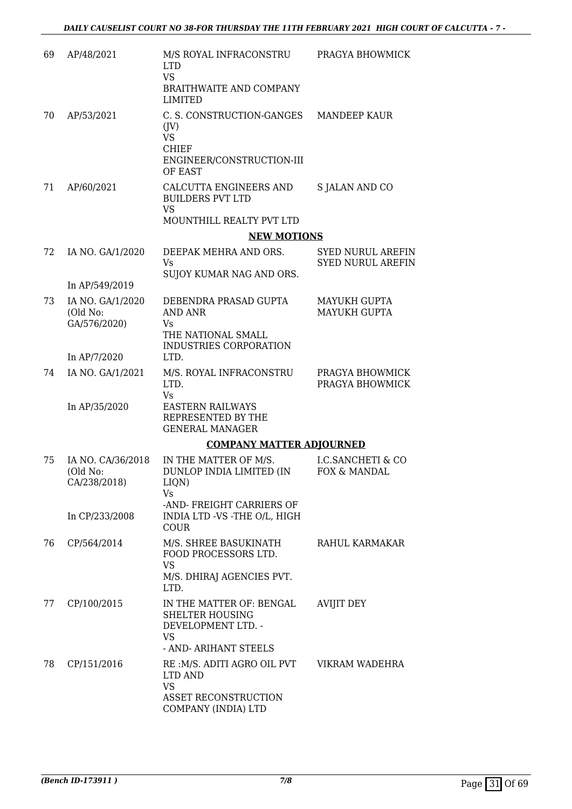| 69 | AP/48/2021                                    | M/S ROYAL INFRACONSTRU<br><b>LTD</b><br><b>VS</b><br><b>BRAITHWAITE AND COMPANY</b><br><b>LIMITED</b>          | PRAGYA BHOWMICK                                      |
|----|-----------------------------------------------|----------------------------------------------------------------------------------------------------------------|------------------------------------------------------|
| 70 | AP/53/2021                                    | C. S. CONSTRUCTION-GANGES<br>(V)<br><b>VS</b><br>CHIEF<br>ENGINEER/CONSTRUCTION-III<br>OF EAST                 | <b>MANDEEP KAUR</b>                                  |
| 71 | AP/60/2021                                    | CALCUTTA ENGINEERS AND<br><b>BUILDERS PVT LTD</b><br><b>VS</b><br><b>MOUNTHILL REALTY PVT LTD</b>              | S JALAN AND CO                                       |
|    |                                               | <b>NEW MOTIONS</b>                                                                                             |                                                      |
| 72 | IA NO. GA/1/2020<br>In AP/549/2019            | DEEPAK MEHRA AND ORS.<br>Vs<br>SUJOY KUMAR NAG AND ORS.                                                        | <b>SYED NURUL AREFIN</b><br><b>SYED NURUL AREFIN</b> |
|    |                                               | DEBENDRA PRASAD GUPTA                                                                                          | <b>MAYUKH GUPTA</b>                                  |
| 73 | IA NO. GA/1/2020<br>(Old No:<br>GA/576/2020)  | AND ANR<br>Vs<br>THE NATIONAL SMALL                                                                            | <b>MAYUKH GUPTA</b>                                  |
|    |                                               | INDUSTRIES CORPORATION                                                                                         |                                                      |
|    | In AP/7/2020                                  | LTD.                                                                                                           |                                                      |
| 74 | IA NO. GA/1/2021                              | M/S. ROYAL INFRACONSTRU<br>LTD.<br>Vs                                                                          | PRAGYA BHOWMICK<br>PRAGYA BHOWMICK                   |
|    | In AP/35/2020                                 | <b>EASTERN RAILWAYS</b><br>REPRESENTED BY THE<br><b>GENERAL MANAGER</b>                                        |                                                      |
|    |                                               | <b>COMPANY MATTER ADJOURNED</b>                                                                                |                                                      |
| 75 | IA NO. CA/36/2018<br>(Old No:<br>CA/238/2018) | IN THE MATTER OF M/S.<br>DUNLOP INDIA LIMITED (IN<br>LIQN)<br>Vs                                               | I.C.SANCHETI & CO<br><b>FOX &amp; MANDAL</b>         |
|    | In CP/233/2008                                | -AND-FREIGHT CARRIERS OF<br>INDIA LTD -VS -THE O/L, HIGH<br><b>COUR</b>                                        |                                                      |
| 76 | CP/564/2014                                   | M/S. SHREE BASUKINATH<br>FOOD PROCESSORS LTD.<br><b>VS</b><br>M/S. DHIRAJ AGENCIES PVT.<br>LTD.                | RAHUL KARMAKAR                                       |
| 77 | CP/100/2015                                   | IN THE MATTER OF: BENGAL<br><b>SHELTER HOUSING</b><br>DEVELOPMENT LTD. -<br><b>VS</b><br>- AND- ARIHANT STEELS | AVIJIT DEY                                           |
| 78 | CP/151/2016                                   | RE :M/S. ADITI AGRO OIL PVT<br>LTD AND<br>VS<br>ASSET RECONSTRUCTION<br>COMPANY (INDIA) LTD                    | VIKRAM WADEHRA                                       |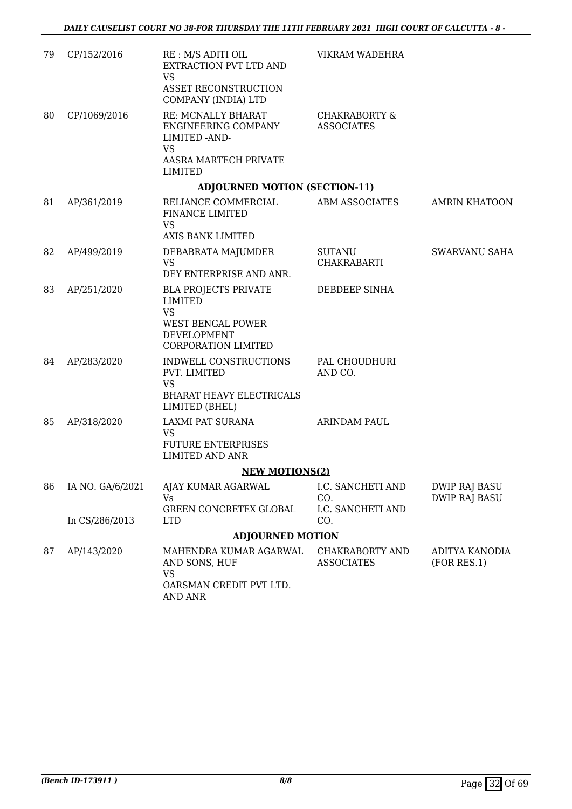| 79 | CP/152/2016      | RE : M/S ADITI OIL<br>EXTRACTION PVT LTD AND<br><b>VS</b><br>ASSET RECONSTRUCTION<br>COMPANY (INDIA) LTD                            | VIKRAM WADEHRA                                |                                              |
|----|------------------|-------------------------------------------------------------------------------------------------------------------------------------|-----------------------------------------------|----------------------------------------------|
| 80 | CP/1069/2016     | RE: MCNALLY BHARAT<br>ENGINEERING COMPANY<br>LIMITED - AND-<br>VS<br>AASRA MARTECH PRIVATE<br>LIMITED                               | <b>CHAKRABORTY &amp;</b><br><b>ASSOCIATES</b> |                                              |
|    |                  | <b>ADJOURNED MOTION (SECTION-11)</b>                                                                                                |                                               |                                              |
| 81 | AP/361/2019      | RELIANCE COMMERCIAL<br>FINANCE LIMITED<br><b>VS</b><br><b>AXIS BANK LIMITED</b>                                                     | ABM ASSOCIATES                                | <b>AMRIN KHATOON</b>                         |
| 82 | AP/499/2019      | DEBABRATA MAJUMDER<br><b>VS</b><br>DEY ENTERPRISE AND ANR.                                                                          | <b>SUTANU</b><br><b>CHAKRABARTI</b>           | SWARVANU SAHA                                |
| 83 | AP/251/2020      | <b>BLA PROJECTS PRIVATE</b><br><b>LIMITED</b><br><b>VS</b><br><b>WEST BENGAL POWER</b><br>DEVELOPMENT<br><b>CORPORATION LIMITED</b> | DEBDEEP SINHA                                 |                                              |
| 84 | AP/283/2020      | INDWELL CONSTRUCTIONS<br>PVT. LIMITED<br><b>VS</b><br><b>BHARAT HEAVY ELECTRICALS</b><br>LIMITED (BHEL)                             | PAL CHOUDHURI<br>AND CO.                      |                                              |
| 85 | AP/318/2020      | <b>LAXMI PAT SURANA</b><br><b>VS</b><br><b>FUTURE ENTERPRISES</b><br><b>LIMITED AND ANR</b>                                         | <b>ARINDAM PAUL</b>                           |                                              |
|    |                  | <b>NEW MOTIONS(2)</b>                                                                                                               |                                               |                                              |
| 86 | IA NO. GA/6/2021 | AJAY KUMAR AGARWAL<br>Vs<br>GREEN CONCRETEX GLOBAL                                                                                  | I.C. SANCHETI AND<br>CO.<br>I.C. SANCHETI AND | <b>DWIP RAJ BASU</b><br><b>DWIP RAJ BASU</b> |
|    | In CS/286/2013   | <b>LTD</b>                                                                                                                          | CO.                                           |                                              |
|    |                  | <b>ADJOURNED MOTION</b>                                                                                                             |                                               |                                              |
| 87 | AP/143/2020      | MAHENDRA KUMAR AGARWAL<br>AND SONS, HUF<br><b>VS</b><br>OARSMAN CREDIT PVT LTD.<br>AND ANR                                          | <b>CHAKRABORTY AND</b><br><b>ASSOCIATES</b>   | ADITYA KANODIA<br>(FOR RES.1)                |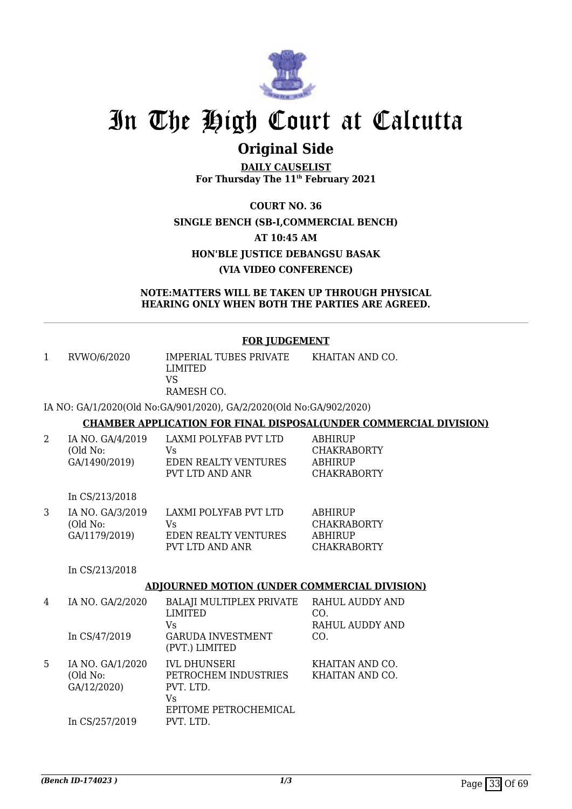

## **Original Side**

**DAILY CAUSELIST For Thursday The 11th February 2021**

**COURT NO. 36 SINGLE BENCH (SB-I,COMMERCIAL BENCH) AT 10:45 AM HON'BLE JUSTICE DEBANGSU BASAK (VIA VIDEO CONFERENCE)**

**NOTE:MATTERS WILL BE TAKEN UP THROUGH PHYSICAL HEARING ONLY WHEN BOTH THE PARTIES ARE AGREED.**

#### **FOR JUDGEMENT**

| $\mathbf{1}$ | RVWO/6/2020                                   | IMPERIAL TUBES PRIVATE<br><b>LIMITED</b><br><b>VS</b><br>RAMESH CO.              | KHAITAN AND CO.                                                              |
|--------------|-----------------------------------------------|----------------------------------------------------------------------------------|------------------------------------------------------------------------------|
|              |                                               | IA NO: GA/1/2020(Old No:GA/901/2020), GA/2/2020(Old No:GA/902/2020)              |                                                                              |
|              |                                               |                                                                                  | <b>CHAMBER APPLICATION FOR FINAL DISPOSAL(UNDER COMMERCIAL DIVISION)</b>     |
| 2            | IA NO. GA/4/2019<br>(Old No:<br>GA/1490/2019) | LAXMI POLYFAB PVT LTD<br><b>Vs</b><br>EDEN REALTY VENTURES<br>PVT LTD AND ANR    | <b>ABHIRUP</b><br><b>CHAKRABORTY</b><br><b>ABHIRUP</b><br><b>CHAKRABORTY</b> |
|              | In CS/213/2018                                |                                                                                  |                                                                              |
| 3            | IA NO. GA/3/2019<br>(Old No:<br>GA/1179/2019) | LAXMI POLYFAB PVT LTD<br>Vs<br>EDEN REALTY VENTURES<br>PVT LTD AND ANR           | <b>ABHIRUP</b><br><b>CHAKRABORTY</b><br><b>ABHIRUP</b><br><b>CHAKRABORTY</b> |
|              | In CS/213/2018                                |                                                                                  |                                                                              |
|              |                                               | <b>ADJOURNED MOTION (UNDER COMMERCIAL DIVISION)</b>                              |                                                                              |
| 4            | IA NO. GA/2/2020                              | BALAJI MULTIPLEX PRIVATE RAHUL AUDDY AND<br><b>LIMITED</b><br>Vs                 | CO.<br>RAHUL AUDDY AND                                                       |
|              | In CS/47/2019                                 | <b>GARUDA INVESTMENT</b><br>(PVT.) LIMITED                                       | CO.                                                                          |
| 5            | IA NO. GA/1/2020<br>(Old No:<br>GA/12/2020)   | <b>IVL DHUNSERI</b><br>PETROCHEM INDUSTRIES<br>PVT. LTD.<br><b>V<sub>S</sub></b> | KHAITAN AND CO.<br>KHAITAN AND CO.                                           |

EPITOME PETROCHEMICAL

PVT. LTD.

In CS/257/2019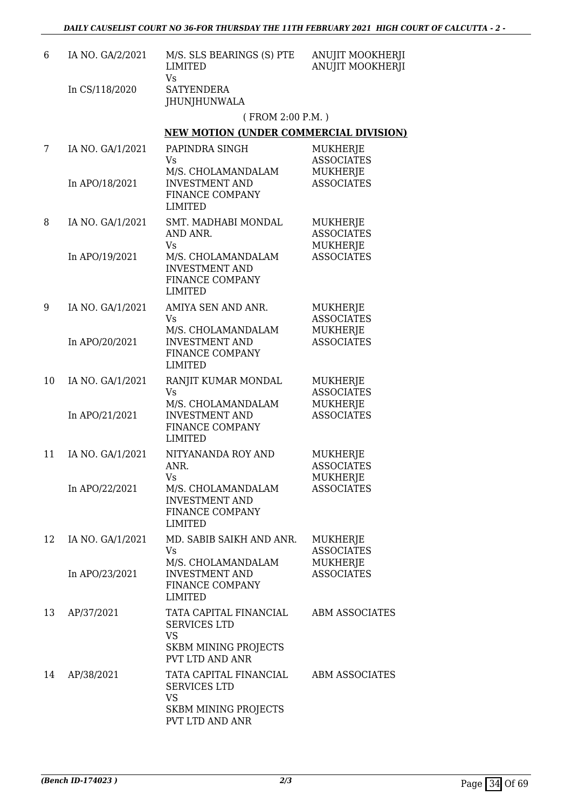| 6  | IA NO. GA/2/2021 | M/S. SLS BEARINGS (S) PTE<br>LIMITED<br>Vs                                                                          | ANUJIT MOOKHERJI<br><b>ANUJIT MOOKHERJI</b>      |
|----|------------------|---------------------------------------------------------------------------------------------------------------------|--------------------------------------------------|
|    | In CS/118/2020   | <b>SATYENDERA</b><br><b>JHUNJHUNWALA</b>                                                                            |                                                  |
|    |                  | (FROM 2:00 P.M.)                                                                                                    |                                                  |
|    |                  | <b>NEW MOTION (UNDER COMMERCIAL DIVISION)</b>                                                                       |                                                  |
| 7  | IA NO. GA/1/2021 | PAPINDRA SINGH<br>Vs.                                                                                               | MUKHERJE<br><b>ASSOCIATES</b>                    |
|    | In APO/18/2021   | M/S. CHOLAMANDALAM<br><b>INVESTMENT AND</b><br>FINANCE COMPANY<br><b>LIMITED</b>                                    | MUKHERJE<br><b>ASSOCIATES</b>                    |
| 8  | IA NO. GA/1/2021 | SMT. MADHABI MONDAL<br>AND ANR.<br>Vs                                                                               | MUKHERJE<br><b>ASSOCIATES</b><br>MUKHERJE        |
|    | In APO/19/2021   | M/S. CHOLAMANDALAM<br><b>INVESTMENT AND</b><br>FINANCE COMPANY<br>LIMITED                                           | <b>ASSOCIATES</b>                                |
| 9  | IA NO. GA/1/2021 | AMIYA SEN AND ANR.<br><b>Vs</b><br>M/S. CHOLAMANDALAM                                                               | MUKHERJE<br><b>ASSOCIATES</b><br>MUKHERJE        |
|    | In APO/20/2021   | <b>INVESTMENT AND</b><br>FINANCE COMPANY<br><b>LIMITED</b>                                                          | <b>ASSOCIATES</b>                                |
| 10 | IA NO. GA/1/2021 | RANJIT KUMAR MONDAL<br><b>Vs</b><br>M/S. CHOLAMANDALAM                                                              | MUKHERJE<br><b>ASSOCIATES</b><br>MUKHERJE        |
|    | In APO/21/2021   | <b>INVESTMENT AND</b><br>FINANCE COMPANY<br><b>LIMITED</b>                                                          | <b>ASSOCIATES</b>                                |
| 11 | IA NO. GA/1/2021 | NITYANANDA ROY AND<br>ANR.<br>Vs                                                                                    | MUKHERJE<br><b>ASSOCIATES</b><br>MUKHERJE        |
|    | In APO/22/2021   | M/S. CHOLAMANDALAM<br><b>INVESTMENT AND</b><br>FINANCE COMPANY<br><b>LIMITED</b>                                    | <b>ASSOCIATES</b>                                |
| 12 | IA NO. GA/1/2021 | MD. SABIB SAIKH AND ANR.<br>Vs.<br>M/S. CHOLAMANDALAM                                                               | <b>MUKHERJE</b><br><b>ASSOCIATES</b><br>MUKHERJE |
|    | In APO/23/2021   | <b>INVESTMENT AND</b><br>FINANCE COMPANY<br>LIMITED                                                                 | <b>ASSOCIATES</b>                                |
| 13 | AP/37/2021       | TATA CAPITAL FINANCIAL<br><b>SERVICES LTD</b><br><b>VS</b><br><b>SKBM MINING PROJECTS</b><br><b>PVT LTD AND ANR</b> | <b>ABM ASSOCIATES</b>                            |
| 14 | AP/38/2021       | TATA CAPITAL FINANCIAL<br><b>SERVICES LTD</b><br><b>VS</b><br><b>SKBM MINING PROJECTS</b><br>PVT LTD AND ANR        | <b>ABM ASSOCIATES</b>                            |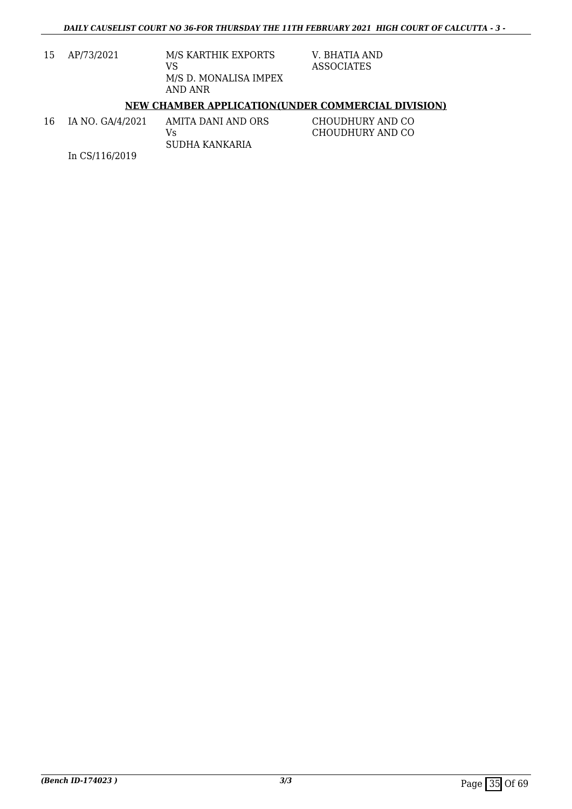| 15 | AP/73/2021 | M/S KARTHIK EXPORTS<br>VS        |
|----|------------|----------------------------------|
|    |            | M/S D. MONALISA IMPEX<br>AND ANR |

V. BHATIA AND ASSOCIATES

#### **NEW CHAMBER APPLICATION(UNDER COMMERCIAL DIVISION)**

16 IA NO. GA/4/2021 In CS/116/2019 AMITA DANI AND ORS Vs SUDHA KANKARIA CHOUDHURY AND CO CHOUDHURY AND CO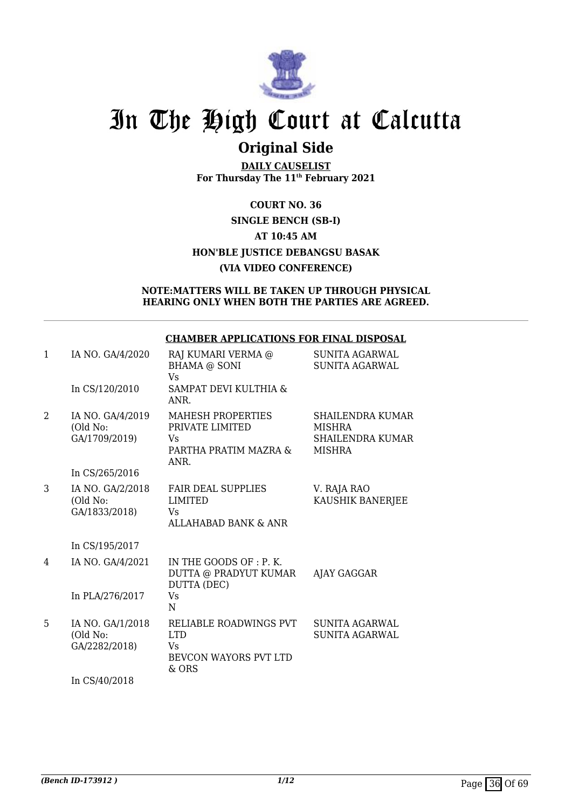

## **Original Side**

**DAILY CAUSELIST For Thursday The 11th February 2021**

### **COURT NO. 36 SINGLE BENCH (SB-I) AT 10:45 AM HON'BLE JUSTICE DEBANGSU BASAK (VIA VIDEO CONFERENCE)**

#### **NOTE:MATTERS WILL BE TAKEN UP THROUGH PHYSICAL HEARING ONLY WHEN BOTH THE PARTIES ARE AGREED.**

#### **CHAMBER APPLICATIONS FOR FINAL DISPOSAL**

| $\mathbf{1}$ | IA NO. GA/4/2020<br>In CS/120/2010            | RAJ KUMARI VERMA @<br><b>BHAMA @ SONI</b><br>Vs<br>SAMPAT DEVI KULTHIA &                   | <b>SUNITA AGARWAL</b><br><b>SUNITA AGARWAL</b>                         |
|--------------|-----------------------------------------------|--------------------------------------------------------------------------------------------|------------------------------------------------------------------------|
| 2            | IA NO. GA/4/2019<br>(Old No:<br>GA/1709/2019) | ANR.<br><b>MAHESH PROPERTIES</b><br>PRIVATE LIMITED<br>Vs<br>PARTHA PRATIM MAZRA &<br>ANR. | SHAILENDRA KUMAR<br><b>MISHRA</b><br>SHAILENDRA KUMAR<br><b>MISHRA</b> |
|              | In CS/265/2016                                |                                                                                            |                                                                        |
| 3            | IA NO. GA/2/2018<br>(Old No:<br>GA/1833/2018) | <b>FAIR DEAL SUPPLIES</b><br><b>LIMITED</b><br>Vs.<br><b>ALLAHABAD BANK &amp; ANR</b>      | V. RAJA RAO<br>KAUSHIK BANERJEE                                        |
|              | In CS/195/2017                                |                                                                                            |                                                                        |
| 4            | IA NO. GA/4/2021                              | IN THE GOODS OF : P. K.<br>DUTTA @ PRADYUT KUMAR<br>DUTTA (DEC)                            | AJAY GAGGAR                                                            |
|              | In PLA/276/2017                               | Vs<br>N                                                                                    |                                                                        |
| 5            | IA NO. GA/1/2018<br>(Old No:<br>GA/2282/2018) | RELIABLE ROADWINGS PVT<br><b>LTD</b><br>Vs.<br>BEVCON WAYORS PVT LTD<br>& ORS              | SUNITA AGARWAL<br>SUNITA AGARWAL                                       |
|              | In CS/40/2018                                 |                                                                                            |                                                                        |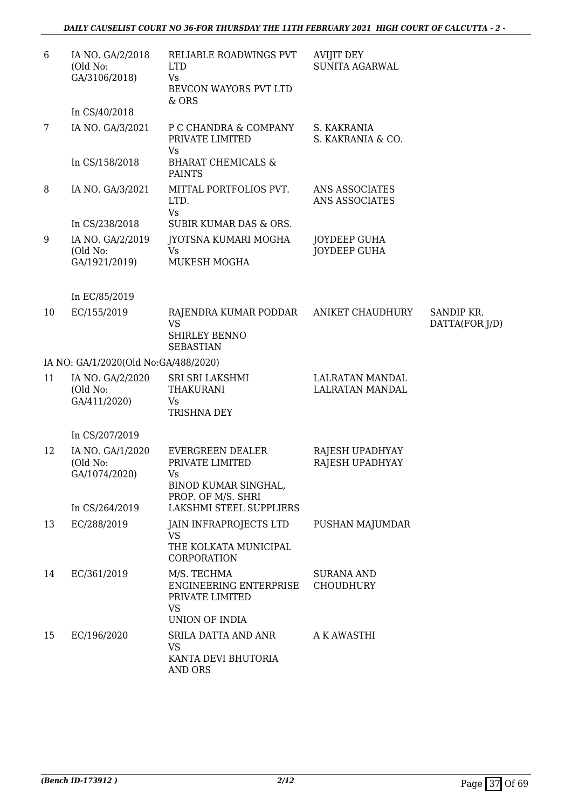| 6  | IA NO. GA/2/2018<br>(Old No:<br>GA/3106/2018) | RELIABLE ROADWINGS PVT<br><b>LTD</b><br>Vs.<br>BEVCON WAYORS PVT LTD<br>& ORS                   | <b>AVIJIT DEY</b><br>SUNITA AGARWAL        |                |
|----|-----------------------------------------------|-------------------------------------------------------------------------------------------------|--------------------------------------------|----------------|
|    | In CS/40/2018                                 |                                                                                                 |                                            |                |
| 7  | IA NO. GA/3/2021                              | P C CHANDRA & COMPANY<br>PRIVATE LIMITED<br>Vs                                                  | S. KAKRANIA<br>S. KAKRANIA & CO.           |                |
|    | In CS/158/2018                                | <b>BHARAT CHEMICALS &amp;</b><br><b>PAINTS</b>                                                  |                                            |                |
| 8  | IA NO. GA/3/2021                              | MITTAL PORTFOLIOS PVT.<br>LTD.<br><b>Vs</b>                                                     | ANS ASSOCIATES<br>ANS ASSOCIATES           |                |
|    | In CS/238/2018                                | SUBIR KUMAR DAS & ORS.                                                                          |                                            |                |
| 9  | IA NO. GA/2/2019<br>(Old No:<br>GA/1921/2019) | JYOTSNA KUMARI MOGHA<br><b>Vs</b><br>MUKESH MOGHA                                               | <b>JOYDEEP GUHA</b><br><b>JOYDEEP GUHA</b> |                |
|    |                                               |                                                                                                 |                                            |                |
|    | In EC/85/2019                                 |                                                                                                 |                                            |                |
| 10 | EC/155/2019                                   |                                                                                                 | ANIKET CHAUDHURY                           | SANDIP KR.     |
|    |                                               | RAJENDRA KUMAR PODDAR<br><b>VS</b><br><b>SHIRLEY BENNO</b><br><b>SEBASTIAN</b>                  |                                            | DATTA(FOR J/D) |
|    | IA NO: GA/1/2020(Old No:GA/488/2020)          |                                                                                                 |                                            |                |
| 11 | IA NO. GA/2/2020<br>(Old No:<br>GA/411/2020)  | SRI SRI LAKSHMI<br><b>THAKURANI</b><br>Vs<br>TRISHNA DEY                                        | LALRATAN MANDAL<br>LALRATAN MANDAL         |                |
|    | In CS/207/2019                                |                                                                                                 |                                            |                |
| 12 | IA NO. GA/1/2020<br>(Old No:<br>GA/1074/2020) | <b>EVERGREEN DEALER</b><br>PRIVATE LIMITED<br>Vs.<br>BINOD KUMAR SINGHAL,<br>PROP. OF M/S. SHRI | RAJESH UPADHYAY<br>RAJESH UPADHYAY         |                |
|    | In CS/264/2019                                | LAKSHMI STEEL SUPPLIERS                                                                         |                                            |                |
| 13 | EC/288/2019                                   | JAIN INFRAPROJECTS LTD<br>VS<br>THE KOLKATA MUNICIPAL<br>CORPORATION                            | PUSHAN MAJUMDAR                            |                |
| 14 | EC/361/2019                                   | M/S. TECHMA<br>ENGINEERING ENTERPRISE<br>PRIVATE LIMITED<br><b>VS</b><br>UNION OF INDIA         | <b>SURANA AND</b><br><b>CHOUDHURY</b>      |                |
| 15 | EC/196/2020                                   | SRILA DATTA AND ANR<br>VS<br>KANTA DEVI BHUTORIA<br>AND ORS                                     | A K AWASTHI                                |                |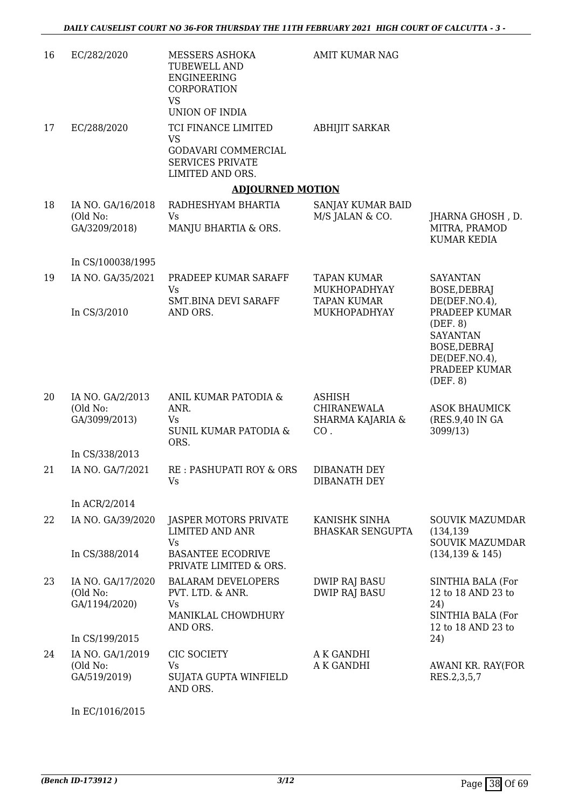| 16 | EC/282/2020                                                      | MESSERS ASHOKA<br><b>TUBEWELL AND</b><br>ENGINEERING<br>CORPORATION<br><b>VS</b><br>UNION OF INDIA     | AMIT KUMAR NAG                                          |                                                                                                                             |
|----|------------------------------------------------------------------|--------------------------------------------------------------------------------------------------------|---------------------------------------------------------|-----------------------------------------------------------------------------------------------------------------------------|
| 17 | EC/288/2020                                                      | TCI FINANCE LIMITED<br><b>VS</b><br>GODAVARI COMMERCIAL<br><b>SERVICES PRIVATE</b><br>LIMITED AND ORS. | <b>ABHIJIT SARKAR</b>                                   |                                                                                                                             |
|    |                                                                  | <b>ADJOURNED MOTION</b>                                                                                |                                                         |                                                                                                                             |
| 18 | IA NO. GA/16/2018<br>(Old No:<br>GA/3209/2018)                   | RADHESHYAM BHARTIA<br>Vs<br>MANJU BHARTIA & ORS.                                                       | SANJAY KUMAR BAID<br>M/S JALAN & CO.                    | JHARNA GHOSH, D.<br>MITRA, PRAMOD<br><b>KUMAR KEDIA</b>                                                                     |
|    | In CS/100038/1995                                                |                                                                                                        |                                                         |                                                                                                                             |
| 19 | IA NO. GA/35/2021                                                | PRADEEP KUMAR SARAFF<br>Vs                                                                             | <b>TAPAN KUMAR</b><br>MUKHOPADHYAY                      | <b>SAYANTAN</b><br><b>BOSE, DEBRAJ</b>                                                                                      |
|    | In CS/3/2010                                                     | SMT.BINA DEVI SARAFF<br>AND ORS.                                                                       | <b>TAPAN KUMAR</b><br>MUKHOPADHYAY                      | DE(DEF.NO.4),<br>PRADEEP KUMAR<br>(DEF. 8)<br><b>SAYANTAN</b><br>BOSE, DEBRAJ<br>DE(DEF.NO.4),<br>PRADEEP KUMAR<br>(DEF. 8) |
| 20 | IA NO. GA/2/2013<br>(Old No:<br>GA/3099/2013)                    | ANIL KUMAR PATODIA &<br>ANR.<br>Vs.<br><b>SUNIL KUMAR PATODIA &amp;</b><br>ORS.                        | <b>ASHISH</b><br>CHIRANEWALA<br>SHARMA KAJARIA &<br>CO. | <b>ASOK BHAUMICK</b><br>(RES.9,40 IN GA<br>3099/13)                                                                         |
|    | In CS/338/2013                                                   |                                                                                                        |                                                         |                                                                                                                             |
| 21 | IA NO. GA/7/2021                                                 | RE : PASHUPATI ROY & ORS<br><b>Vs</b>                                                                  | DIBANATH DEY<br>DIBANATH DEY                            |                                                                                                                             |
|    | In ACR/2/2014                                                    |                                                                                                        |                                                         |                                                                                                                             |
| 22 | IA NO. GA/39/2020                                                | JASPER MOTORS PRIVATE<br>LIMITED AND ANR<br><b>Vs</b>                                                  | KANISHK SINHA<br><b>BHASKAR SENGUPTA</b>                | <b>SOUVIK MAZUMDAR</b><br>(134, 139)<br><b>SOUVIK MAZUMDAR</b>                                                              |
|    | In CS/388/2014                                                   | <b>BASANTEE ECODRIVE</b><br>PRIVATE LIMITED & ORS.                                                     |                                                         | $(134, 139 \& 145)$                                                                                                         |
| 23 | IA NO. GA/17/2020<br>(Old No:<br>GA/1194/2020)<br>In CS/199/2015 | <b>BALARAM DEVELOPERS</b><br>PVT. LTD. & ANR.<br>Vs<br>MANIKLAL CHOWDHURY<br>AND ORS.                  | <b>DWIP RAJ BASU</b><br><b>DWIP RAJ BASU</b>            | SINTHIA BALA (For<br>12 to 18 AND 23 to<br>24)<br>SINTHIA BALA (For<br>12 to 18 AND 23 to<br>24)                            |
| 24 | IA NO. GA/1/2019<br>(Old No:<br>GA/519/2019)                     | CIC SOCIETY<br><b>Vs</b><br>SUJATA GUPTA WINFIELD<br>AND ORS.                                          | A K GANDHI<br>A K GANDHI                                | AWANI KR. RAY(FOR<br>RES.2,3,5,7                                                                                            |

In EC/1016/2015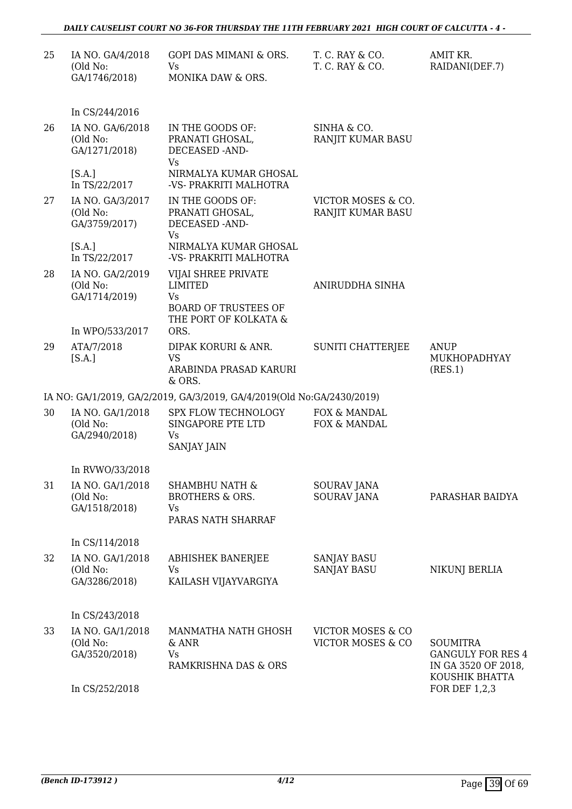| 25 | IA NO. GA/4/2018<br>(Old No:<br>GA/1746/2018) | GOPI DAS MIMANI & ORS.<br>Vs<br>MONIKA DAW & ORS.                                                          | T. C. RAY & CO.<br>T. C. RAY & CO.       | AMIT KR.<br>RAIDANI(DEF.7)                                                           |
|----|-----------------------------------------------|------------------------------------------------------------------------------------------------------------|------------------------------------------|--------------------------------------------------------------------------------------|
|    | In CS/244/2016                                |                                                                                                            |                                          |                                                                                      |
| 26 | IA NO. GA/6/2018<br>(Old No:<br>GA/1271/2018) | IN THE GOODS OF:<br>PRANATI GHOSAL,<br>DECEASED -AND-<br>Vs                                                | SINHA & CO.<br>RANJIT KUMAR BASU         |                                                                                      |
|    | [S.A.]<br>In TS/22/2017                       | NIRMALYA KUMAR GHOSAL<br>-VS- PRAKRITI MALHOTRA                                                            |                                          |                                                                                      |
| 27 | IA NO. GA/3/2017<br>(Old No:<br>GA/3759/2017) | IN THE GOODS OF:<br>PRANATI GHOSAL,<br>DECEASED -AND-<br><b>Vs</b>                                         | VICTOR MOSES & CO.<br>RANJIT KUMAR BASU  |                                                                                      |
|    | [S.A.]<br>In TS/22/2017                       | NIRMALYA KUMAR GHOSAL<br>-VS- PRAKRITI MALHOTRA                                                            |                                          |                                                                                      |
| 28 | IA NO. GA/2/2019<br>(Old No:<br>GA/1714/2019) | VIJAI SHREE PRIVATE<br><b>LIMITED</b><br><b>Vs</b><br><b>BOARD OF TRUSTEES OF</b><br>THE PORT OF KOLKATA & | ANIRUDDHA SINHA                          |                                                                                      |
|    | In WPO/533/2017                               | ORS.                                                                                                       |                                          |                                                                                      |
| 29 | ATA/7/2018<br>[S.A.]                          | DIPAK KORURI & ANR.<br><b>VS</b><br>ARABINDA PRASAD KARURI<br>& ORS.                                       | <b>SUNITI CHATTERJEE</b>                 | <b>ANUP</b><br>MUKHOPADHYAY<br>(RES.1)                                               |
|    |                                               | IA NO: GA/1/2019, GA/2/2019, GA/3/2019, GA/4/2019(Old No:GA/2430/2019)                                     |                                          |                                                                                      |
| 30 | IA NO. GA/1/2018<br>(Old No:<br>GA/2940/2018) | SPX FLOW TECHNOLOGY<br>SINGAPORE PTE LTD<br><b>Vs</b><br>SANJAY JAIN                                       | FOX & MANDAL<br>FOX & MANDAL             |                                                                                      |
|    | In RVWO/33/2018                               |                                                                                                            |                                          |                                                                                      |
| 31 | IA NO. GA/1/2018<br>(Old No:<br>GA/1518/2018) | <b>SHAMBHU NATH &amp;</b><br><b>BROTHERS &amp; ORS.</b><br>Vs<br>PARAS NATH SHARRAF                        | SOURAV JANA<br><b>SOURAV JANA</b>        | PARASHAR BAIDYA                                                                      |
|    | In CS/114/2018                                |                                                                                                            |                                          |                                                                                      |
| 32 | IA NO. GA/1/2018<br>(Old No:<br>GA/3286/2018) | <b>ABHISHEK BANERJEE</b><br>Vs<br>KAILASH VIJAYVARGIYA                                                     | <b>SANJAY BASU</b><br><b>SANJAY BASU</b> | NIKUNJ BERLIA                                                                        |
|    | In CS/243/2018                                |                                                                                                            |                                          |                                                                                      |
| 33 | IA NO. GA/1/2018<br>(Old No:<br>GA/3520/2018) | MANMATHA NATH GHOSH<br>& ANR<br>Vs<br>RAMKRISHNA DAS & ORS                                                 | VICTOR MOSES & CO<br>VICTOR MOSES & CO   | <b>SOUMITRA</b><br><b>GANGULY FOR RES 4</b><br>IN GA 3520 OF 2018,<br>KOUSHIK BHATTA |
|    | In CS/252/2018                                |                                                                                                            |                                          | FOR DEF 1,2,3                                                                        |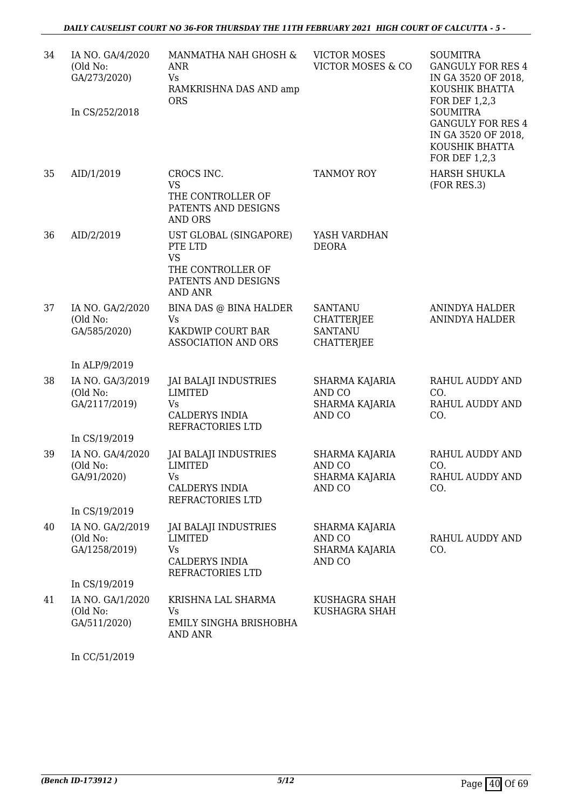| 34 | IA NO. GA/4/2020<br>(Old No:<br>GA/273/2020)<br>In CS/252/2018 | MANMATHA NAH GHOSH &<br><b>ANR</b><br>Vs.<br>RAMKRISHNA DAS AND amp<br><b>ORS</b>                            | <b>VICTOR MOSES</b><br><b>VICTOR MOSES &amp; CO</b>                 | <b>SOUMITRA</b><br><b>GANGULY FOR RES 4</b><br>IN GA 3520 OF 2018,<br>KOUSHIK BHATTA<br>FOR DEF 1,2,3<br><b>SOUMITRA</b><br><b>GANGULY FOR RES 4</b><br>IN GA 3520 OF 2018,<br>KOUSHIK BHATTA |
|----|----------------------------------------------------------------|--------------------------------------------------------------------------------------------------------------|---------------------------------------------------------------------|-----------------------------------------------------------------------------------------------------------------------------------------------------------------------------------------------|
| 35 | AID/1/2019                                                     | CROCS INC.<br><b>VS</b><br>THE CONTROLLER OF<br>PATENTS AND DESIGNS<br><b>AND ORS</b>                        | <b>TANMOY ROY</b>                                                   | FOR DEF 1,2,3<br><b>HARSH SHUKLA</b><br>(FOR RES.3)                                                                                                                                           |
| 36 | AID/2/2019                                                     | UST GLOBAL (SINGAPORE)<br>PTE LTD<br><b>VS</b><br>THE CONTROLLER OF<br>PATENTS AND DESIGNS<br><b>AND ANR</b> | YASH VARDHAN<br><b>DEORA</b>                                        |                                                                                                                                                                                               |
| 37 | IA NO. GA/2/2020<br>(Old No:<br>GA/585/2020)                   | BINA DAS @ BINA HALDER<br>Vs<br>KAKDWIP COURT BAR<br><b>ASSOCIATION AND ORS</b>                              | SANTANU<br><b>CHATTERJEE</b><br><b>SANTANU</b><br><b>CHATTERJEE</b> | <b>ANINDYA HALDER</b><br>ANINDYA HALDER                                                                                                                                                       |
|    | In ALP/9/2019                                                  |                                                                                                              |                                                                     |                                                                                                                                                                                               |
| 38 | IA NO. GA/3/2019<br>(Old No:<br>GA/2117/2019)<br>In CS/19/2019 | <b>JAI BALAJI INDUSTRIES</b><br><b>LIMITED</b><br>Vs<br><b>CALDERYS INDIA</b><br>REFRACTORIES LTD            | SHARMA KAJARIA<br>AND CO<br><b>SHARMA KAJARIA</b><br>AND CO         | <b>RAHUL AUDDY AND</b><br>CO.<br>RAHUL AUDDY AND<br>CO.                                                                                                                                       |
| 39 | IA NO. GA/4/2020<br>(Old No:<br>GA/91/2020)<br>In CS/19/2019   | <b>JAI BALAJI INDUSTRIES</b><br><b>LIMITED</b><br>Vs —<br>CALDERYS INDIA<br>REFRACTORIES LTD                 | SHARMA KAJARIA<br>AND CO<br><b>SHARMA KAJARIA</b><br>AND CO         | <b>RAHUL AUDDY AND</b><br>CO.<br>RAHUL AUDDY AND<br>CO.                                                                                                                                       |
| 40 | IA NO. GA/2/2019<br>(Old No:<br>GA/1258/2019)                  | <b>JAI BALAJI INDUSTRIES</b><br>LIMITED<br>Vs<br><b>CALDERYS INDIA</b><br>REFRACTORIES LTD                   | SHARMA KAJARIA<br>AND CO<br>SHARMA KAJARIA<br>AND CO                | <b>RAHUL AUDDY AND</b><br>CO.                                                                                                                                                                 |
|    | In CS/19/2019                                                  |                                                                                                              |                                                                     |                                                                                                                                                                                               |
| 41 | IA NO. GA/1/2020<br>(Old No:<br>GA/511/2020)                   | KRISHNA LAL SHARMA<br>Vs<br>EMILY SINGHA BRISHOBHA<br><b>AND ANR</b>                                         | KUSHAGRA SHAH<br>KUSHAGRA SHAH                                      |                                                                                                                                                                                               |

In CC/51/2019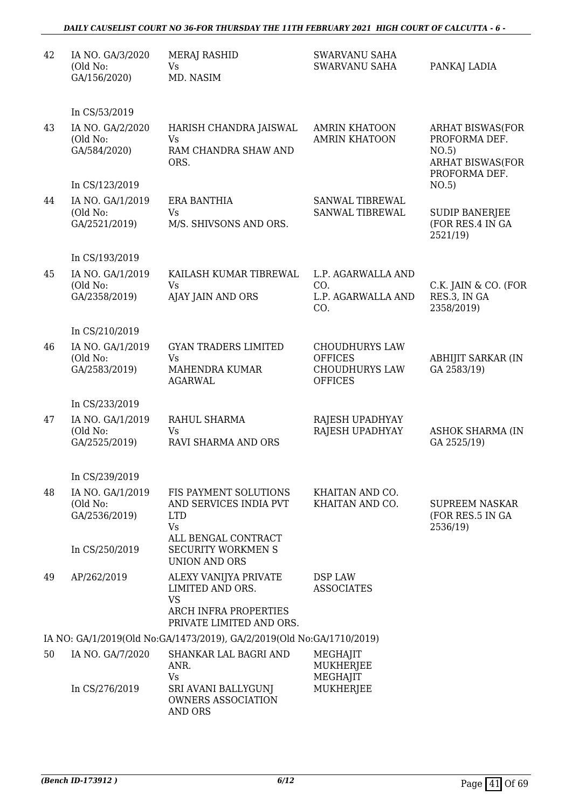#### *DAILY CAUSELIST COURT NO 36-FOR THURSDAY THE 11TH FEBRUARY 2021 HIGH COURT OF CALCUTTA - 6 -*

| 42 | IA NO. GA/3/2020<br>(Old No:<br>GA/156/2020)  | <b>MERAJ RASHID</b><br><b>Vs</b><br>MD. NASIM                                                               | SWARVANU SAHA<br>SWARVANU SAHA                                                     | PANKAJ LADIA                                                                                  |
|----|-----------------------------------------------|-------------------------------------------------------------------------------------------------------------|------------------------------------------------------------------------------------|-----------------------------------------------------------------------------------------------|
|    | In CS/53/2019                                 |                                                                                                             |                                                                                    |                                                                                               |
| 43 | IA NO. GA/2/2020<br>(Old No:<br>GA/584/2020)  | HARISH CHANDRA JAISWAL<br><b>Vs</b><br>RAM CHANDRA SHAW AND<br>ORS.                                         | <b>AMRIN KHATOON</b><br><b>AMRIN KHATOON</b>                                       | <b>ARHAT BISWAS(FOR</b><br>PROFORMA DEF.<br>NO.5)<br><b>ARHAT BISWAS(FOR</b><br>PROFORMA DEF. |
|    | In CS/123/2019                                |                                                                                                             |                                                                                    | NO.5)                                                                                         |
| 44 | IA NO. GA/1/2019<br>(Old No:<br>GA/2521/2019) | ERA BANTHIA<br><b>Vs</b><br>M/S. SHIVSONS AND ORS.                                                          | SANWAL TIBREWAL<br>SANWAL TIBREWAL                                                 | <b>SUDIP BANERJEE</b><br>(FOR RES.4 IN GA<br>2521/19)                                         |
|    | In CS/193/2019                                |                                                                                                             |                                                                                    |                                                                                               |
| 45 | IA NO. GA/1/2019<br>(Old No:<br>GA/2358/2019) | KAILASH KUMAR TIBREWAL<br>Vs<br>AJAY JAIN AND ORS                                                           | L.P. AGARWALLA AND<br>CO.<br>L.P. AGARWALLA AND<br>CO.                             | C.K. JAIN & CO. (FOR<br>RES.3, IN GA<br>2358/2019)                                            |
|    | In CS/210/2019                                |                                                                                                             |                                                                                    |                                                                                               |
| 46 | IA NO. GA/1/2019<br>(Old No:<br>GA/2583/2019) | <b>GYAN TRADERS LIMITED</b><br><b>Vs</b><br>MAHENDRA KUMAR<br><b>AGARWAL</b>                                | <b>CHOUDHURYS LAW</b><br><b>OFFICES</b><br><b>CHOUDHURYS LAW</b><br><b>OFFICES</b> | <b>ABHIJIT SARKAR (IN</b><br>GA 2583/19)                                                      |
|    | In CS/233/2019                                |                                                                                                             |                                                                                    |                                                                                               |
| 47 | IA NO. GA/1/2019<br>(Old No:<br>GA/2525/2019) | RAHUL SHARMA<br>Vs<br>RAVI SHARMA AND ORS                                                                   | RAJESH UPADHYAY<br>RAJESH UPADHYAY                                                 | <b>ASHOK SHARMA (IN</b><br>GA 2525/19)                                                        |
|    | In CS/239/2019                                |                                                                                                             |                                                                                    |                                                                                               |
| 48 | IA NO. GA/1/2019<br>(Old No:<br>GA/2536/2019) | FIS PAYMENT SOLUTIONS<br>AND SERVICES INDIA PVT<br><b>LTD</b><br>Vs<br>ALL BENGAL CONTRACT                  | KHAITAN AND CO.<br>KHAITAN AND CO.                                                 | <b>SUPREEM NASKAR</b><br>(FOR RES.5 IN GA<br>2536/19)                                         |
|    | In CS/250/2019                                | <b>SECURITY WORKMEN S</b><br><b>UNION AND ORS</b>                                                           |                                                                                    |                                                                                               |
| 49 | AP/262/2019                                   | ALEXY VANIJYA PRIVATE<br>LIMITED AND ORS.<br><b>VS</b><br>ARCH INFRA PROPERTIES<br>PRIVATE LIMITED AND ORS. | DSP LAW<br><b>ASSOCIATES</b>                                                       |                                                                                               |
|    |                                               | IA NO: GA/1/2019(Old No:GA/1473/2019), GA/2/2019(Old No:GA/1710/2019)                                       |                                                                                    |                                                                                               |
| 50 | IA NO. GA/7/2020                              | SHANKAR LAL BAGRI AND<br>ANR.<br>Vs                                                                         | MEGHAJIT<br>MUKHERJEE<br>MEGHAJIT                                                  |                                                                                               |
|    | In CS/276/2019                                | SRI AVANI BALLYGUNJ<br><b>OWNERS ASSOCIATION</b><br>AND ORS                                                 | MUKHERJEE                                                                          |                                                                                               |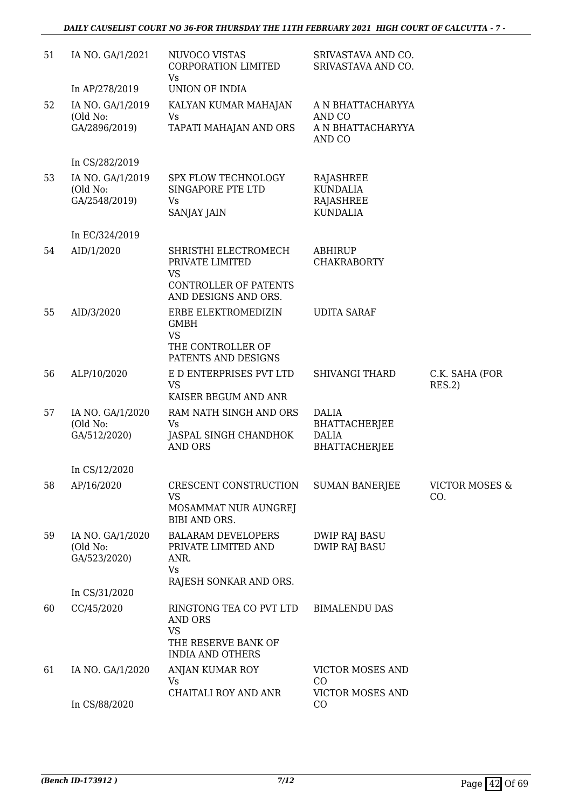| 51 | IA NO. GA/1/2021                              | NUVOCO VISTAS<br>CORPORATION LIMITED<br>Vs                                                                   | SRIVASTAVA AND CO.<br>SRIVASTAVA AND CO.                     |                                  |
|----|-----------------------------------------------|--------------------------------------------------------------------------------------------------------------|--------------------------------------------------------------|----------------------------------|
|    | In AP/278/2019                                | UNION OF INDIA                                                                                               |                                                              |                                  |
| 52 | IA NO. GA/1/2019                              | KALYAN KUMAR MAHAJAN                                                                                         | A N BHATTACHARYYA                                            |                                  |
|    | (Old No:<br>GA/2896/2019)                     | Vs<br>TAPATI MAHAJAN AND ORS                                                                                 | AND CO<br>A N BHATTACHARYYA<br>AND CO                        |                                  |
|    | In CS/282/2019                                |                                                                                                              |                                                              |                                  |
| 53 | IA NO. GA/1/2019<br>(Old No:<br>GA/2548/2019) | <b>SPX FLOW TECHNOLOGY</b><br>SINGAPORE PTE LTD<br><b>Vs</b><br>SANJAY JAIN                                  | RAJASHREE<br><b>KUNDALIA</b><br>RAJASHREE<br><b>KUNDALIA</b> |                                  |
|    | In EC/324/2019                                |                                                                                                              |                                                              |                                  |
| 54 | AID/1/2020                                    | SHRISTHI ELECTROMECH<br>PRIVATE LIMITED<br><b>VS</b><br><b>CONTROLLER OF PATENTS</b><br>AND DESIGNS AND ORS. | <b>ABHIRUP</b><br><b>CHAKRABORTY</b>                         |                                  |
| 55 | AID/3/2020                                    | ERBE ELEKTROMEDIZIN<br><b>GMBH</b><br>VS                                                                     | <b>UDITA SARAF</b>                                           |                                  |
|    |                                               | THE CONTROLLER OF<br>PATENTS AND DESIGNS                                                                     |                                                              |                                  |
| 56 | ALP/10/2020                                   | E D ENTERPRISES PVT LTD<br><b>VS</b><br>KAISER BEGUM AND ANR                                                 | <b>SHIVANGI THARD</b>                                        | C.K. SAHA (FOR<br>RES.2)         |
| 57 | IA NO. GA/1/2020                              | RAM NATH SINGH AND ORS                                                                                       | <b>DALIA</b>                                                 |                                  |
|    | (Old No:<br>GA/512/2020)                      | Vs<br>JASPAL SINGH CHANDHOK<br><b>AND ORS</b>                                                                | <b>BHATTACHERJEE</b><br><b>DALIA</b><br><b>BHATTACHERJEE</b> |                                  |
|    | In CS/12/2020                                 |                                                                                                              |                                                              |                                  |
| 58 | AP/16/2020                                    | CRESCENT CONSTRUCTION<br>VS<br>MOSAMMAT NUR AUNGREJ<br>BIBI AND ORS.                                         | <b>SUMAN BANERJEE</b>                                        | <b>VICTOR MOSES &amp;</b><br>CO. |
| 59 | IA NO. GA/1/2020<br>(Old No:<br>GA/523/2020)  | <b>BALARAM DEVELOPERS</b><br>PRIVATE LIMITED AND<br>ANR.<br><b>Vs</b>                                        | <b>DWIP RAJ BASU</b><br><b>DWIP RAJ BASU</b>                 |                                  |
|    |                                               | RAJESH SONKAR AND ORS.                                                                                       |                                                              |                                  |
|    | In CS/31/2020                                 |                                                                                                              |                                                              |                                  |
| 60 | CC/45/2020                                    | RINGTONG TEA CO PVT LTD<br><b>AND ORS</b><br><b>VS</b><br>THE RESERVE BANK OF                                | <b>BIMALENDU DAS</b>                                         |                                  |
|    |                                               | <b>INDIA AND OTHERS</b>                                                                                      |                                                              |                                  |
| 61 | IA NO. GA/1/2020                              | ANJAN KUMAR ROY<br>Vs                                                                                        | VICTOR MOSES AND<br>CO                                       |                                  |
|    | In CS/88/2020                                 | CHAITALI ROY AND ANR                                                                                         | VICTOR MOSES AND<br>CO                                       |                                  |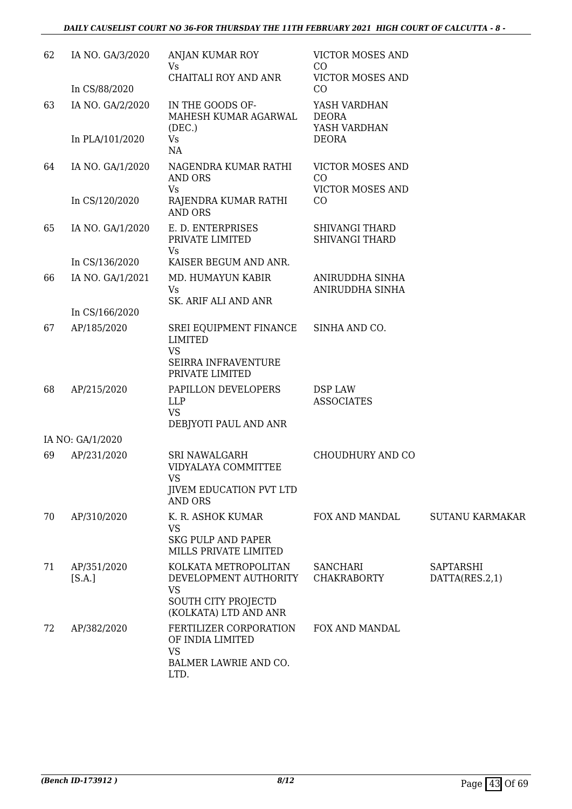| 62 | IA NO. GA/3/2020      | ANJAN KUMAR ROY<br>Vs                                                                                      | <b>VICTOR MOSES AND</b><br>CO                  |                             |
|----|-----------------------|------------------------------------------------------------------------------------------------------------|------------------------------------------------|-----------------------------|
|    | In CS/88/2020         | <b>CHAITALI ROY AND ANR</b>                                                                                | <b>VICTOR MOSES AND</b><br>CO                  |                             |
| 63 | IA NO. GA/2/2020      | IN THE GOODS OF-<br>MAHESH KUMAR AGARWAL<br>(DEC.)                                                         | YASH VARDHAN<br><b>DEORA</b><br>YASH VARDHAN   |                             |
|    | In PLA/101/2020       | Vs<br>NA                                                                                                   | <b>DEORA</b>                                   |                             |
| 64 | IA NO. GA/1/2020      | NAGENDRA KUMAR RATHI<br>AND ORS<br><b>Vs</b>                                                               | VICTOR MOSES AND<br>CO<br>VICTOR MOSES AND     |                             |
|    | In CS/120/2020        | RAJENDRA KUMAR RATHI<br><b>AND ORS</b>                                                                     | CO                                             |                             |
| 65 | IA NO. GA/1/2020      | E. D. ENTERPRISES<br>PRIVATE LIMITED<br>Vs                                                                 | <b>SHIVANGI THARD</b><br><b>SHIVANGI THARD</b> |                             |
|    | In CS/136/2020        | KAISER BEGUM AND ANR.                                                                                      |                                                |                             |
| 66 | IA NO. GA/1/2021      | MD. HUMAYUN KABIR<br><b>Vs</b><br>SK. ARIF ALI AND ANR                                                     | ANIRUDDHA SINHA<br>ANIRUDDHA SINHA             |                             |
|    | In CS/166/2020        |                                                                                                            |                                                |                             |
| 67 | AP/185/2020           | SREI EQUIPMENT FINANCE<br>LIMITED<br><b>VS</b><br><b>SEIRRA INFRAVENTURE</b><br>PRIVATE LIMITED            | SINHA AND CO.                                  |                             |
| 68 | AP/215/2020           | PAPILLON DEVELOPERS<br>LLP<br><b>VS</b><br>DEBJYOTI PAUL AND ANR                                           | DSP LAW<br><b>ASSOCIATES</b>                   |                             |
|    | IA NO: GA/1/2020      |                                                                                                            |                                                |                             |
| 69 | AP/231/2020           | <b>SRI NAWALGARH</b><br>VIDYALAYA COMMITTEE<br>VS<br><b>JIVEM EDUCATION PVT LTD</b>                        | CHOUDHURY AND CO                               |                             |
|    |                       | <b>AND ORS</b>                                                                                             |                                                |                             |
| 70 | AP/310/2020           | K. R. ASHOK KUMAR<br><b>VS</b><br><b>SKG PULP AND PAPER</b><br>MILLS PRIVATE LIMITED                       | FOX AND MANDAL                                 | <b>SUTANU KARMAKAR</b>      |
| 71 | AP/351/2020<br>[S.A.] | KOLKATA METROPOLITAN<br>DEVELOPMENT AUTHORITY<br><b>VS</b><br>SOUTH CITY PROJECTD<br>(KOLKATA) LTD AND ANR | <b>SANCHARI</b><br><b>CHAKRABORTY</b>          | SAPTARSHI<br>DATTA(RES.2,1) |
| 72 | AP/382/2020           | FERTILIZER CORPORATION<br>OF INDIA LIMITED<br><b>VS</b><br>BALMER LAWRIE AND CO.<br>LTD.                   | FOX AND MANDAL                                 |                             |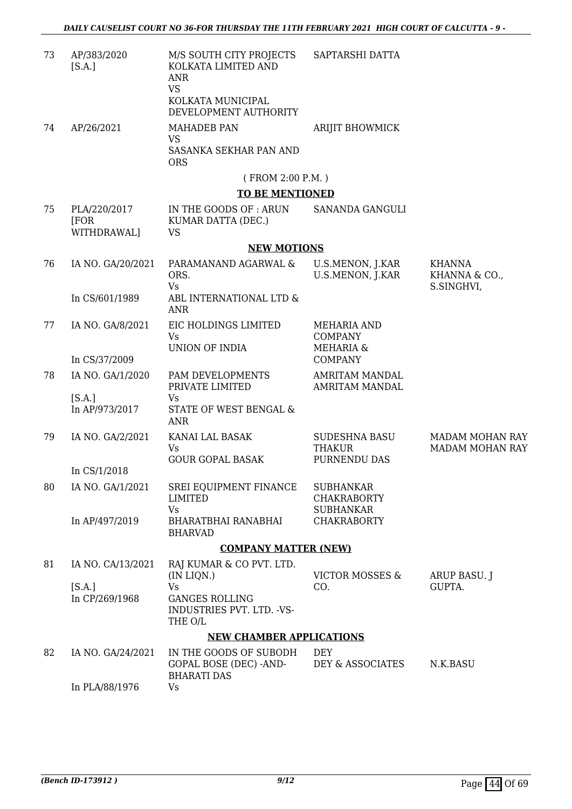| 73 | AP/383/2020<br>[S.A.]               | M/S SOUTH CITY PROJECTS<br>KOLKATA LIMITED AND<br>ANR<br><b>VS</b><br>KOLKATA MUNICIPAL<br>DEVELOPMENT AUTHORITY | SAPTARSHI DATTA                                              |                                                  |
|----|-------------------------------------|------------------------------------------------------------------------------------------------------------------|--------------------------------------------------------------|--------------------------------------------------|
| 74 | AP/26/2021                          | <b>MAHADEB PAN</b><br><b>VS</b><br>SASANKA SEKHAR PAN AND<br><b>ORS</b>                                          | ARIJIT BHOWMICK                                              |                                                  |
|    |                                     | (FROM 2:00 P.M.)                                                                                                 |                                                              |                                                  |
|    |                                     | <b>TO BE MENTIONED</b>                                                                                           |                                                              |                                                  |
| 75 | PLA/220/2017<br>[FOR<br>WITHDRAWAL] | IN THE GOODS OF: ARUN<br>KUMAR DATTA (DEC.)<br><b>VS</b>                                                         | SANANDA GANGULI                                              |                                                  |
|    |                                     | <b>NEW MOTIONS</b>                                                                                               |                                                              |                                                  |
| 76 | IA NO. GA/20/2021                   | PARAMANAND AGARWAL &<br>ORS.                                                                                     | U.S.MENON, J.KAR<br>U.S.MENON, J.KAR                         | <b>KHANNA</b><br>KHANNA & CO.,                   |
|    | In CS/601/1989                      | Vs<br>ABL INTERNATIONAL LTD &<br><b>ANR</b>                                                                      |                                                              | S.SINGHVI,                                       |
| 77 | IA NO. GA/8/2021                    | EIC HOLDINGS LIMITED<br><b>Vs</b><br>UNION OF INDIA                                                              | <b>MEHARIA AND</b><br><b>COMPANY</b><br><b>MEHARIA &amp;</b> |                                                  |
|    | In CS/37/2009                       |                                                                                                                  | <b>COMPANY</b>                                               |                                                  |
| 78 | IA NO. GA/1/2020                    | PAM DEVELOPMENTS<br>PRIVATE LIMITED                                                                              | <b>AMRITAM MANDAL</b><br>AMRITAM MANDAL                      |                                                  |
|    | [S.A.]<br>In AP/973/2017            | Vs<br>STATE OF WEST BENGAL &<br>ANR                                                                              |                                                              |                                                  |
| 79 | IA NO. GA/2/2021                    | KANAI LAL BASAK<br><b>Vs</b>                                                                                     | <b>SUDESHNA BASU</b><br><b>THAKUR</b>                        | <b>MADAM MOHAN RAY</b><br><b>MADAM MOHAN RAY</b> |
|    | In CS/1/2018                        | <b>GOUR GOPAL BASAK</b>                                                                                          | PURNENDU DAS                                                 |                                                  |
| 80 | IA NO. GA/1/2021                    | SREI EQUIPMENT FINANCE<br><b>LIMITED</b>                                                                         | <b>SUBHANKAR</b><br><b>CHAKRABORTY</b>                       |                                                  |
|    | In AP/497/2019                      | <b>Vs</b><br>BHARATBHAI RANABHAI<br><b>BHARVAD</b>                                                               | <b>SUBHANKAR</b><br><b>CHAKRABORTY</b>                       |                                                  |
|    |                                     | <b>COMPANY MATTER (NEW)</b>                                                                                      |                                                              |                                                  |
| 81 | IA NO. CA/13/2021                   | RAJ KUMAR & CO PVT. LTD.<br>(IN LIQN.)                                                                           | <b>VICTOR MOSSES &amp;</b>                                   | ARUP BASU. J                                     |
|    | [S.A.]<br>In CP/269/1968            | Vs<br><b>GANGES ROLLING</b><br>INDUSTRIES PVT. LTD. - VS-<br>THE O/L                                             | CO.                                                          | GUPTA.                                           |
|    |                                     | <b>NEW CHAMBER APPLICATIONS</b>                                                                                  |                                                              |                                                  |
| 82 | IA NO. GA/24/2021                   | IN THE GOODS OF SUBODH<br>GOPAL BOSE (DEC) - AND-<br><b>BHARATI DAS</b>                                          | <b>DEY</b><br>DEY & ASSOCIATES                               | N.K.BASU                                         |
|    | In PLA/88/1976                      | Vs                                                                                                               |                                                              |                                                  |

In PLA/88/1976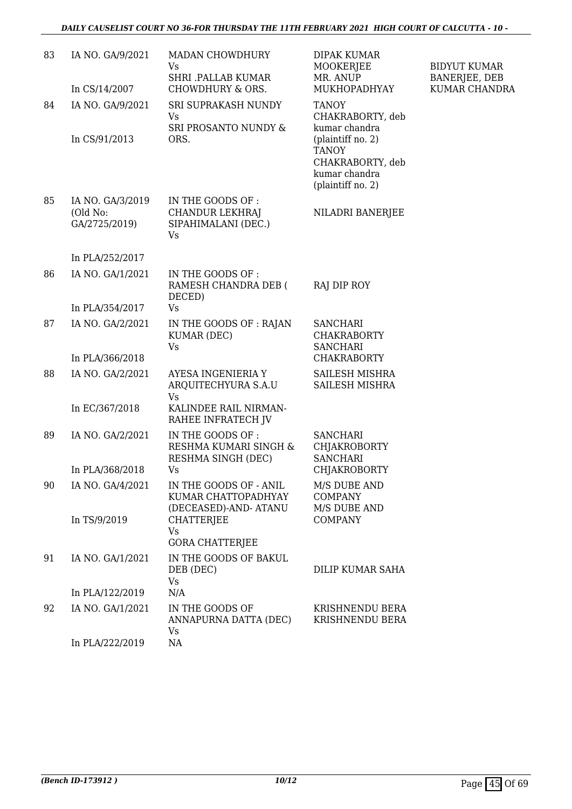| 83 | IA NO. GA/9/2021                              | MADAN CHOWDHURY<br>Vs                                                    | DIPAK KUMAR<br>MOOKERJEE                                                                                     | <b>BIDYUT KUMAR</b>                   |
|----|-----------------------------------------------|--------------------------------------------------------------------------|--------------------------------------------------------------------------------------------------------------|---------------------------------------|
|    | In CS/14/2007                                 | <b>SHRI .PALLAB KUMAR</b><br>CHOWDHURY & ORS.                            | MR. ANUP<br>MUKHOPADHYAY                                                                                     | <b>BANERJEE, DEB</b><br>KUMAR CHANDRA |
| 84 | IA NO. GA/9/2021                              | SRI SUPRAKASH NUNDY<br>Vs                                                | <b>TANOY</b><br>CHAKRABORTY, deb                                                                             |                                       |
|    | In CS/91/2013                                 | SRI PROSANTO NUNDY &<br>ORS.                                             | kumar chandra<br>(plaintiff no. 2)<br><b>TANOY</b><br>CHAKRABORTY, deb<br>kumar chandra<br>(plaintiff no. 2) |                                       |
| 85 | IA NO. GA/3/2019<br>(Old No:<br>GA/2725/2019) | IN THE GOODS OF :<br>CHANDUR LEKHRAJ<br>SIPAHIMALANI (DEC.)<br><b>Vs</b> | NILADRI BANERJEE                                                                                             |                                       |
|    | In PLA/252/2017                               |                                                                          |                                                                                                              |                                       |
| 86 | IA NO. GA/1/2021                              | IN THE GOODS OF:<br>RAMESH CHANDRA DEB (<br>DECED)                       | RAJ DIP ROY                                                                                                  |                                       |
|    | In PLA/354/2017                               | <b>Vs</b>                                                                |                                                                                                              |                                       |
| 87 | IA NO. GA/2/2021                              | IN THE GOODS OF : RAJAN<br>KUMAR (DEC)<br><b>Vs</b>                      | <b>SANCHARI</b><br><b>CHAKRABORTY</b><br><b>SANCHARI</b>                                                     |                                       |
|    | In PLA/366/2018                               |                                                                          | <b>CHAKRABORTY</b>                                                                                           |                                       |
| 88 | IA NO. GA/2/2021                              | AYESA INGENIERIA Y<br>ARQUITECHYURA S.A.U<br>Vs                          | SAILESH MISHRA<br>SAILESH MISHRA                                                                             |                                       |
|    | In EC/367/2018                                | KALINDEE RAIL NIRMAN-<br>RAHEE INFRATECH JV                              |                                                                                                              |                                       |
| 89 | IA NO. GA/2/2021                              | IN THE GOODS OF :<br>RESHMA KUMARI SINGH &<br>RESHMA SINGH (DEC)         | <b>SANCHARI</b><br><b>CHJAKROBORTY</b><br><b>SANCHARI</b>                                                    |                                       |
|    | In PLA/368/2018                               | Vs                                                                       | <b>CHJAKROBORTY</b>                                                                                          |                                       |
| 90 | IA NO. GA/4/2021                              | IN THE GOODS OF - ANIL<br>KUMAR CHATTOPADHYAY<br>(DECEASED)-AND-ATANU    | M/S DUBE AND<br><b>COMPANY</b><br>M/S DUBE AND                                                               |                                       |
|    | In TS/9/2019                                  | CHATTERJEE<br>Vs<br><b>GORA CHATTERJEE</b>                               | <b>COMPANY</b>                                                                                               |                                       |
| 91 | IA NO. GA/1/2021                              | IN THE GOODS OF BAKUL<br>DEB (DEC)<br>Vs                                 | DILIP KUMAR SAHA                                                                                             |                                       |
|    | In PLA/122/2019                               | N/A                                                                      |                                                                                                              |                                       |
| 92 | IA NO. GA/1/2021                              | IN THE GOODS OF<br>ANNAPURNA DATTA (DEC)<br>Vs                           | KRISHNENDU BERA<br>KRISHNENDU BERA                                                                           |                                       |
|    | In PLA/222/2019                               | NA                                                                       |                                                                                                              |                                       |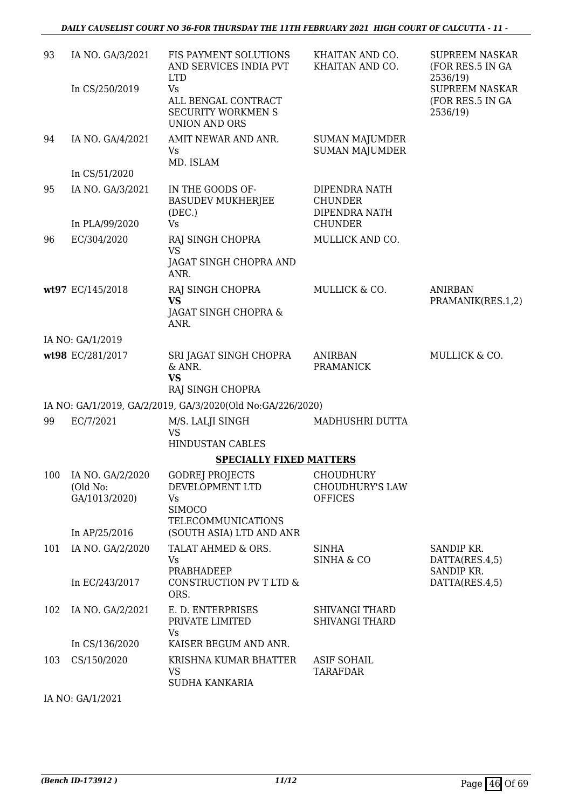| 93  | IA NO. GA/3/2021                                  | FIS PAYMENT SOLUTIONS<br>AND SERVICES INDIA PVT<br><b>LTD</b>                                 | KHAITAN AND CO.<br>KHAITAN AND CO.                                 | <b>SUPREEM NASKAR</b><br>(FOR RES.5 IN GA<br>2536/19) |
|-----|---------------------------------------------------|-----------------------------------------------------------------------------------------------|--------------------------------------------------------------------|-------------------------------------------------------|
|     | In CS/250/2019                                    | Vs<br>ALL BENGAL CONTRACT<br><b>SECURITY WORKMEN S</b><br><b>UNION AND ORS</b>                |                                                                    | <b>SUPREEM NASKAR</b><br>(FOR RES.5 IN GA<br>2536/19) |
| 94  | IA NO. GA/4/2021                                  | AMIT NEWAR AND ANR.<br>Vs<br>MD. ISLAM                                                        | <b>SUMAN MAJUMDER</b><br><b>SUMAN MAJUMDER</b>                     |                                                       |
|     | In CS/51/2020                                     |                                                                                               |                                                                    |                                                       |
| 95  | IA NO. GA/3/2021                                  | IN THE GOODS OF-<br><b>BASUDEV MUKHERJEE</b><br>(DEC.)<br>Vs                                  | DIPENDRA NATH<br><b>CHUNDER</b><br>DIPENDRA NATH<br><b>CHUNDER</b> |                                                       |
| 96  | In PLA/99/2020<br>EC/304/2020                     | RAJ SINGH CHOPRA                                                                              | MULLICK AND CO.                                                    |                                                       |
|     |                                                   | <b>VS</b>                                                                                     |                                                                    |                                                       |
|     |                                                   | JAGAT SINGH CHOPRA AND<br>ANR.                                                                |                                                                    |                                                       |
|     | wt97 EC/145/2018                                  | RAJ SINGH CHOPRA<br><b>VS</b>                                                                 | MULLICK & CO.                                                      | <b>ANIRBAN</b><br>PRAMANIK(RES.1,2)                   |
|     |                                                   | JAGAT SINGH CHOPRA &<br>ANR.                                                                  |                                                                    |                                                       |
|     | IA NO: GA/1/2019                                  |                                                                                               |                                                                    |                                                       |
|     | wt98 EC/281/2017                                  | SRI JAGAT SINGH CHOPRA<br>& ANR.<br><b>VS</b><br>RAJ SINGH CHOPRA                             | <b>ANIRBAN</b><br><b>PRAMANICK</b>                                 | MULLICK & CO.                                         |
|     |                                                   | IA NO: GA/1/2019, GA/2/2019, GA/3/2020(Old No:GA/226/2020)                                    |                                                                    |                                                       |
| 99  | EC/7/2021                                         | M/S. LALJI SINGH<br><b>VS</b>                                                                 | MADHUSHRI DUTTA                                                    |                                                       |
|     |                                                   | HINDUSTAN CABLES                                                                              |                                                                    |                                                       |
|     |                                                   | <b>SPECIALLY FIXED MATTERS</b>                                                                |                                                                    |                                                       |
|     | 100 IA NO. GA/2/2020<br>(Old No:<br>GA/1013/2020) | <b>GODREJ PROJECTS</b><br>DEVELOPMENT LTD<br>Vs<br><b>SIMOCO</b><br><b>TELECOMMUNICATIONS</b> | CHOUDHURY<br><b>CHOUDHURY'S LAW</b><br><b>OFFICES</b>              |                                                       |
|     | In AP/25/2016                                     | (SOUTH ASIA) LTD AND ANR                                                                      |                                                                    |                                                       |
| 101 | IA NO. GA/2/2020                                  | TALAT AHMED & ORS.<br>Vs                                                                      | SINHA<br><b>SINHA &amp; CO</b>                                     | SANDIP KR.<br>DATTA(RES.4,5)                          |
|     | In EC/243/2017                                    | PRABHADEEP<br>CONSTRUCTION PV T LTD &<br>ORS.                                                 |                                                                    | SANDIP KR.<br>DATTA(RES.4,5)                          |
| 102 | IA NO. GA/2/2021                                  | E. D. ENTERPRISES<br>PRIVATE LIMITED<br>Vs                                                    | <b>SHIVANGI THARD</b><br><b>SHIVANGI THARD</b>                     |                                                       |
|     | In CS/136/2020                                    | KAISER BEGUM AND ANR.                                                                         |                                                                    |                                                       |
| 103 | CS/150/2020                                       | KRISHNA KUMAR BHATTER<br>VS<br>SUDHA KANKARIA                                                 | <b>ASIF SOHAIL</b><br><b>TARAFDAR</b>                              |                                                       |
|     | $T_A N_A \cap A$ $A$ $B$                          |                                                                                               |                                                                    |                                                       |

IA NO: GA/1/2021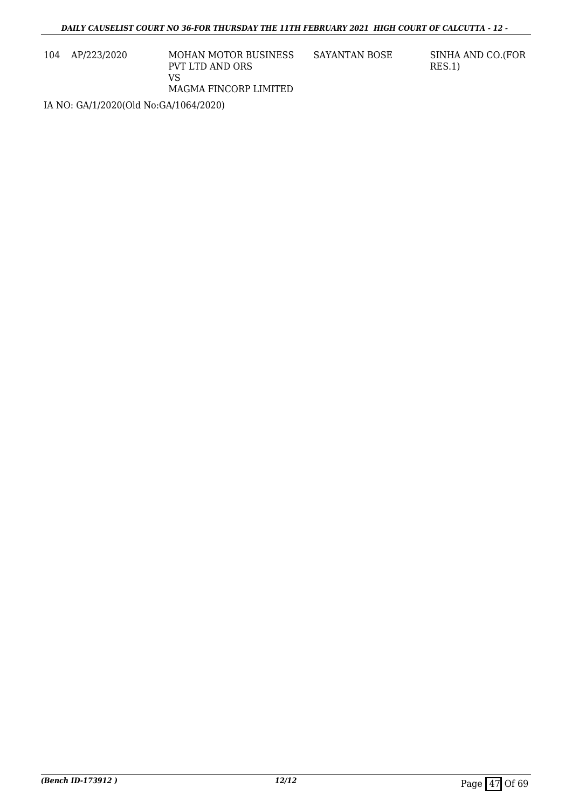104 AP/223/2020 MOHAN MOTOR BUSINESS PVT LTD AND ORS VS MAGMA FINCORP LIMITED

SAYANTAN BOSE SINHA AND CO.(FOR RES.1)

IA NO: GA/1/2020(Old No:GA/1064/2020)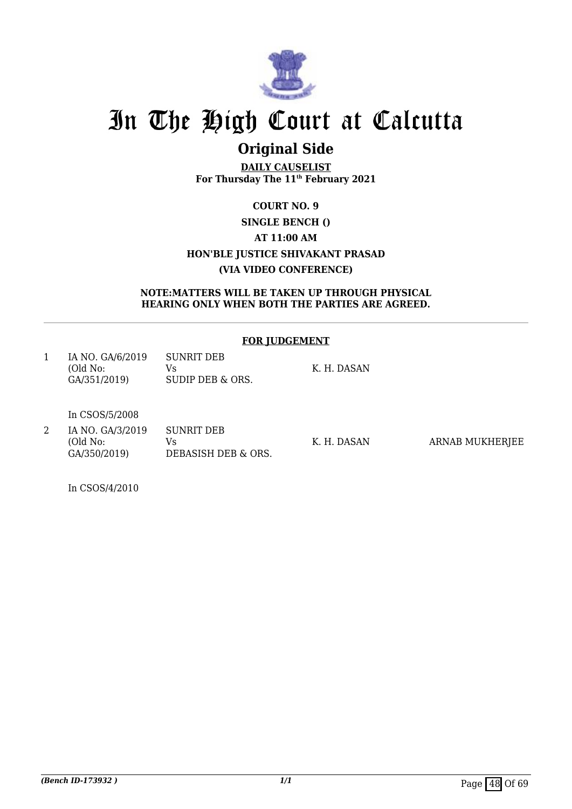

## **Original Side**

**DAILY CAUSELIST For Thursday The 11th February 2021**

### **COURT NO. 9 SINGLE BENCH () AT 11:00 AM HON'BLE JUSTICE SHIVAKANT PRASAD (VIA VIDEO CONFERENCE)**

#### **NOTE:MATTERS WILL BE TAKEN UP THROUGH PHYSICAL HEARING ONLY WHEN BOTH THE PARTIES ARE AGREED.**

#### **FOR JUDGEMENT**

| IA NO. GA/6/2019 | SUNRIT DEB       |             |
|------------------|------------------|-------------|
| (Old No:         | Vs.              | K. H. DASAN |
| GA/351/2019)     | SUDIP DEB & ORS. |             |

In CSOS/5/2008

2 IA NO. GA/3/2019 (Old No: GA/350/2019) SUNRIT DEB Vs DEBASISH DEB & ORS.

K. H. DASAN ARNAB MUKHERJEE

In CSOS/4/2010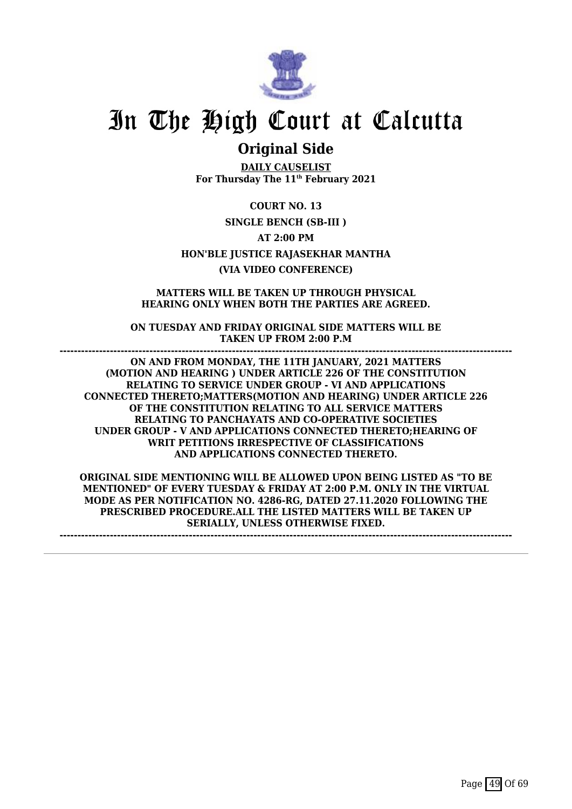

### **Original Side**

**DAILY CAUSELIST For Thursday The 11th February 2021**

**COURT NO. 13 SINGLE BENCH (SB-III ) AT 2:00 PM HON'BLE JUSTICE RAJASEKHAR MANTHA (VIA VIDEO CONFERENCE)**

**MATTERS WILL BE TAKEN UP THROUGH PHYSICAL HEARING ONLY WHEN BOTH THE PARTIES ARE AGREED.**

**ON TUESDAY AND FRIDAY ORIGINAL SIDE MATTERS WILL BE TAKEN UP FROM 2:00 P.M ------------------------------------------------------------------------------------------------------------------------------**

**ON AND FROM MONDAY, THE 11TH JANUARY, 2021 MATTERS (MOTION AND HEARING ) UNDER ARTICLE 226 OF THE CONSTITUTION RELATING TO SERVICE UNDER GROUP - VI AND APPLICATIONS CONNECTED THERETO;MATTERS(MOTION AND HEARING) UNDER ARTICLE 226 OF THE CONSTITUTION RELATING TO ALL SERVICE MATTERS RELATING TO PANCHAYATS AND CO-OPERATIVE SOCIETIES UNDER GROUP - V AND APPLICATIONS CONNECTED THERETO;HEARING OF WRIT PETITIONS IRRESPECTIVE OF CLASSIFICATIONS AND APPLICATIONS CONNECTED THERETO.**

**ORIGINAL SIDE MENTIONING WILL BE ALLOWED UPON BEING LISTED AS "TO BE MENTIONED" OF EVERY TUESDAY & FRIDAY AT 2:00 P.M. ONLY IN THE VIRTUAL MODE AS PER NOTIFICATION NO. 4286-RG, DATED 27.11.2020 FOLLOWING THE PRESCRIBED PROCEDURE.ALL THE LISTED MATTERS WILL BE TAKEN UP SERIALLY, UNLESS OTHERWISE FIXED.**

**------------------------------------------------------------------------------------------------------------------------------**

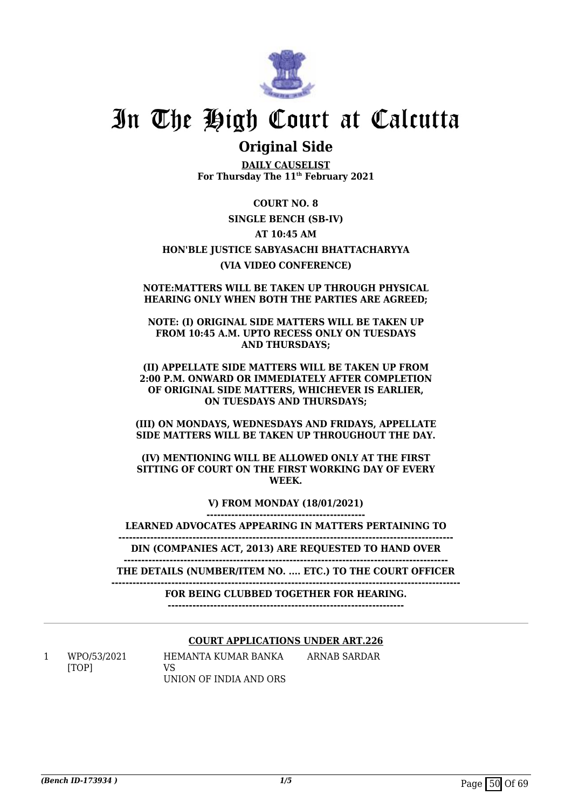

### **Original Side**

**DAILY CAUSELIST For Thursday The 11th February 2021**

#### **COURT NO. 8**

#### **SINGLE BENCH (SB-IV)**

#### **AT 10:45 AM**

#### **HON'BLE JUSTICE SABYASACHI BHATTACHARYYA (VIA VIDEO CONFERENCE)**

#### **NOTE:MATTERS WILL BE TAKEN UP THROUGH PHYSICAL HEARING ONLY WHEN BOTH THE PARTIES ARE AGREED;**

#### **NOTE: (I) ORIGINAL SIDE MATTERS WILL BE TAKEN UP FROM 10:45 A.M. UPTO RECESS ONLY ON TUESDAYS AND THURSDAYS;**

#### **(II) APPELLATE SIDE MATTERS WILL BE TAKEN UP FROM 2:00 P.M. ONWARD OR IMMEDIATELY AFTER COMPLETION OF ORIGINAL SIDE MATTERS, WHICHEVER IS EARLIER, ON TUESDAYS AND THURSDAYS;**

#### **(III) ON MONDAYS, WEDNESDAYS AND FRIDAYS, APPELLATE SIDE MATTERS WILL BE TAKEN UP THROUGHOUT THE DAY.**

#### **(IV) MENTIONING WILL BE ALLOWED ONLY AT THE FIRST SITTING OF COURT ON THE FIRST WORKING DAY OF EVERY WEEK.**

**V) FROM MONDAY (18/01/2021)**

**---------------------------------------------**

**LEARNED ADVOCATES APPEARING IN MATTERS PERTAINING TO -----------------------------------------------------------------------------------------------**

**DIN (COMPANIES ACT, 2013) ARE REQUESTED TO HAND OVER**

**-------------------------------------------------------------------------------------------- THE DETAILS (NUMBER/ITEM NO. .... ETC.) TO THE COURT OFFICER**

**---------------------------------------------------------------------------------------------------**

#### **FOR BEING CLUBBED TOGETHER FOR HEARING.**

**-------------------------------------------------------------------**

#### **COURT APPLICATIONS UNDER ART.226**

1 WPO/53/2021 [TOP]

HEMANTA KUMAR BANKA  $V<sub>S</sub>$ UNION OF INDIA AND ORS ARNAB SARDAR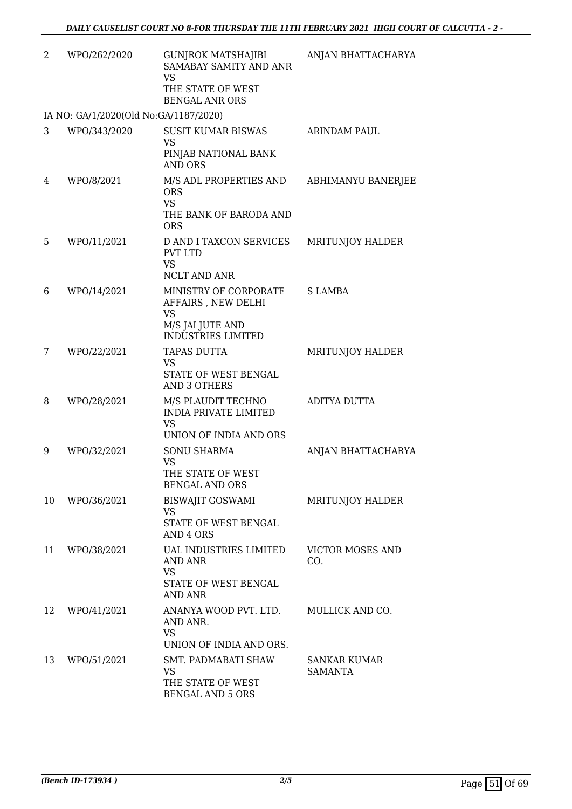| 2  | WPO/262/2020                          | <b>GUNJROK MATSHAJIBI</b><br>SAMABAY SAMITY AND ANR<br><b>VS</b><br>THE STATE OF WEST<br><b>BENGAL ANR ORS</b> | ANJAN BHATTACHARYA             |
|----|---------------------------------------|----------------------------------------------------------------------------------------------------------------|--------------------------------|
|    | IA NO: GA/1/2020(Old No:GA/1187/2020) |                                                                                                                |                                |
| 3  | WPO/343/2020                          | <b>SUSIT KUMAR BISWAS</b><br><b>VS</b><br>PINJAB NATIONAL BANK<br><b>AND ORS</b>                               | <b>ARINDAM PAUL</b>            |
| 4  | WPO/8/2021                            | M/S ADL PROPERTIES AND<br><b>ORS</b><br><b>VS</b><br>THE BANK OF BARODA AND<br><b>ORS</b>                      | ABHIMANYU BANERJEE             |
| 5  | WPO/11/2021                           | D AND I TAXCON SERVICES<br><b>PVT LTD</b><br><b>VS</b><br>NCLT AND ANR                                         | MRITUNJOY HALDER               |
| 6  | WPO/14/2021                           | MINISTRY OF CORPORATE<br>AFFAIRS, NEW DELHI<br><b>VS</b><br>M/S JAI JUTE AND<br><b>INDUSTRIES LIMITED</b>      | <b>SLAMBA</b>                  |
| 7  | WPO/22/2021                           | <b>TAPAS DUTTA</b><br><b>VS</b><br>STATE OF WEST BENGAL<br><b>AND 3 OTHERS</b>                                 | MRITUNJOY HALDER               |
| 8  | WPO/28/2021                           | M/S PLAUDIT TECHNO<br><b>INDIA PRIVATE LIMITED</b><br>VS<br>UNION OF INDIA AND ORS                             | ADITYA DUTTA                   |
| 9  | WPO/32/2021                           | <b>SONU SHARMA</b><br><b>VS</b><br>THE STATE OF WEST<br><b>BENGAL AND ORS</b>                                  | ANJAN BHATTACHARYA             |
| 10 | WPO/36/2021                           | <b>BISWAJIT GOSWAMI</b><br><b>VS</b><br>STATE OF WEST BENGAL<br>AND 4 ORS                                      | MRITUNJOY HALDER               |
| 11 | WPO/38/2021                           | <b>UAL INDUSTRIES LIMITED</b><br>AND ANR<br>VS<br>STATE OF WEST BENGAL<br>AND ANR                              | <b>VICTOR MOSES AND</b><br>CO. |
| 12 | WPO/41/2021                           | ANANYA WOOD PVT. LTD.<br>AND ANR.<br><b>VS</b><br>UNION OF INDIA AND ORS.                                      | MULLICK AND CO.                |
| 13 | WPO/51/2021                           | SMT. PADMABATI SHAW<br>VS.<br>THE STATE OF WEST<br><b>BENGAL AND 5 ORS</b>                                     | SANKAR KUMAR<br><b>SAMANTA</b> |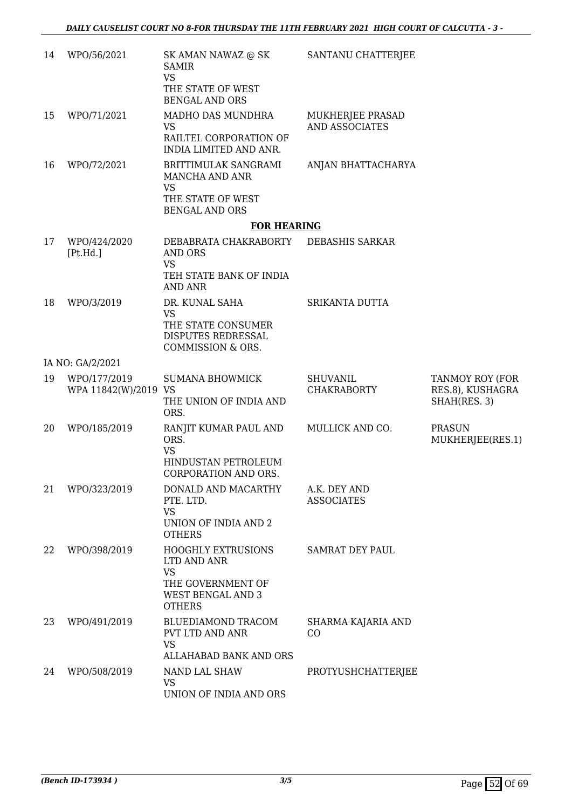| 14 | WPO/56/2021                          | SK AMAN NAWAZ @ SK<br><b>SAMIR</b><br><b>VS</b><br>THE STATE OF WEST<br><b>BENGAL AND ORS</b>                           | SANTANU CHATTERJEE                    |                                                     |
|----|--------------------------------------|-------------------------------------------------------------------------------------------------------------------------|---------------------------------------|-----------------------------------------------------|
| 15 | WPO/71/2021                          | MADHO DAS MUNDHRA<br>VS<br>RAILTEL CORPORATION OF<br>INDIA LIMITED AND ANR.                                             | MUKHERJEE PRASAD<br>AND ASSOCIATES    |                                                     |
| 16 | WPO/72/2021                          | BRITTIMULAK SANGRAMI<br>MANCHA AND ANR<br><b>VS</b><br>THE STATE OF WEST<br><b>BENGAL AND ORS</b>                       | ANJAN BHATTACHARYA                    |                                                     |
|    |                                      | <b>FOR HEARING</b>                                                                                                      |                                       |                                                     |
| 17 | WPO/424/2020<br>[Pt.Hd.]             | DEBABRATA CHAKRABORTY<br><b>AND ORS</b><br><b>VS</b><br>TEH STATE BANK OF INDIA<br>AND ANR                              | DEBASHIS SARKAR                       |                                                     |
| 18 | WPO/3/2019                           | DR. KUNAL SAHA<br><b>VS</b><br>THE STATE CONSUMER<br>DISPUTES REDRESSAL                                                 | SRIKANTA DUTTA                        |                                                     |
|    |                                      | COMMISSION & ORS.                                                                                                       |                                       |                                                     |
|    | IA NO: GA/2/2021                     |                                                                                                                         |                                       |                                                     |
| 19 | WPO/177/2019<br>WPA 11842(W)/2019 VS | <b>SUMANA BHOWMICK</b><br>THE UNION OF INDIA AND<br>ORS.                                                                | <b>SHUVANIL</b><br><b>CHAKRABORTY</b> | TANMOY ROY (FOR<br>RES.8), KUSHAGRA<br>SHAH(RES. 3) |
| 20 | WPO/185/2019                         | RANJIT KUMAR PAUL AND<br>ORS.<br><b>VS</b><br>HINDUSTAN PETROLEUM<br><b>CORPORATION AND ORS</b>                         | MULLICK AND CO.                       | <b>PRASUN</b><br>MUKHERJEE(RES.1)                   |
| 21 | WPO/323/2019                         | DONALD AND MACARTHY<br>PTE. LTD.<br><b>VS</b><br>UNION OF INDIA AND 2<br><b>OTHERS</b>                                  | A.K. DEY AND<br><b>ASSOCIATES</b>     |                                                     |
| 22 | WPO/398/2019                         | <b>HOOGHLY EXTRUSIONS</b><br>LTD AND ANR<br><b>VS</b><br>THE GOVERNMENT OF<br><b>WEST BENGAL AND 3</b><br><b>OTHERS</b> | <b>SAMRAT DEY PAUL</b>                |                                                     |
| 23 | WPO/491/2019                         | BLUEDIAMOND TRACOM<br>PVT LTD AND ANR<br><b>VS</b><br>ALLAHABAD BANK AND ORS                                            | SHARMA KAJARIA AND<br>CO              |                                                     |
| 24 | WPO/508/2019                         | NAND LAL SHAW<br><b>VS</b><br>UNION OF INDIA AND ORS                                                                    | PROTYUSHCHATTERJEE                    |                                                     |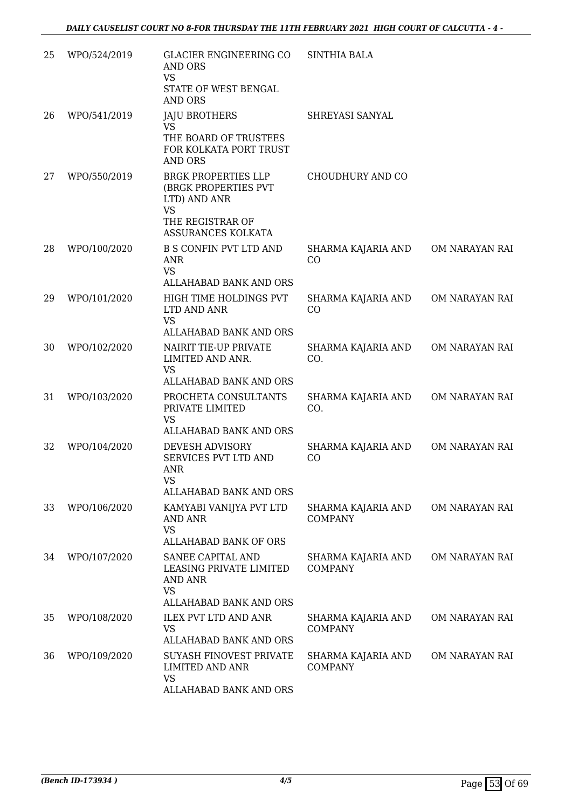| 25 | WPO/524/2019 | <b>GLACIER ENGINEERING CO</b><br>AND ORS<br><b>VS</b><br>STATE OF WEST BENGAL<br><b>AND ORS</b>                                             | <b>SINTHIA BALA</b>                  |                |
|----|--------------|---------------------------------------------------------------------------------------------------------------------------------------------|--------------------------------------|----------------|
| 26 | WPO/541/2019 | <b>JAJU BROTHERS</b><br><b>VS</b><br>THE BOARD OF TRUSTEES<br>FOR KOLKATA PORT TRUST                                                        | SHREYASI SANYAL                      |                |
| 27 | WPO/550/2019 | <b>AND ORS</b><br><b>BRGK PROPERTIES LLP</b><br>(BRGK PROPERTIES PVT<br>LTD) AND ANR<br><b>VS</b><br>THE REGISTRAR OF<br>ASSURANCES KOLKATA | CHOUDHURY AND CO                     |                |
| 28 | WPO/100/2020 | <b>B S CONFIN PVT LTD AND</b><br>ANR<br><b>VS</b><br>ALLAHABAD BANK AND ORS                                                                 | SHARMA KAJARIA AND<br>CO             | OM NARAYAN RAI |
| 29 | WPO/101/2020 | HIGH TIME HOLDINGS PVT<br>LTD AND ANR<br><b>VS</b><br>ALLAHABAD BANK AND ORS                                                                | SHARMA KAJARIA AND<br>CO             | OM NARAYAN RAI |
| 30 | WPO/102/2020 | NAIRIT TIE-UP PRIVATE<br>LIMITED AND ANR.<br><b>VS</b><br>ALLAHABAD BANK AND ORS                                                            | SHARMA KAJARIA AND<br>CO.            | OM NARAYAN RAI |
| 31 | WPO/103/2020 | PROCHETA CONSULTANTS<br>PRIVATE LIMITED<br><b>VS</b><br>ALLAHABAD BANK AND ORS                                                              | SHARMA KAJARIA AND<br>CO.            | OM NARAYAN RAI |
| 32 | WPO/104/2020 | DEVESH ADVISORY<br>SERVICES PVT LTD AND<br><b>ANR</b><br><b>VS</b>                                                                          | SHARMA KAJARIA AND<br>CO             | OM NARAYAN RAI |
| 33 | WPO/106/2020 | ALLAHABAD BANK AND ORS<br>KAMYABI VANIJYA PVT LTD<br><b>AND ANR</b><br><b>VS</b><br><b>ALLAHABAD BANK OF ORS</b>                            | SHARMA KAJARIA AND<br><b>COMPANY</b> | OM NARAYAN RAI |
| 34 | WPO/107/2020 | SANEE CAPITAL AND<br>LEASING PRIVATE LIMITED<br>AND ANR<br><b>VS</b><br>ALLAHABAD BANK AND ORS                                              | SHARMA KAJARIA AND<br><b>COMPANY</b> | OM NARAYAN RAI |
| 35 | WPO/108/2020 | <b>ILEX PVT LTD AND ANR</b><br><b>VS</b><br>ALLAHABAD BANK AND ORS                                                                          | SHARMA KAJARIA AND<br><b>COMPANY</b> | OM NARAYAN RAI |
| 36 | WPO/109/2020 | SUYASH FINOVEST PRIVATE<br>LIMITED AND ANR<br>VS<br>ALLAHABAD BANK AND ORS                                                                  | SHARMA KAJARIA AND<br><b>COMPANY</b> | OM NARAYAN RAI |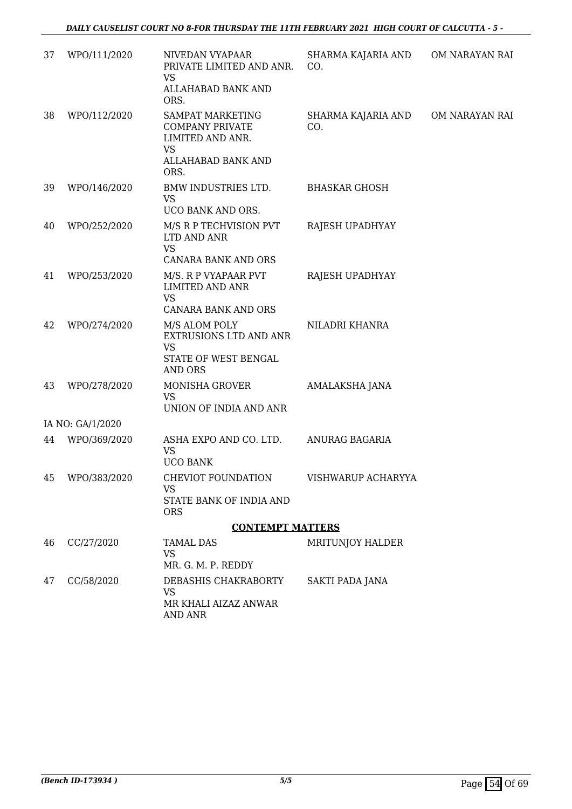| 37 | WPO/111/2020     | NIVEDAN VYAPAAR<br>PRIVATE LIMITED AND ANR.<br><b>VS</b><br>ALLAHABAD BANK AND<br>ORS.                    | SHARMA KAJARIA AND<br>CO. | OM NARAYAN RAI |
|----|------------------|-----------------------------------------------------------------------------------------------------------|---------------------------|----------------|
| 38 | WPO/112/2020     | SAMPAT MARKETING<br><b>COMPANY PRIVATE</b><br>LIMITED AND ANR.<br><b>VS</b><br>ALLAHABAD BANK AND<br>ORS. | SHARMA KAJARIA AND<br>CO. | OM NARAYAN RAI |
| 39 | WPO/146/2020     | BMW INDUSTRIES LTD.<br><b>VS</b><br>UCO BANK AND ORS.                                                     | <b>BHASKAR GHOSH</b>      |                |
| 40 | WPO/252/2020     | M/S R P TECHVISION PVT<br>LTD AND ANR<br><b>VS</b>                                                        | RAJESH UPADHYAY           |                |
|    |                  | CANARA BANK AND ORS                                                                                       |                           |                |
| 41 | WPO/253/2020     | M/S. R P VYAPAAR PVT<br><b>LIMITED AND ANR</b><br><b>VS</b><br>CANARA BANK AND ORS                        | RAJESH UPADHYAY           |                |
| 42 | WPO/274/2020     | M/S ALOM POLY<br>EXTRUSIONS LTD AND ANR<br><b>VS</b><br>STATE OF WEST BENGAL<br><b>AND ORS</b>            | NILADRI KHANRA            |                |
| 43 | WPO/278/2020     | MONISHA GROVER<br><b>VS</b><br>UNION OF INDIA AND ANR                                                     | AMALAKSHA JANA            |                |
|    | IA NO: GA/1/2020 |                                                                                                           |                           |                |
| 44 | WPO/369/2020     | ASHA EXPO AND CO. LTD.<br><b>VS</b><br><b>UCO BANK</b>                                                    | ANURAG BAGARIA            |                |
|    | 45 WPO/383/2020  | CHEVIOT FOUNDATION<br>VS<br>STATE BANK OF INDIA AND<br><b>ORS</b>                                         | VISHWARUP ACHARYYA        |                |
|    |                  | <b>CONTEMPT MATTERS</b>                                                                                   |                           |                |
| 46 | CC/27/2020       | TAMAL DAS<br><b>VS</b><br>MR. G. M. P. REDDY                                                              | <b>MRITUNJOY HALDER</b>   |                |
| 47 | CC/58/2020       | DEBASHIS CHAKRABORTY<br><b>VS</b><br>MR KHALI AIZAZ ANWAR<br><b>AND ANR</b>                               | SAKTI PADA JANA           |                |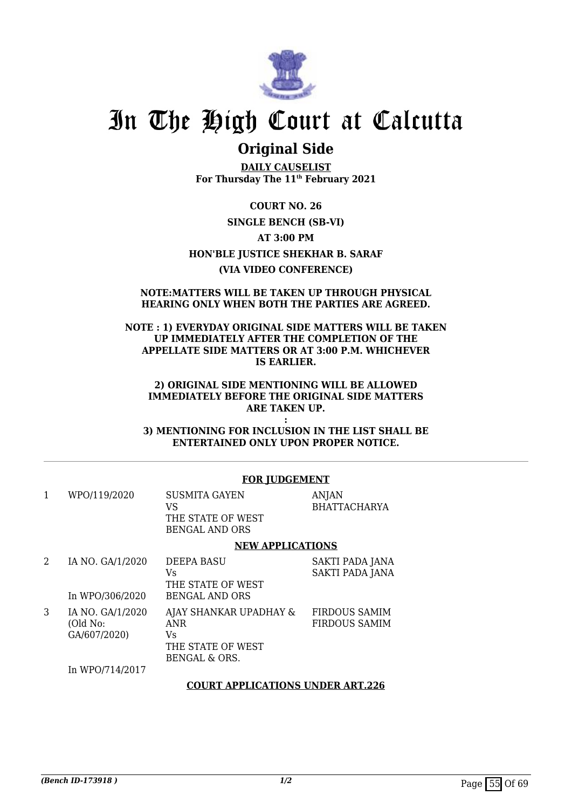

### **Original Side**

**DAILY CAUSELIST For Thursday The 11th February 2021**

**COURT NO. 26 SINGLE BENCH (SB-VI) AT 3:00 PM HON'BLE JUSTICE SHEKHAR B. SARAF (VIA VIDEO CONFERENCE)**

#### **NOTE:MATTERS WILL BE TAKEN UP THROUGH PHYSICAL HEARING ONLY WHEN BOTH THE PARTIES ARE AGREED.**

#### **NOTE : 1) EVERYDAY ORIGINAL SIDE MATTERS WILL BE TAKEN UP IMMEDIATELY AFTER THE COMPLETION OF THE APPELLATE SIDE MATTERS OR AT 3:00 P.M. WHICHEVER IS EARLIER.**

#### **2) ORIGINAL SIDE MENTIONING WILL BE ALLOWED IMMEDIATELY BEFORE THE ORIGINAL SIDE MATTERS ARE TAKEN UP.**

**: 3) MENTIONING FOR INCLUSION IN THE LIST SHALL BE ENTERTAINED ONLY UPON PROPER NOTICE.**

#### **FOR JUDGEMENT**

| WPO/119/2020 | <b>SUSMITA GAYEN</b> | ANIAN               |
|--------------|----------------------|---------------------|
|              | VS.                  | <b>BHATTACHARYA</b> |
|              | THE STATE OF WEST    |                     |
|              | BENGAL AND ORS       |                     |
|              |                      |                     |

#### **NEW APPLICATIONS**

| 2 | IA NO. GA/1/2020 | <b>DEEPA BASU</b>      | SAKTI PADA JANA      |
|---|------------------|------------------------|----------------------|
|   |                  | Vs                     | SAKTI PADA JANA      |
|   |                  | THE STATE OF WEST      |                      |
|   | In WPO/306/2020  | <b>BENGAL AND ORS</b>  |                      |
| 3 | IA NO. GA/1/2020 | AJAY SHANKAR UPADHAY & | <b>FIRDOUS SAMIM</b> |
|   | (Old No:         | <b>ANR</b>             | <b>FIRDOUS SAMIM</b> |
|   | GA/607/2020)     | Vs                     |                      |
|   |                  | THE STATE OF WEST      |                      |
|   |                  | BENGAL & ORS.          |                      |
|   | In WPO/714/2017  |                        |                      |

#### **COURT APPLICATIONS UNDER ART.226**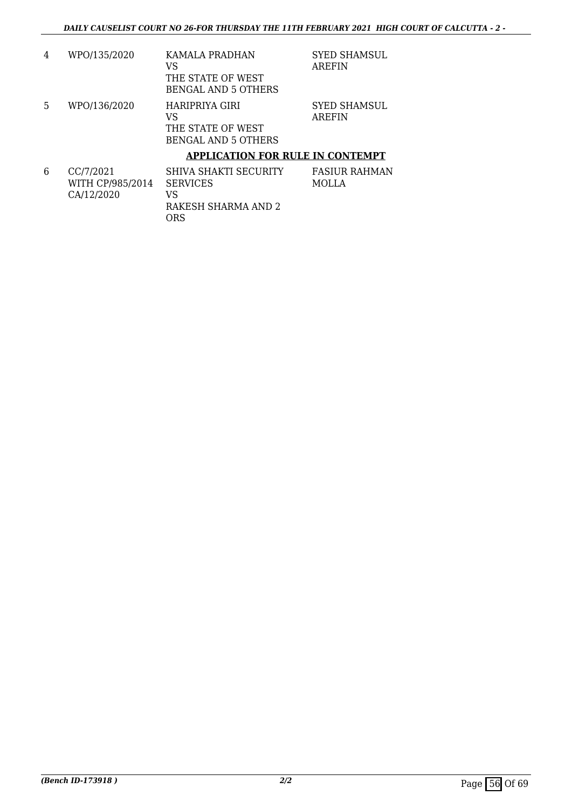| 4 | WPO/135/2020 | KAMALA PRADHAN<br>VS<br>THE STATE OF WEST<br><b>BENGAL AND 5 OTHERS</b>                                     | <b>SYED SHAMSUL</b><br>AREFIN |
|---|--------------|-------------------------------------------------------------------------------------------------------------|-------------------------------|
| 5 | WPO/136/2020 | HARIPRIYA GIRI<br>VS<br>THE STATE OF WEST<br>BENGAL AND 5 OTHERS<br><b>APPLICATION FOR RULE IN CONTEMPT</b> | <b>SYED SHAMSUL</b><br>AREFIN |

| 6 | CC/7/2021        | SHIVA SHAKTI SECURITY | <b>FASIUR RAHMAN</b> |
|---|------------------|-----------------------|----------------------|
|   | WITH CP/985/2014 | <b>SERVICES</b>       | MOLLA                |
|   | CA/12/2020       | VS                    |                      |
|   |                  | RAKESH SHARMA AND 2   |                      |
|   |                  | ORS                   |                      |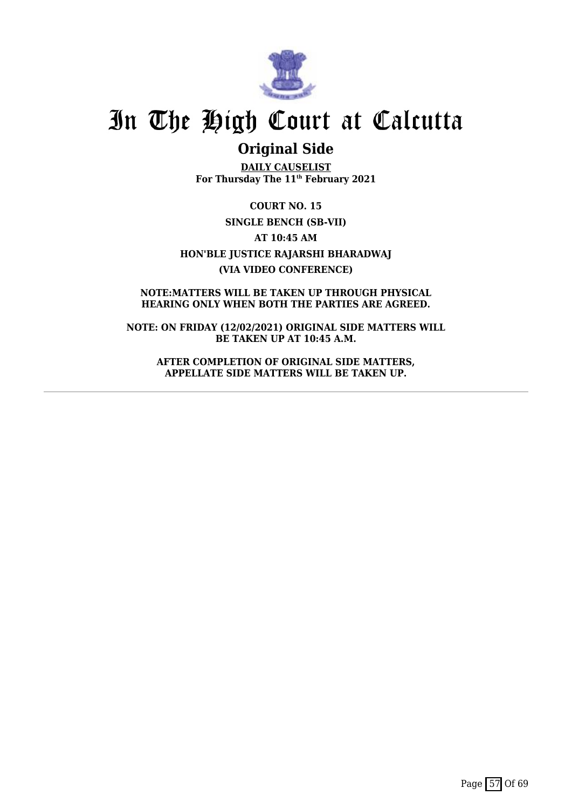

### **Original Side**

**DAILY CAUSELIST For Thursday The 11th February 2021**

**COURT NO. 15 SINGLE BENCH (SB-VII) AT 10:45 AM HON'BLE JUSTICE RAJARSHI BHARADWAJ (VIA VIDEO CONFERENCE)**

**NOTE:MATTERS WILL BE TAKEN UP THROUGH PHYSICAL HEARING ONLY WHEN BOTH THE PARTIES ARE AGREED.**

**NOTE: ON FRIDAY (12/02/2021) ORIGINAL SIDE MATTERS WILL BE TAKEN UP AT 10:45 A.M.**

**AFTER COMPLETION OF ORIGINAL SIDE MATTERS, APPELLATE SIDE MATTERS WILL BE TAKEN UP.**

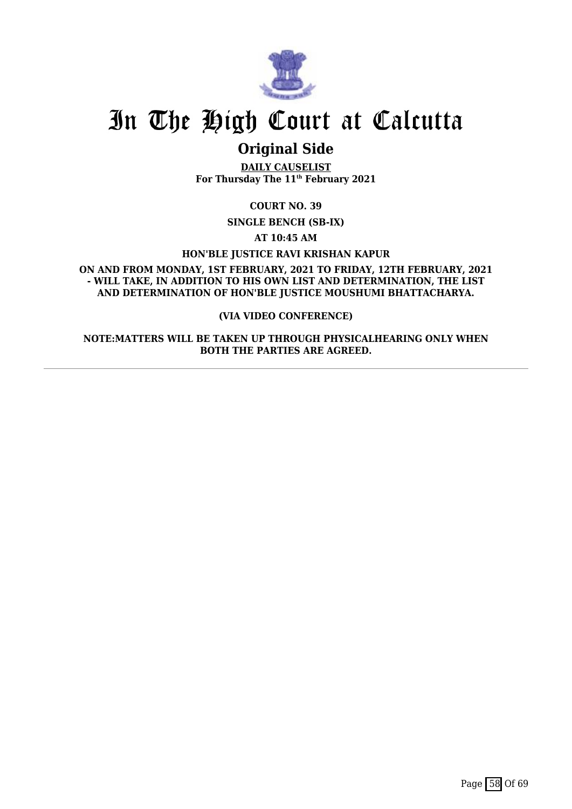

### **Original Side**

**DAILY CAUSELIST For Thursday The 11th February 2021**

**COURT NO. 39**

**SINGLE BENCH (SB-IX)**

**AT 10:45 AM**

**HON'BLE JUSTICE RAVI KRISHAN KAPUR**

**ON AND FROM MONDAY, 1ST FEBRUARY, 2021 TO FRIDAY, 12TH FEBRUARY, 2021 - WILL TAKE, IN ADDITION TO HIS OWN LIST AND DETERMINATION, THE LIST AND DETERMINATION OF HON'BLE JUSTICE MOUSHUMI BHATTACHARYA.**

#### **(VIA VIDEO CONFERENCE)**

**NOTE:MATTERS WILL BE TAKEN UP THROUGH PHYSICALHEARING ONLY WHEN BOTH THE PARTIES ARE AGREED.**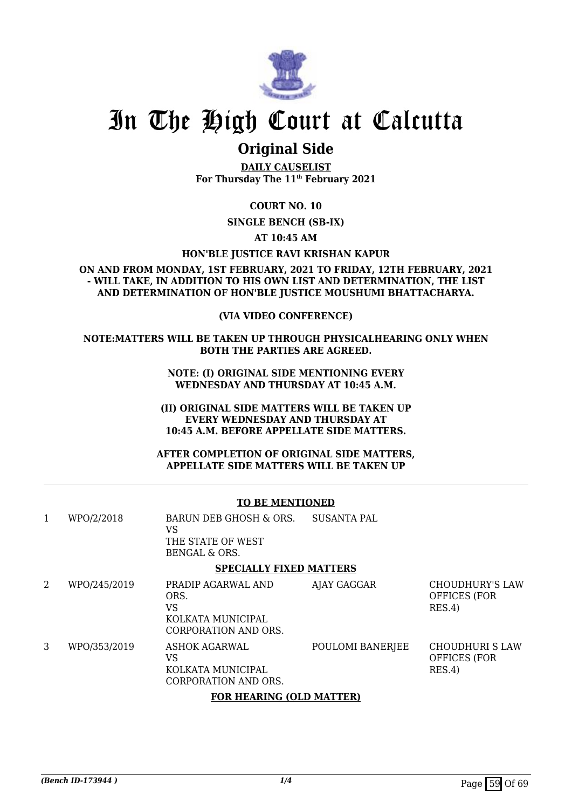

### **Original Side**

**DAILY CAUSELIST For Thursday The 11th February 2021**

**COURT NO. 10**

**SINGLE BENCH (SB-IX)**

**AT 10:45 AM**

#### **HON'BLE JUSTICE RAVI KRISHAN KAPUR**

**ON AND FROM MONDAY, 1ST FEBRUARY, 2021 TO FRIDAY, 12TH FEBRUARY, 2021 - WILL TAKE, IN ADDITION TO HIS OWN LIST AND DETERMINATION, THE LIST AND DETERMINATION OF HON'BLE JUSTICE MOUSHUMI BHATTACHARYA.**

#### **(VIA VIDEO CONFERENCE)**

**NOTE:MATTERS WILL BE TAKEN UP THROUGH PHYSICALHEARING ONLY WHEN BOTH THE PARTIES ARE AGREED.**

> **NOTE: (I) ORIGINAL SIDE MENTIONING EVERY WEDNESDAY AND THURSDAY AT 10:45 A.M.**

**(II) ORIGINAL SIDE MATTERS WILL BE TAKEN UP EVERY WEDNESDAY AND THURSDAY AT 10:45 A.M. BEFORE APPELLATE SIDE MATTERS.**

**AFTER COMPLETION OF ORIGINAL SIDE MATTERS, APPELLATE SIDE MATTERS WILL BE TAKEN UP**

#### **TO BE MENTIONED**

| 1 | WPO/2/2018   | BARUN DEB GHOSH & ORS.<br>VS<br>THE STATE OF WEST<br>BENGAL & ORS.            | <b>SUSANTA PAL</b> |                                                  |
|---|--------------|-------------------------------------------------------------------------------|--------------------|--------------------------------------------------|
|   |              | <b>SPECIALLY FIXED MATTERS</b>                                                |                    |                                                  |
| 2 | WPO/245/2019 | PRADIP AGARWAL AND<br>ORS.<br>VS<br>KOLKATA MUNICIPAL<br>CORPORATION AND ORS. | AJAY GAGGAR        | CHOUDHURY'S LAW<br><b>OFFICES (FOR</b><br>RES.4) |
| 3 | WPO/353/2019 | ASHOK AGARWAL<br>VS<br>KOLKATA MUNICIPAL<br>CORPORATION AND ORS.              | POULOMI BANERJEE   | CHOUDHURI S LAW<br><b>OFFICES (FOR</b><br>RES.4) |
|   |              |                                                                               |                    |                                                  |

#### **FOR HEARING (OLD MATTER)**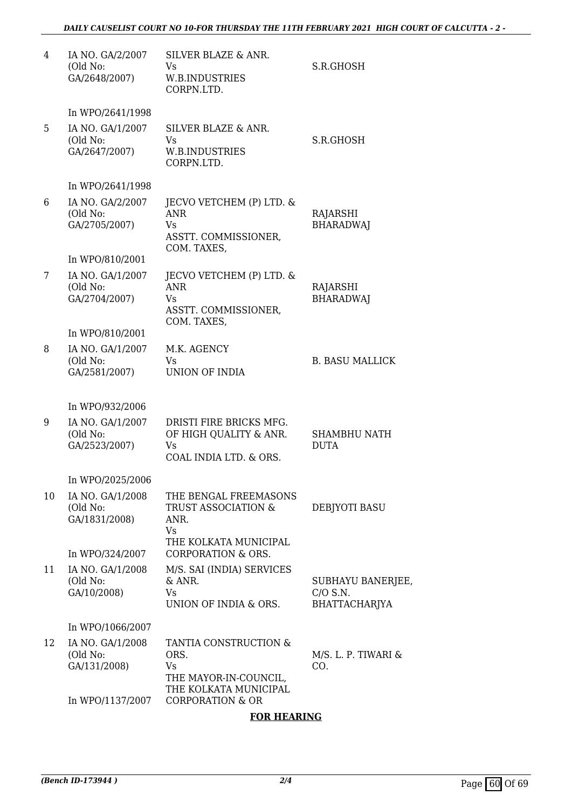| 4  | IA NO. GA/2/2007<br>(Old No:<br>GA/2648/2007) | SILVER BLAZE & ANR.<br>Vs<br>W.B.INDUSTRIES<br>CORPN.LTD.                             | S.R.GHOSH                                        |
|----|-----------------------------------------------|---------------------------------------------------------------------------------------|--------------------------------------------------|
|    | In WPO/2641/1998                              |                                                                                       |                                                  |
| 5  | IA NO. GA/1/2007<br>(Old No:<br>GA/2647/2007) | SILVER BLAZE & ANR.<br>Vs<br><b>W.B.INDUSTRIES</b><br>CORPN.LTD.                      | S.R.GHOSH                                        |
|    | In WPO/2641/1998                              |                                                                                       |                                                  |
| 6  | IA NO. GA/2/2007<br>(Old No:<br>GA/2705/2007) | JECVO VETCHEM (P) LTD. &<br><b>ANR</b><br>Vs.<br>ASSTT. COMMISSIONER,<br>COM. TAXES,  | RAJARSHI<br><b>BHARADWAJ</b>                     |
|    | In WPO/810/2001                               |                                                                                       |                                                  |
| 7  | IA NO. GA/1/2007<br>(Old No:<br>GA/2704/2007) | JECVO VETCHEM (P) LTD. &<br><b>ANR</b><br>Vs<br>ASSTT. COMMISSIONER,<br>COM. TAXES,   | RAJARSHI<br><b>BHARADWAJ</b>                     |
|    | In WPO/810/2001                               |                                                                                       |                                                  |
| 8  | IA NO. GA/1/2007<br>(Old No:<br>GA/2581/2007) | M.K. AGENCY<br><b>V<sub>S</sub></b><br><b>UNION OF INDIA</b>                          | <b>B. BASU MALLICK</b>                           |
|    | In WPO/932/2006                               |                                                                                       |                                                  |
| 9  | IA NO. GA/1/2007<br>(Old No:<br>GA/2523/2007) | DRISTI FIRE BRICKS MFG.<br>OF HIGH QUALITY & ANR.<br>Vs<br>COAL INDIA LTD. & ORS.     | SHAMBHU NATH<br><b>DUTA</b>                      |
|    | In WPO/2025/2006                              |                                                                                       |                                                  |
| 10 | IA NO. GA/1/2008<br>(Old No:<br>GA/1831/2008) | THE BENGAL FREEMASONS<br>TRUST ASSOCIATION &<br>ANR.<br>Vs                            | DEBJYOTI BASU                                    |
|    | In WPO/324/2007                               | THE KOLKATA MUNICIPAL<br><b>CORPORATION &amp; ORS.</b>                                |                                                  |
| 11 | IA NO. GA/1/2008<br>(Old No:<br>GA/10/2008)   | M/S. SAI (INDIA) SERVICES<br>$&$ ANR.<br><b>Vs</b><br>UNION OF INDIA & ORS.           | SUBHAYU BANERJEE,<br>$C/O$ S.N.<br>BHATTACHARJYA |
|    | In WPO/1066/2007                              |                                                                                       |                                                  |
| 12 | IA NO. GA/1/2008<br>(Old No:<br>GA/131/2008)  | TANTIA CONSTRUCTION &<br>ORS.<br>Vs<br>THE MAYOR-IN-COUNCIL,<br>THE KOLKATA MUNICIPAL | M/S. L. P. TIWARI &<br>CO.                       |
|    | In WPO/1137/2007                              | <b>CORPORATION &amp; OR</b>                                                           |                                                  |

#### **FOR HEARING**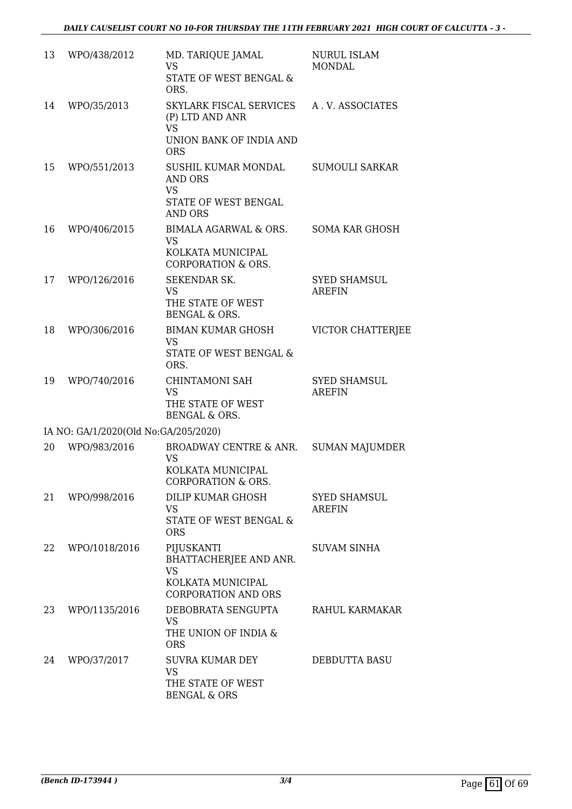| 13 | WPO/438/2012                         | MD. TARIQUE JAMAL<br><b>VS</b><br>STATE OF WEST BENGAL &<br>ORS.                                     | <b>NURUL ISLAM</b><br><b>MONDAL</b>  |
|----|--------------------------------------|------------------------------------------------------------------------------------------------------|--------------------------------------|
| 14 | WPO/35/2013                          | SKYLARK FISCAL SERVICES<br>(P) LTD AND ANR<br><b>VS</b><br>UNION BANK OF INDIA AND<br><b>ORS</b>     | A.V. ASSOCIATES                      |
| 15 | WPO/551/2013                         | SUSHIL KUMAR MONDAL<br><b>AND ORS</b><br><b>VS</b><br>STATE OF WEST BENGAL<br><b>AND ORS</b>         | <b>SUMOULI SARKAR</b>                |
| 16 | WPO/406/2015                         | <b>BIMALA AGARWAL &amp; ORS.</b><br><b>VS</b><br>KOLKATA MUNICIPAL<br><b>CORPORATION &amp; ORS.</b>  | <b>SOMA KAR GHOSH</b>                |
| 17 | WPO/126/2016                         | SEKENDAR SK.<br><b>VS</b><br>THE STATE OF WEST<br><b>BENGAL &amp; ORS.</b>                           | <b>SYED SHAMSUL</b><br><b>AREFIN</b> |
| 18 | WPO/306/2016                         | <b>BIMAN KUMAR GHOSH</b><br><b>VS</b><br>STATE OF WEST BENGAL &<br>ORS.                              | VICTOR CHATTERJEE                    |
| 19 | WPO/740/2016                         | <b>CHINTAMONI SAH</b><br><b>VS</b><br>THE STATE OF WEST<br><b>BENGAL &amp; ORS.</b>                  | <b>SYED SHAMSUL</b><br><b>AREFIN</b> |
|    | IA NO: GA/1/2020(Old No:GA/205/2020) |                                                                                                      |                                      |
| 20 | WPO/983/2016                         | BROADWAY CENTRE & ANR.<br><b>VS</b><br>KOLKATA MUNICIPAL<br><b>CORPORATION &amp; ORS.</b>            | <b>SUMAN MAJUMDER</b>                |
| 21 | WPO/998/2016                         | DILIP KUMAR GHOSH<br><b>VS</b><br>STATE OF WEST BENGAL &<br><b>ORS</b>                               | <b>SYED SHAMSUL</b><br><b>AREFIN</b> |
| 22 | WPO/1018/2016                        | PIJUSKANTI<br>BHATTACHERJEE AND ANR.<br><b>VS</b><br>KOLKATA MUNICIPAL<br><b>CORPORATION AND ORS</b> | <b>SUVAM SINHA</b>                   |
| 23 | WPO/1135/2016                        | DEBOBRATA SENGUPTA<br><b>VS</b><br>THE UNION OF INDIA &<br><b>ORS</b>                                | RAHUL KARMAKAR                       |
| 24 | WPO/37/2017                          | <b>SUVRA KUMAR DEY</b><br><b>VS</b><br>THE STATE OF WEST<br><b>BENGAL &amp; ORS</b>                  | DEBDUTTA BASU                        |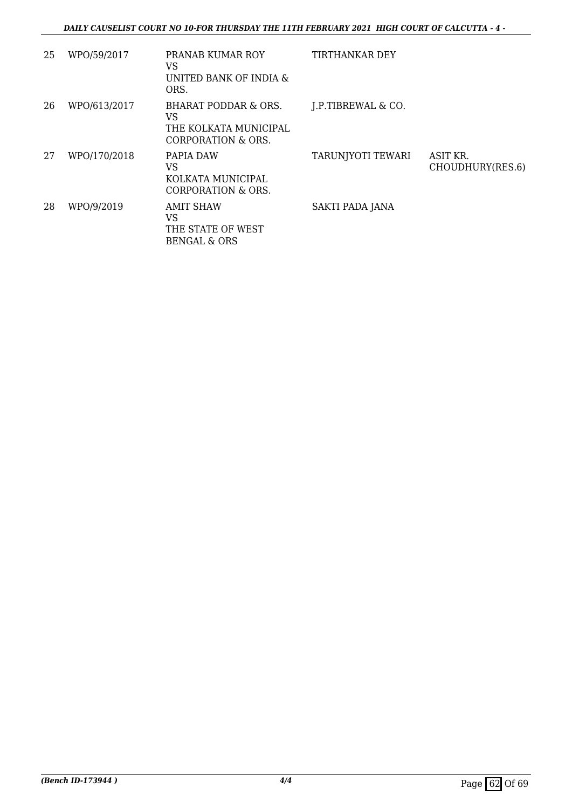#### *DAILY CAUSELIST COURT NO 10-FOR THURSDAY THE 11TH FEBRUARY 2021 HIGH COURT OF CALCUTTA - 4 -*

| 25 | WPO/59/2017  | PRANAB KUMAR ROY<br>VS<br>UNITED BANK OF INDIA &<br>ORS.                  | <b>TIRTHANKAR DEY</b> |                              |
|----|--------------|---------------------------------------------------------------------------|-----------------------|------------------------------|
| 26 | WPO/613/2017 | BHARAT PODDAR & ORS.<br>VS<br>THE KOLKATA MUNICIPAL<br>CORPORATION & ORS. | J.P.TIBREWAL & CO.    |                              |
| 27 | WPO/170/2018 | PAPIA DAW<br>VS<br>KOLKATA MUNICIPAL<br>CORPORATION & ORS.                | TARUNJYOTI TEWARI     | ASIT KR.<br>CHOUDHURY(RES.6) |
| 28 | WPO/9/2019   | AMIT SHAW<br>VS<br>THE STATE OF WEST<br>BENGAL & ORS                      | SAKTI PADA JANA       |                              |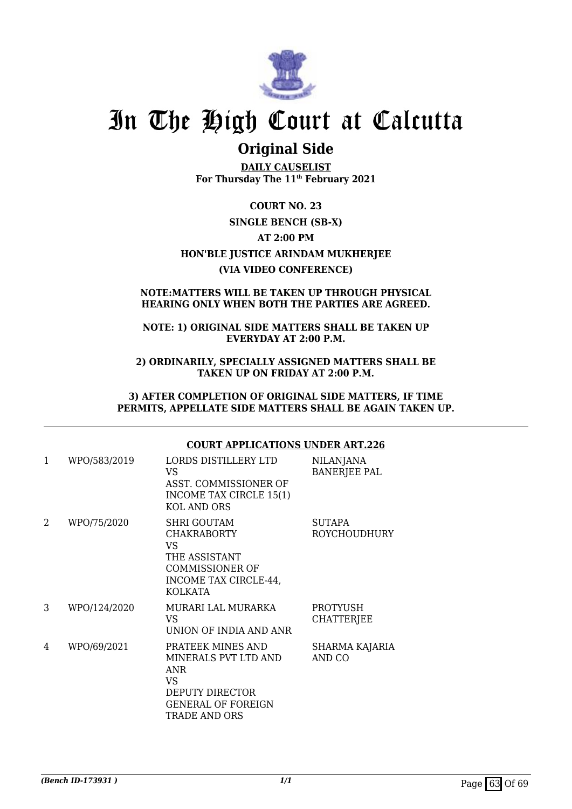

### **Original Side**

**DAILY CAUSELIST For Thursday The 11th February 2021**

**COURT NO. 23 SINGLE BENCH (SB-X) AT 2:00 PM HON'BLE JUSTICE ARINDAM MUKHERJEE (VIA VIDEO CONFERENCE)**

#### **NOTE:MATTERS WILL BE TAKEN UP THROUGH PHYSICAL HEARING ONLY WHEN BOTH THE PARTIES ARE AGREED.**

#### **NOTE: 1) ORIGINAL SIDE MATTERS SHALL BE TAKEN UP EVERYDAY AT 2:00 P.M.**

**2) ORDINARILY, SPECIALLY ASSIGNED MATTERS SHALL BE TAKEN UP ON FRIDAY AT 2:00 P.M.**

**3) AFTER COMPLETION OF ORIGINAL SIDE MATTERS, IF TIME PERMITS, APPELLATE SIDE MATTERS SHALL BE AGAIN TAKEN UP.**

#### **COURT APPLICATIONS UNDER ART.226**

| 1 | WPO/583/2019 | LORDS DISTILLERY LTD<br>VS<br>ASST. COMMISSIONER OF<br>INCOME TAX CIRCLE 15(1)<br><b>KOL AND ORS</b>                           | <b>NILANJANA</b><br><b>BANERJEE PAL</b> |
|---|--------------|--------------------------------------------------------------------------------------------------------------------------------|-----------------------------------------|
| 2 | WPO/75/2020  | <b>SHRI GOUTAM</b><br><b>CHAKRABORTY</b><br>VS<br>THE ASSISTANT<br><b>COMMISSIONER OF</b><br>INCOME TAX CIRCLE-44,<br>KOLKATA  | <b>SUTAPA</b><br>ROYCHOUDHURY           |
| 3 | WPO/124/2020 | MURARI LAL MURARKA<br>VS<br>UNION OF INDIA AND ANR                                                                             | <b>PROTYUSH</b><br><b>CHATTERJEE</b>    |
| 4 | WPO/69/2021  | PRATEEK MINES AND<br>MINERALS PVT LTD AND<br>ANR<br>VS<br>DEPUTY DIRECTOR<br><b>GENERAL OF FOREIGN</b><br><b>TRADE AND ORS</b> | <b>SHARMA KAJARIA</b><br>AND CO         |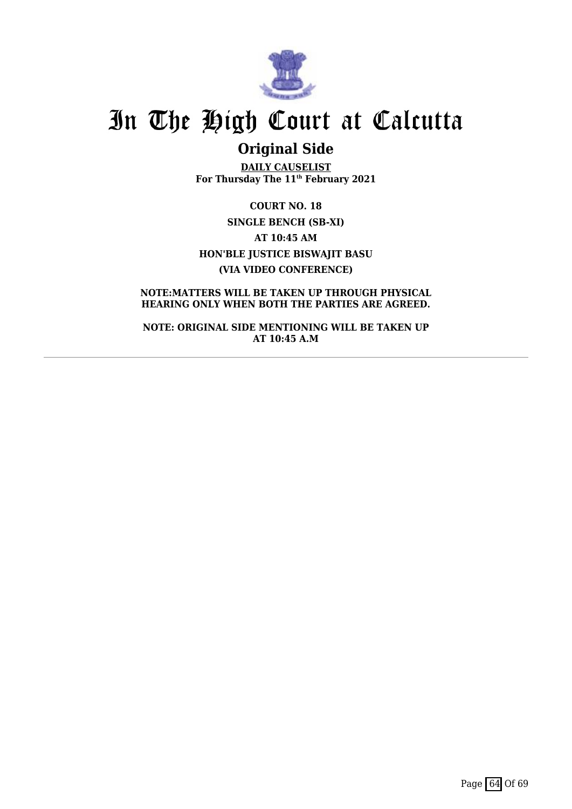

## **Original Side**

**DAILY CAUSELIST For Thursday The 11th February 2021**

**COURT NO. 18 SINGLE BENCH (SB-XI) AT 10:45 AM HON'BLE JUSTICE BISWAJIT BASU (VIA VIDEO CONFERENCE)**

**NOTE:MATTERS WILL BE TAKEN UP THROUGH PHYSICAL HEARING ONLY WHEN BOTH THE PARTIES ARE AGREED.**

**NOTE: ORIGINAL SIDE MENTIONING WILL BE TAKEN UP AT 10:45 A.M**

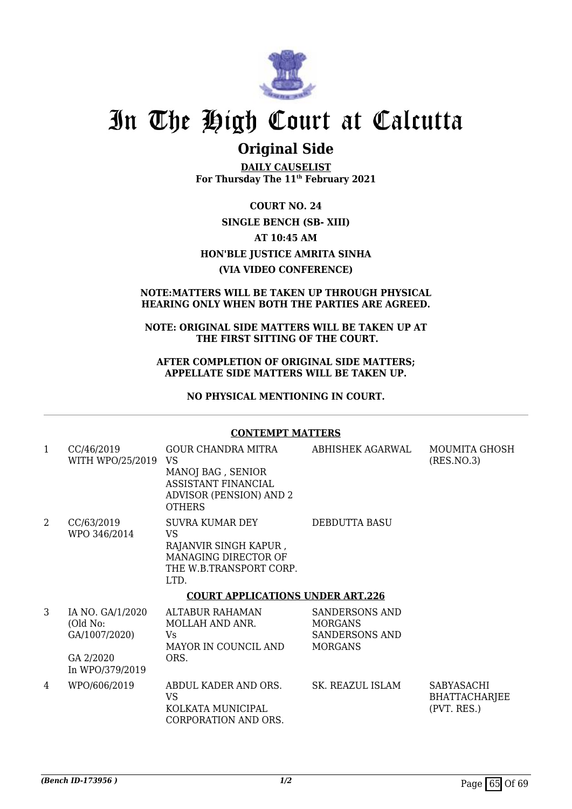

### **Original Side**

**DAILY CAUSELIST For Thursday The 11th February 2021**

**COURT NO. 24 SINGLE BENCH (SB- XIII) AT 10:45 AM HON'BLE JUSTICE AMRITA SINHA (VIA VIDEO CONFERENCE)**

#### **NOTE:MATTERS WILL BE TAKEN UP THROUGH PHYSICAL HEARING ONLY WHEN BOTH THE PARTIES ARE AGREED.**

#### **NOTE: ORIGINAL SIDE MATTERS WILL BE TAKEN UP AT THE FIRST SITTING OF THE COURT.**

#### **AFTER COMPLETION OF ORIGINAL SIDE MATTERS; APPELLATE SIDE MATTERS WILL BE TAKEN UP.**

**NO PHYSICAL MENTIONING IN COURT.**

#### **CONTEMPT MATTERS**

| 1              | CC/46/2019<br>WITH WPO/25/2019 VS                          | GOUR CHANDRA MITRA<br>MANOJ BAG, SENIOR<br>ASSISTANT FINANCIAL<br><b>ADVISOR (PENSION) AND 2</b><br><b>OTHERS</b> | ABHISHEK AGARWAL                                                            | <b>MOUMITA GHOSH</b><br>(RES.NO.3)                |  |
|----------------|------------------------------------------------------------|-------------------------------------------------------------------------------------------------------------------|-----------------------------------------------------------------------------|---------------------------------------------------|--|
| $\overline{2}$ | CC/63/2019<br>WPO 346/2014                                 | SUVRA KUMAR DEY<br>VS.<br>RAJANVIR SINGH KAPUR,<br>MANAGING DIRECTOR OF<br>THE W.B.TRANSPORT CORP.<br>LTD.        | DEBDUTTA BASU                                                               |                                                   |  |
|                | <b>COURT APPLICATIONS UNDER ART.226</b>                    |                                                                                                                   |                                                                             |                                                   |  |
| 3              | IA NO. GA/1/2020<br>(Old No:<br>GA/1007/2020)<br>GA 2/2020 | ALTABUR RAHAMAN<br>MOLLAH AND ANR.<br>Vs<br>MAYOR IN COUNCIL AND<br>ORS.                                          | SANDERSONS AND<br><b>MORGANS</b><br><b>SANDERSONS AND</b><br><b>MORGANS</b> |                                                   |  |
|                | In WPO/379/2019                                            |                                                                                                                   |                                                                             |                                                   |  |
| 4              | WPO/606/2019                                               | ABDUL KADER AND ORS.<br><b>VS</b><br>KOLKATA MUNICIPAL<br>CORPORATION AND ORS.                                    | SK. REAZUL ISLAM                                                            | SABYASACHI<br><b>BHATTACHARJEE</b><br>(PVT. RES.) |  |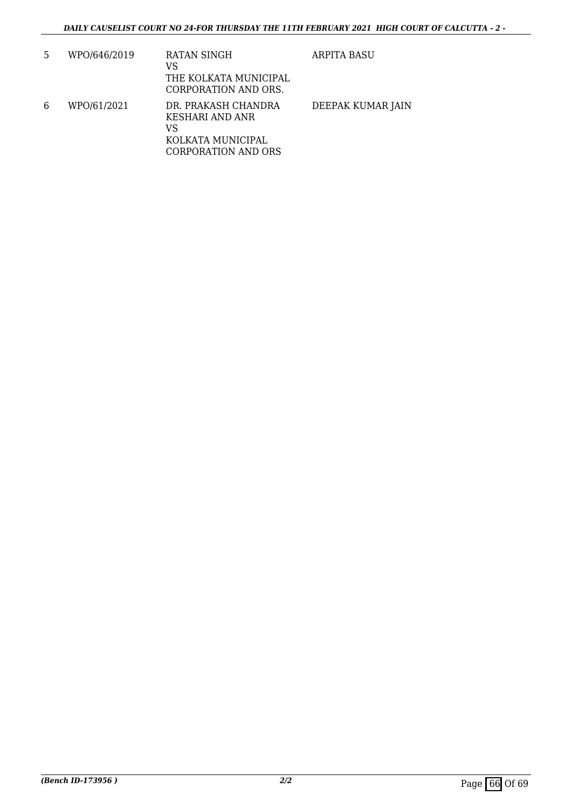| 5 | WPO/646/2019 | RATAN SINGH<br>VS<br>THE KOLKATA MUNICIPAL<br>CORPORATION AND ORS.                              | ARPITA BASU       |
|---|--------------|-------------------------------------------------------------------------------------------------|-------------------|
| 6 | WPO/61/2021  | DR. PRAKASH CHANDRA<br>KESHARI AND ANR<br>VS<br>KOLKATA MUNICIPAL<br><b>CORPORATION AND ORS</b> | DEEPAK KUMAR JAIN |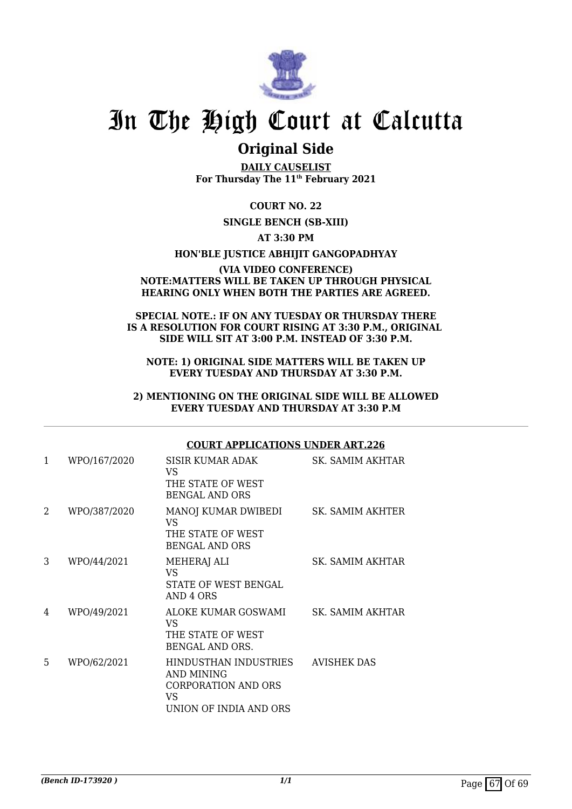

### **Original Side**

**DAILY CAUSELIST For Thursday The 11th February 2021**

**COURT NO. 22**

#### **SINGLE BENCH (SB-XIII)**

#### **AT 3:30 PM**

#### **HON'BLE JUSTICE ABHIJIT GANGOPADHYAY**

#### **(VIA VIDEO CONFERENCE) NOTE:MATTERS WILL BE TAKEN UP THROUGH PHYSICAL HEARING ONLY WHEN BOTH THE PARTIES ARE AGREED.**

#### **SPECIAL NOTE.: IF ON ANY TUESDAY OR THURSDAY THERE IS A RESOLUTION FOR COURT RISING AT 3:30 P.M., ORIGINAL SIDE WILL SIT AT 3:00 P.M. INSTEAD OF 3:30 P.M.**

#### **NOTE: 1) ORIGINAL SIDE MATTERS WILL BE TAKEN UP EVERY TUESDAY AND THURSDAY AT 3:30 P.M.**

#### **2) MENTIONING ON THE ORIGINAL SIDE WILL BE ALLOWED EVERY TUESDAY AND THURSDAY AT 3:30 P.M**

#### **COURT APPLICATIONS UNDER ART.226**

| 1 | WPO/167/2020 | SISIR KUMAR ADAK<br>VS.<br>THE STATE OF WEST<br><b>BENGAL AND ORS</b>                             | SK. SAMIM AKHTAR   |
|---|--------------|---------------------------------------------------------------------------------------------------|--------------------|
| 2 | WPO/387/2020 | MANOJ KUMAR DWIBEDI<br>VS.<br>THE STATE OF WEST<br><b>BENGAL AND ORS</b>                          | SK. SAMIM AKHTER   |
| 3 | WPO/44/2021  | <b>MEHERAJ ALI</b><br>VS<br><b>STATE OF WEST BENGAL</b><br>AND 4 ORS                              | SK. SAMIM AKHTAR   |
| 4 | WPO/49/2021  | ALOKE KUMAR GOSWAMI<br>VS.<br>THE STATE OF WEST<br>BENGAL AND ORS.                                | SK. SAMIM AKHTAR   |
| 5 | WPO/62/2021  | HINDUSTHAN INDUSTRIES<br>AND MINING<br><b>CORPORATION AND ORS</b><br>VS<br>UNION OF INDIA AND ORS | <b>AVISHEK DAS</b> |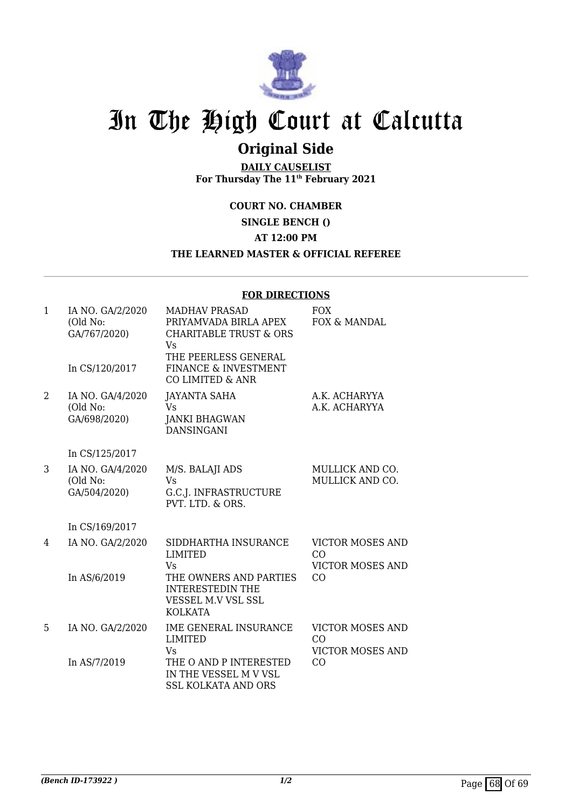

## **Original Side**

**DAILY CAUSELIST For Thursday The 11th February 2021**

**COURT NO. CHAMBER**

**SINGLE BENCH ()**

**AT 12:00 PM**

#### **THE LEARNED MASTER & OFFICIAL REFEREE**

#### **FOR DIRECTIONS**

| $\mathbf{1}$ | IA NO. GA/2/2020<br>(Old No:<br>GA/767/2020)<br>In CS/120/2017 | <b>MADHAV PRASAD</b><br>PRIYAMVADA BIRLA APEX<br><b>CHARITABLE TRUST &amp; ORS</b><br><b>Vs</b><br>THE PEERLESS GENERAL<br>FINANCE & INVESTMENT<br>CO LIMITED & ANR | <b>FOX</b><br>FOX & MANDAL                               |
|--------------|----------------------------------------------------------------|---------------------------------------------------------------------------------------------------------------------------------------------------------------------|----------------------------------------------------------|
| 2            | IA NO. GA/4/2020<br>(Old No:<br>GA/698/2020)                   | <b>JAYANTA SAHA</b><br><b>Vs</b><br><b>JANKI BHAGWAN</b><br><b>DANSINGANI</b>                                                                                       | A.K. ACHARYYA<br>A.K. ACHARYYA                           |
|              | In CS/125/2017                                                 |                                                                                                                                                                     |                                                          |
| 3            | IA NO. GA/4/2020<br>(Old No:<br>GA/504/2020)                   | M/S. BALAJI ADS<br>Vs<br>G.C.J. INFRASTRUCTURE<br>PVT. LTD. & ORS.                                                                                                  | MULLICK AND CO.<br>MULLICK AND CO.                       |
|              | In CS/169/2017                                                 |                                                                                                                                                                     |                                                          |
| 4            | IA NO. GA/2/2020                                               | SIDDHARTHA INSURANCE<br><b>LIMITED</b><br>Vs                                                                                                                        | <b>VICTOR MOSES AND</b><br>CO<br><b>VICTOR MOSES AND</b> |
|              | In AS/6/2019                                                   | THE OWNERS AND PARTIES<br><b>INTERESTEDIN THE</b><br>VESSEL M.V VSL SSL<br><b>KOLKATA</b>                                                                           | CO                                                       |
| 5            | IA NO. GA/2/2020                                               | <b>IME GENERAL INSURANCE</b><br><b>LIMITED</b>                                                                                                                      | <b>VICTOR MOSES AND</b><br>CO                            |
|              | In AS/7/2019                                                   | <b>Vs</b><br>THE O AND P INTERESTED<br>IN THE VESSEL M V VSL<br><b>SSL KOLKATA AND ORS</b>                                                                          | <b>VICTOR MOSES AND</b><br>CO                            |